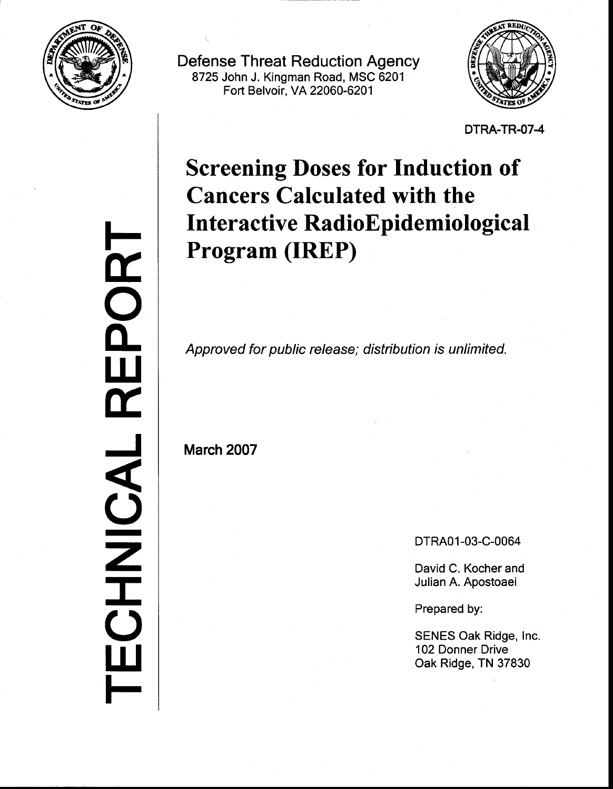

Defense Threat Reduction Agency 8725 John J. Kingman Road, MSC 6201 Fort Belvoir. VA 22060-6201



DTRA-TR.O74

# Screening Doses for Induction of Cancers Calculated with the Interactive RadioEpidemiological Program (IREP)

Approved for public release; distribution is unlimited.

March 2007

DTRA01-03-C-0064

David C. Kocher and Julian A. Apostoaei

Prepared by:

SENES Oak Ridge, lnc. 102 Donner Drive Oak Ridge, TN 37830

F <u>in</u> D<br>O<br>C  $\mathbf{\tilde{L}}$  $\overline{\mathbf{r}}$ J  $\overline{\mathbf{C}}$ z I<br>I t<br>C lU **F**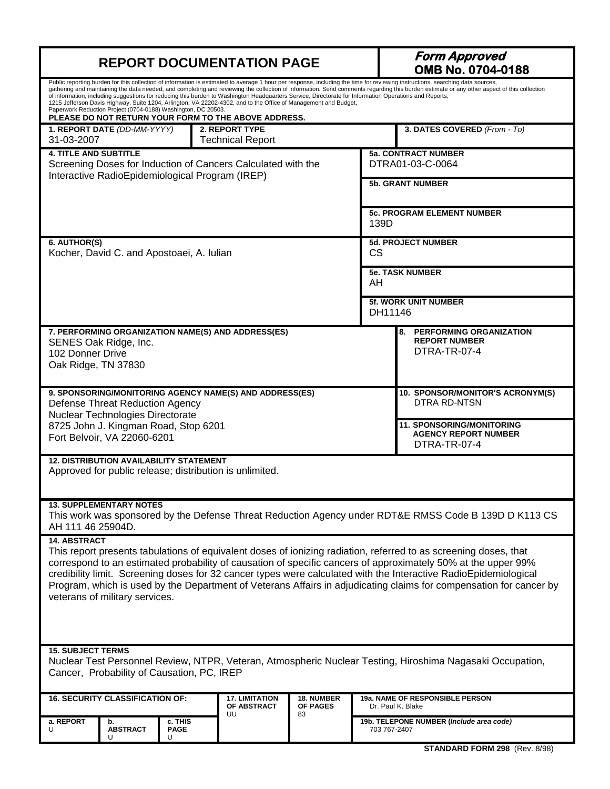| <b>REPORT DOCUMENTATION PAGE</b>                                                                                                                                                                                                                                                                                                                                                                                                                                                                                                                                                                                                                                                                                                                                                   |                                                                                                                                                       |                             |                                                                                 | <b>Form Approved</b><br>OMB No. 0704-0188                          |                                           |                                                      |  |
|------------------------------------------------------------------------------------------------------------------------------------------------------------------------------------------------------------------------------------------------------------------------------------------------------------------------------------------------------------------------------------------------------------------------------------------------------------------------------------------------------------------------------------------------------------------------------------------------------------------------------------------------------------------------------------------------------------------------------------------------------------------------------------|-------------------------------------------------------------------------------------------------------------------------------------------------------|-----------------------------|---------------------------------------------------------------------------------|--------------------------------------------------------------------|-------------------------------------------|------------------------------------------------------|--|
| Public reporting burden for this collection of information is estimated to average 1 hour per response, including the time for reviewing instructions, searching data sources,<br>gathering and maintaining the data needed, and completing and reviewing the collection of information. Send comments regarding this burden estimate or any other aspect of this collection<br>of information, including suggestions for reducing this burden to Washington Headquarters Service, Directorate for Information Operations and Reports,<br>1215 Jefferson Davis Highway, Suite 1204, Arlington, VA 22202-4302, and to the Office of Management and Budget,<br>Paperwork Reduction Project (0704-0188) Washington, DC 20503.<br>PLEASE DO NOT RETURN YOUR FORM TO THE ABOVE ADDRESS. |                                                                                                                                                       |                             |                                                                                 |                                                                    |                                           |                                                      |  |
| 31-03-2007                                                                                                                                                                                                                                                                                                                                                                                                                                                                                                                                                                                                                                                                                                                                                                         | 1. REPORT DATE (DD-MM-YYYY)                                                                                                                           |                             | <b>2. REPORT TYPE</b><br><b>Technical Report</b>                                |                                                                    |                                           | 3. DATES COVERED (From - To)                         |  |
|                                                                                                                                                                                                                                                                                                                                                                                                                                                                                                                                                                                                                                                                                                                                                                                    | <b>4. TITLE AND SUBTITLE</b><br>Screening Doses for Induction of Cancers Calculated with the<br>Interactive RadioEpidemiological Program (IREP)       |                             |                                                                                 | <b>5a. CONTRACT NUMBER</b><br>DTRA01-03-C-0064                     |                                           |                                                      |  |
|                                                                                                                                                                                                                                                                                                                                                                                                                                                                                                                                                                                                                                                                                                                                                                                    |                                                                                                                                                       |                             |                                                                                 |                                                                    |                                           | <b>5b. GRANT NUMBER</b>                              |  |
|                                                                                                                                                                                                                                                                                                                                                                                                                                                                                                                                                                                                                                                                                                                                                                                    |                                                                                                                                                       |                             |                                                                                 |                                                                    | <b>5c. PROGRAM ELEMENT NUMBER</b><br>139D |                                                      |  |
| 6. AUTHOR(S)                                                                                                                                                                                                                                                                                                                                                                                                                                                                                                                                                                                                                                                                                                                                                                       | Kocher, David C. and Apostoaei, A. Iulian                                                                                                             |                             |                                                                                 |                                                                    |                                           | <b>5d. PROJECT NUMBER</b><br><b>CS</b>               |  |
|                                                                                                                                                                                                                                                                                                                                                                                                                                                                                                                                                                                                                                                                                                                                                                                    |                                                                                                                                                       |                             |                                                                                 |                                                                    |                                           | <b>5e. TASK NUMBER</b><br>AH                         |  |
|                                                                                                                                                                                                                                                                                                                                                                                                                                                                                                                                                                                                                                                                                                                                                                                    |                                                                                                                                                       |                             |                                                                                 |                                                                    | <b>5f. WORK UNIT NUMBER</b><br>DH11146    |                                                      |  |
| 7. PERFORMING ORGANIZATION NAME(S) AND ADDRESS(ES)<br>SENES Oak Ridge, Inc.<br>102 Donner Drive<br>Oak Ridge, TN 37830                                                                                                                                                                                                                                                                                                                                                                                                                                                                                                                                                                                                                                                             |                                                                                                                                                       |                             |                                                                                 | 8. PERFORMING ORGANIZATION<br><b>REPORT NUMBER</b><br>DTRA-TR-07-4 |                                           |                                                      |  |
|                                                                                                                                                                                                                                                                                                                                                                                                                                                                                                                                                                                                                                                                                                                                                                                    | 9. SPONSORING/MONITORING AGENCY NAME(S) AND ADDRESS(ES)<br><b>DTRA RD-NTSN</b><br>Defense Threat Reduction Agency<br>Nuclear Technologies Directorate |                             |                                                                                 | 10. SPONSOR/MONITOR'S ACRONYM(S)                                   |                                           |                                                      |  |
| 8725 John J. Kingman Road, Stop 6201<br>Fort Belvoir, VA 22060-6201                                                                                                                                                                                                                                                                                                                                                                                                                                                                                                                                                                                                                                                                                                                |                                                                                                                                                       |                             | <b>11. SPONSORING/MONITORING</b><br><b>AGENCY REPORT NUMBER</b><br>DTRA-TR-07-4 |                                                                    |                                           |                                                      |  |
| <b>12. DISTRIBUTION AVAILABILITY STATEMENT</b><br>Approved for public release; distribution is unlimited.                                                                                                                                                                                                                                                                                                                                                                                                                                                                                                                                                                                                                                                                          |                                                                                                                                                       |                             |                                                                                 |                                                                    |                                           |                                                      |  |
| <b>13. SUPPLEMENTARY NOTES</b><br>This work was sponsored by the Defense Threat Reduction Agency under RDT&E RMSS Code B 139D D K113 CS<br>AH 111 46 25904D.                                                                                                                                                                                                                                                                                                                                                                                                                                                                                                                                                                                                                       |                                                                                                                                                       |                             |                                                                                 |                                                                    |                                           |                                                      |  |
| 14. ABSTRACT<br>This report presents tabulations of equivalent doses of ionizing radiation, referred to as screening doses, that<br>correspond to an estimated probability of causation of specific cancers of approximately 50% at the upper 99%<br>credibility limit. Screening doses for 32 cancer types were calculated with the Interactive RadioEpidemiological<br>Program, which is used by the Department of Veterans Affairs in adjudicating claims for compensation for cancer by<br>veterans of military services.                                                                                                                                                                                                                                                      |                                                                                                                                                       |                             |                                                                                 |                                                                    |                                           |                                                      |  |
| <b>15. SUBJECT TERMS</b><br>Nuclear Test Personnel Review, NTPR, Veteran, Atmospheric Nuclear Testing, Hiroshima Nagasaki Occupation,<br>Cancer, Probability of Causation, PC, IREP                                                                                                                                                                                                                                                                                                                                                                                                                                                                                                                                                                                                |                                                                                                                                                       |                             |                                                                                 |                                                                    |                                           |                                                      |  |
| <b>16. SECURITY CLASSIFICATION OF:</b>                                                                                                                                                                                                                                                                                                                                                                                                                                                                                                                                                                                                                                                                                                                                             |                                                                                                                                                       |                             | <b>17. LIMITATION</b><br>OF ABSTRACT<br>UU                                      | <b>18. NUMBER</b><br>OF PAGES<br>83                                |                                           | 19a. NAME OF RESPONSIBLE PERSON<br>Dr. Paul K. Blake |  |
| a. REPORT<br>U                                                                                                                                                                                                                                                                                                                                                                                                                                                                                                                                                                                                                                                                                                                                                                     | b.<br><b>ABSTRACT</b><br>U                                                                                                                            | c. THIS<br><b>PAGE</b><br>U |                                                                                 |                                                                    | 703 767-2407                              | 19b. TELEPONE NUMBER (Include area code)             |  |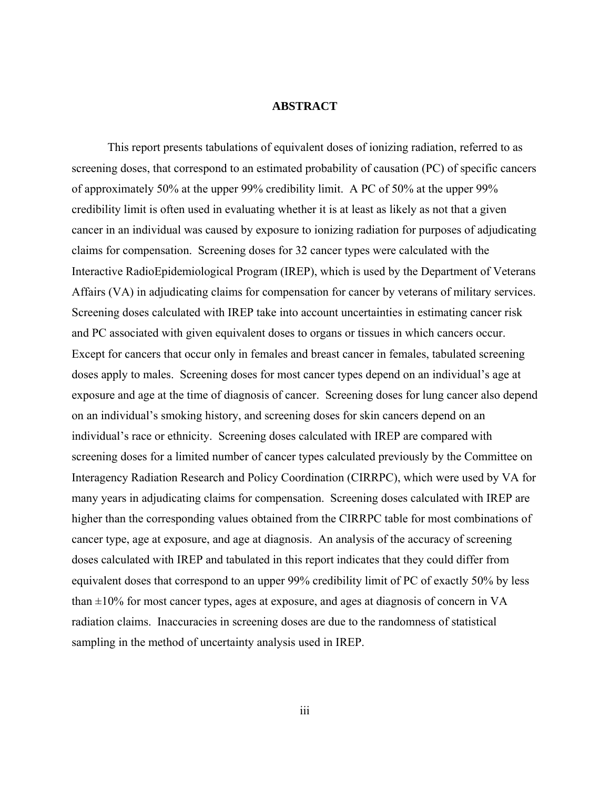# **ABSTRACT**

 This report presents tabulations of equivalent doses of ionizing radiation, referred to as screening doses, that correspond to an estimated probability of causation (PC) of specific cancers of approximately 50% at the upper 99% credibility limit. A PC of 50% at the upper 99% credibility limit is often used in evaluating whether it is at least as likely as not that a given cancer in an individual was caused by exposure to ionizing radiation for purposes of adjudicating claims for compensation. Screening doses for 32 cancer types were calculated with the Interactive RadioEpidemiological Program (IREP), which is used by the Department of Veterans Affairs (VA) in adjudicating claims for compensation for cancer by veterans of military services. Screening doses calculated with IREP take into account uncertainties in estimating cancer risk and PC associated with given equivalent doses to organs or tissues in which cancers occur. Except for cancers that occur only in females and breast cancer in females, tabulated screening doses apply to males. Screening doses for most cancer types depend on an individual's age at exposure and age at the time of diagnosis of cancer. Screening doses for lung cancer also depend on an individual's smoking history, and screening doses for skin cancers depend on an individual's race or ethnicity. Screening doses calculated with IREP are compared with screening doses for a limited number of cancer types calculated previously by the Committee on Interagency Radiation Research and Policy Coordination (CIRRPC), which were used by VA for many years in adjudicating claims for compensation. Screening doses calculated with IREP are higher than the corresponding values obtained from the CIRRPC table for most combinations of cancer type, age at exposure, and age at diagnosis. An analysis of the accuracy of screening doses calculated with IREP and tabulated in this report indicates that they could differ from equivalent doses that correspond to an upper 99% credibility limit of PC of exactly 50% by less than  $\pm 10\%$  for most cancer types, ages at exposure, and ages at diagnosis of concern in VA radiation claims. Inaccuracies in screening doses are due to the randomness of statistical sampling in the method of uncertainty analysis used in IREP.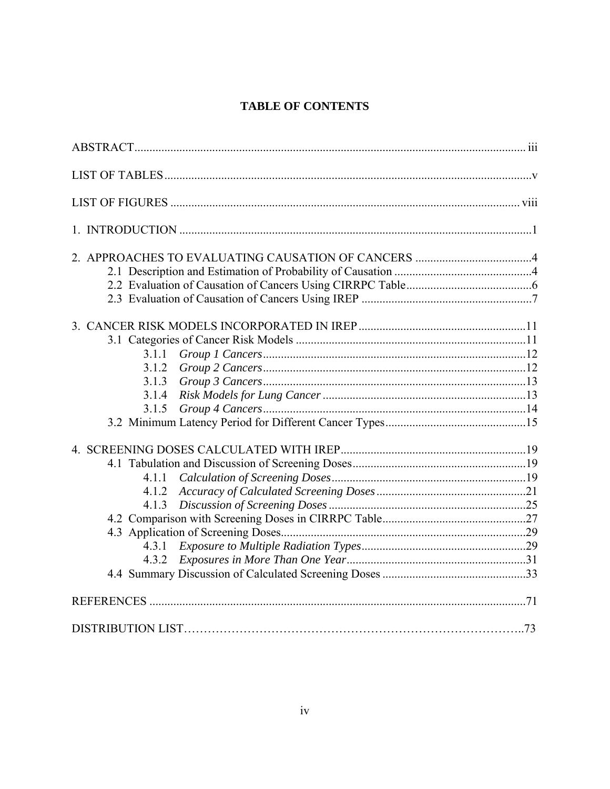# **TABLE OF CONTENTS**

| 3.1.1 |  |
|-------|--|
| 3.1.2 |  |
| 3.1.3 |  |
|       |  |
| 3.1.5 |  |
|       |  |
|       |  |
|       |  |
| 4.1.1 |  |
| 4.1.2 |  |
| 4.1.3 |  |
|       |  |
|       |  |
| 4.3.1 |  |
|       |  |
|       |  |
|       |  |
|       |  |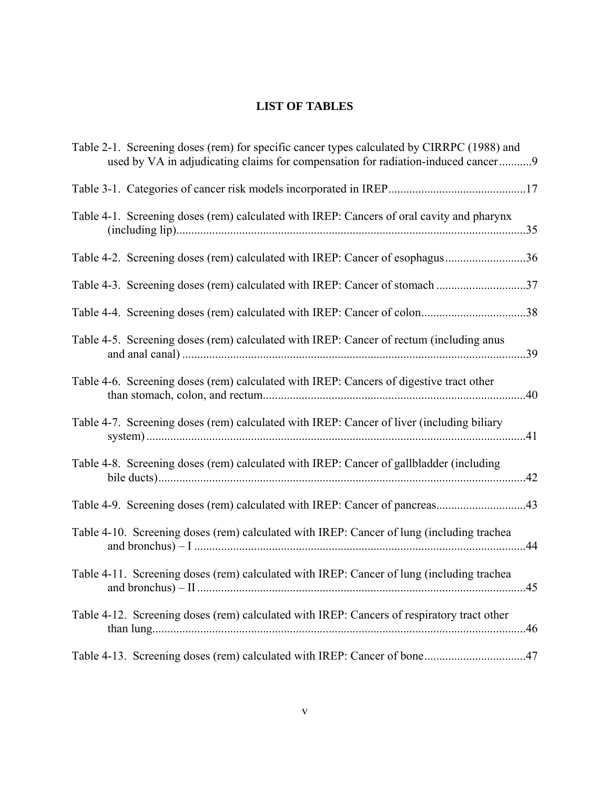# **LIST OF TABLES**

| Table 2-1. Screening doses (rem) for specific cancer types calculated by CIRRPC (1988) and<br>used by VA in adjudicating claims for compensation for radiation-induced cancer9 |
|--------------------------------------------------------------------------------------------------------------------------------------------------------------------------------|
|                                                                                                                                                                                |
| Table 4-1. Screening doses (rem) calculated with IREP: Cancers of oral cavity and pharynx                                                                                      |
| Table 4-2. Screening doses (rem) calculated with IREP: Cancer of esophagus36                                                                                                   |
| Table 4-3. Screening doses (rem) calculated with IREP: Cancer of stomach 37                                                                                                    |
| Table 4-4. Screening doses (rem) calculated with IREP: Cancer of colon38                                                                                                       |
| Table 4-5. Screening doses (rem) calculated with IREP: Cancer of rectum (including anus                                                                                        |
| Table 4-6. Screening doses (rem) calculated with IREP: Cancers of digestive tract other<br>.40                                                                                 |
| Table 4-7. Screening doses (rem) calculated with IREP: Cancer of liver (including biliary                                                                                      |
| Table 4-8. Screening doses (rem) calculated with IREP: Cancer of gallbladder (including                                                                                        |
| Table 4-9. Screening doses (rem) calculated with IREP: Cancer of pancreas43                                                                                                    |
| Table 4-10. Screening doses (rem) calculated with IREP: Cancer of lung (including trachea                                                                                      |
| Table 4-11. Screening doses (rem) calculated with IREP: Cancer of lung (including trachea                                                                                      |
| Table 4-12. Screening doses (rem) calculated with IREP: Cancers of respiratory tract other                                                                                     |
| Table 4-13. Screening doses (rem) calculated with IREP: Cancer of bone47                                                                                                       |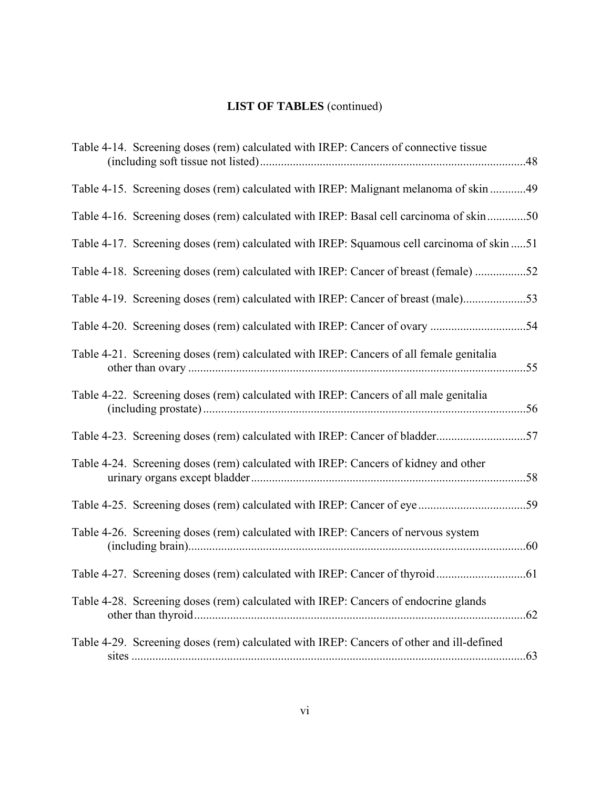# **LIST OF TABLES** (continued)

| Table 4-14. Screening doses (rem) calculated with IREP: Cancers of connective tissue                   |
|--------------------------------------------------------------------------------------------------------|
| Table 4-15. Screening doses (rem) calculated with IREP: Malignant melanoma of skin 49                  |
| Table 4-16. Screening doses (rem) calculated with IREP: Basal cell carcinoma of skin50                 |
| Table 4-17. Screening doses (rem) calculated with IREP: Squamous cell carcinoma of skin 51             |
| Table 4-18. Screening doses (rem) calculated with IREP: Cancer of breast (female) 52                   |
| Table 4-19. Screening doses (rem) calculated with IREP: Cancer of breast (male)53                      |
|                                                                                                        |
| Table 4-21. Screening doses (rem) calculated with IREP: Cancers of all female genitalia                |
| Table 4-22. Screening doses (rem) calculated with IREP: Cancers of all male genitalia                  |
|                                                                                                        |
| Table 4-24. Screening doses (rem) calculated with IREP: Cancers of kidney and other                    |
|                                                                                                        |
| Table 4-26. Screening doses (rem) calculated with IREP: Cancers of nervous system                      |
|                                                                                                        |
| Table 4-28. Screening doses (rem) calculated with IREP: Cancers of endocrine glands                    |
| Table 4-29. Screening doses (rem) calculated with IREP: Cancers of other and ill-defined<br>$\dots 63$ |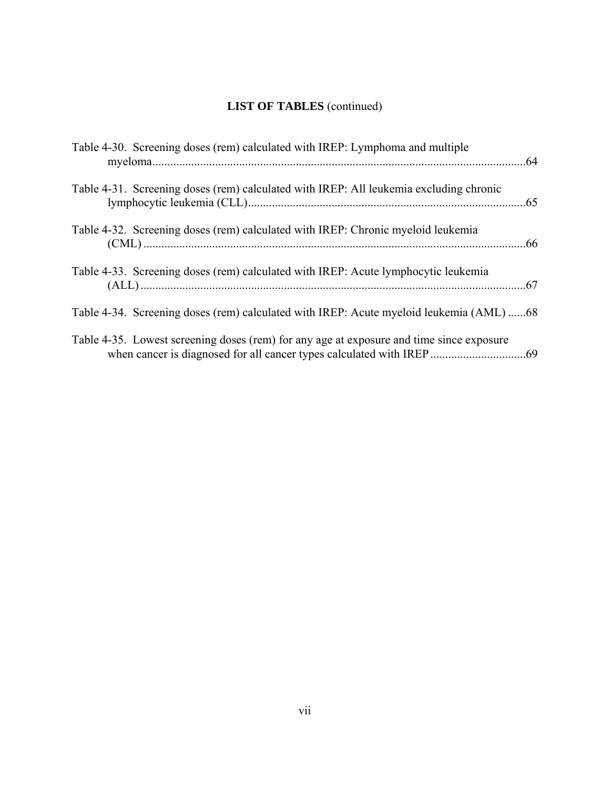# **LIST OF TABLES** (continued)

| Table 4-30. Screening doses (rem) calculated with IREP: Lymphoma and multiple            |  |
|------------------------------------------------------------------------------------------|--|
| Table 4-31. Screening doses (rem) calculated with IREP: All leukemia excluding chronic   |  |
| Table 4-32. Screening doses (rem) calculated with IREP: Chronic myeloid leukemia         |  |
| Table 4-33. Screening doses (rem) calculated with IREP: Acute lymphocytic leukemia       |  |
| Table 4-34. Screening doses (rem) calculated with IREP: Acute myeloid leukemia (AML) 68  |  |
| Table 4-35. Lowest screening doses (rem) for any age at exposure and time since exposure |  |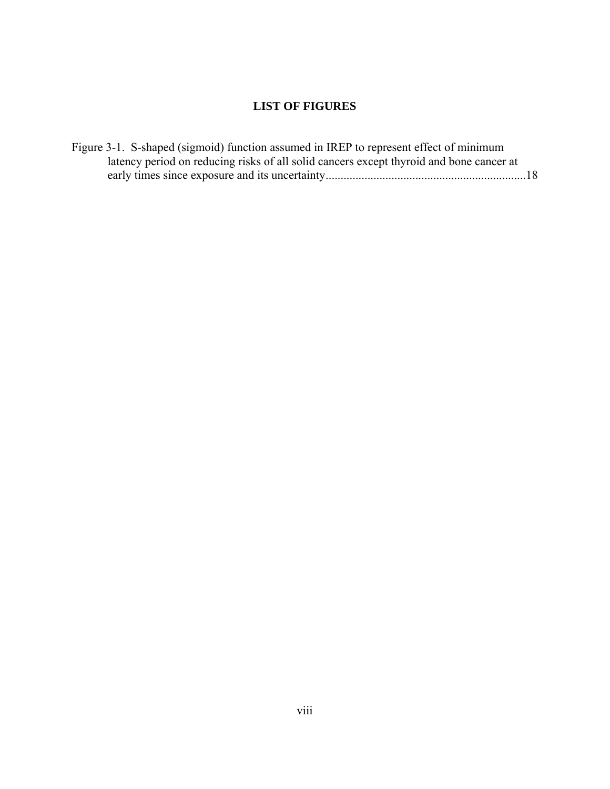# **LIST OF FIGURES**

| Figure 3-1. S-shaped (sigmoid) function assumed in IREP to represent effect of minimum  |  |
|-----------------------------------------------------------------------------------------|--|
| latency period on reducing risks of all solid cancers except thyroid and bone cancer at |  |
|                                                                                         |  |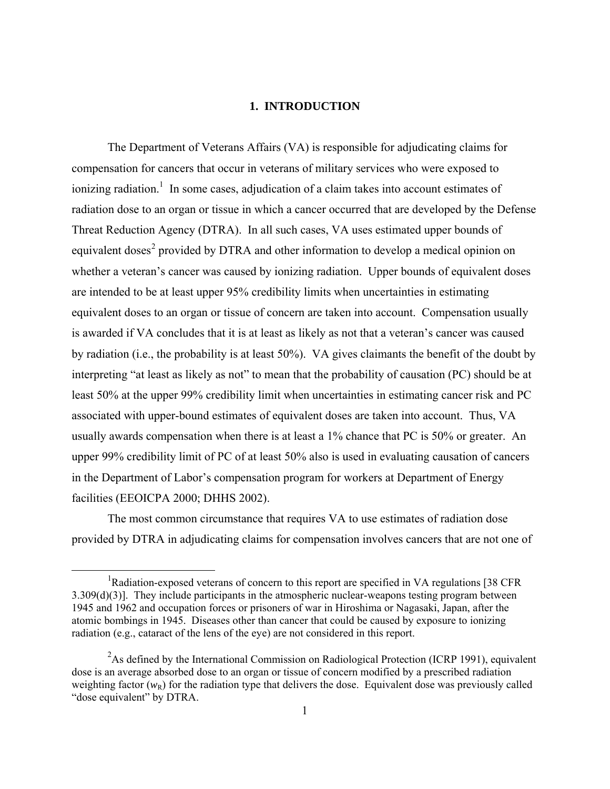# **1. INTRODUCTION**

 The Department of Veterans Affairs (VA) is responsible for adjudicating claims for compensation for cancers that occur in veterans of military services who were exposed to ionizing radiation.<sup>1</sup> In some cases, adjudication of a claim takes into account estimates of radiation dose to an organ or tissue in which a cancer occurred that are developed by the Defense Threat Reduction Agency (DTRA). In all such cases, VA uses estimated upper bounds of equivalent doses<sup>[2](#page-8-0)</sup> provided by DTRA and other information to develop a medical opinion on whether a veteran's cancer was caused by ionizing radiation. Upper bounds of equivalent doses are intended to be at least upper 95% credibility limits when uncertainties in estimating equivalent doses to an organ or tissue of concern are taken into account. Compensation usually is awarded if VA concludes that it is at least as likely as not that a veteran's cancer was caused by radiation (i.e., the probability is at least 50%). VA gives claimants the benefit of the doubt by interpreting "at least as likely as not" to mean that the probability of causation (PC) should be at least 50% at the upper 99% credibility limit when uncertainties in estimating cancer risk and PC associated with upper-bound estimates of equivalent doses are taken into account. Thus, VA usually awards compensation when there is at least a 1% chance that PC is 50% or greater. An upper 99% credibility limit of PC of at least 50% also is used in evaluating causation of cancers in the Department of Labor's compensation program for workers at Department of Energy facilities (EEOICPA 2000; DHHS 2002).

 The most common circumstance that requires VA to use estimates of radiation dose provided by DTRA in adjudicating claims for compensation involves cancers that are not one of

<span id="page-8-0"></span><sup>&</sup>lt;u>1</u> <sup>1</sup>Radiation-exposed veterans of concern to this report are specified in VA regulations [38 CFR] 3.309(d)(3)]. They include participants in the atmospheric nuclear-weapons testing program between 1945 and 1962 and occupation forces or prisoners of war in Hiroshima or Nagasaki, Japan, after the atomic bombings in 1945. Diseases other than cancer that could be caused by exposure to ionizing radiation (e.g., cataract of the lens of the eye) are not considered in this report.

<sup>&</sup>lt;sup>2</sup>As defined by the International Commission on Radiological Protection (ICRP 1991), equivalent dose is an average absorbed dose to an organ or tissue of concern modified by a prescribed radiation weighting factor  $(w_R)$  for the radiation type that delivers the dose. Equivalent dose was previously called "dose equivalent" by DTRA.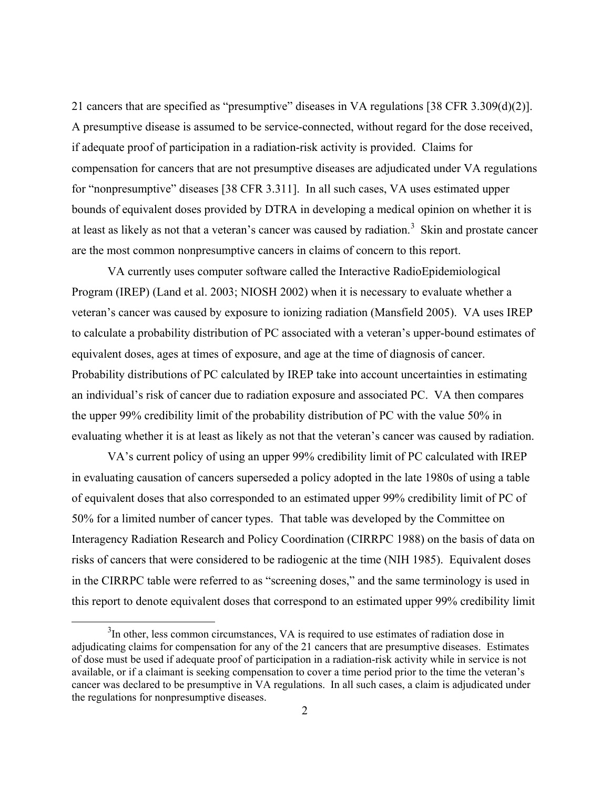21 cancers that are specified as "presumptive" diseases in VA regulations [38 CFR 3.309(d)(2)]. A presumptive disease is assumed to be service-connected, without regard for the dose received, if adequate proof of participation in a radiation-risk activity is provided. Claims for compensation for cancers that are not presumptive diseases are adjudicated under VA regulations for "nonpresumptive" diseases [38 CFR 3.311]. In all such cases, VA uses estimated upper bounds of equivalent doses provided by DTRA in developing a medical opinion on whether it is at least as likely as not that a veteran's cancer was caused by radiation.<sup>[3](#page-9-0)</sup> Skin and prostate cancer are the most common nonpresumptive cancers in claims of concern to this report.

 VA currently uses computer software called the Interactive RadioEpidemiological Program (IREP) (Land et al. 2003; NIOSH 2002) when it is necessary to evaluate whether a veteran's cancer was caused by exposure to ionizing radiation (Mansfield 2005). VA uses IREP to calculate a probability distribution of PC associated with a veteran's upper-bound estimates of equivalent doses, ages at times of exposure, and age at the time of diagnosis of cancer. Probability distributions of PC calculated by IREP take into account uncertainties in estimating an individual's risk of cancer due to radiation exposure and associated PC. VA then compares the upper 99% credibility limit of the probability distribution of PC with the value 50% in evaluating whether it is at least as likely as not that the veteran's cancer was caused by radiation.

 VA's current policy of using an upper 99% credibility limit of PC calculated with IREP in evaluating causation of cancers superseded a policy adopted in the late 1980s of using a table of equivalent doses that also corresponded to an estimated upper 99% credibility limit of PC of 50% for a limited number of cancer types. That table was developed by the Committee on Interagency Radiation Research and Policy Coordination (CIRRPC 1988) on the basis of data on risks of cancers that were considered to be radiogenic at the time (NIH 1985). Equivalent doses in the CIRRPC table were referred to as "screening doses," and the same terminology is used in this report to denote equivalent doses that correspond to an estimated upper 99% credibility limit

<span id="page-9-0"></span> $\frac{1}{3}$  $3$ In other, less common circumstances, VA is required to use estimates of radiation dose in adjudicating claims for compensation for any of the 21 cancers that are presumptive diseases. Estimates of dose must be used if adequate proof of participation in a radiation-risk activity while in service is not available, or if a claimant is seeking compensation to cover a time period prior to the time the veteran's cancer was declared to be presumptive in VA regulations. In all such cases, a claim is adjudicated under the regulations for nonpresumptive diseases.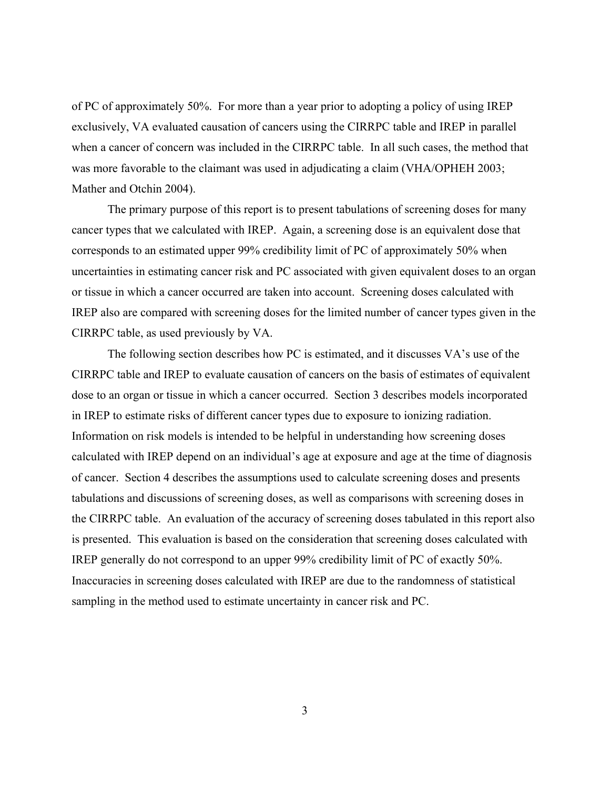of PC of approximately 50%. For more than a year prior to adopting a policy of using IREP exclusively, VA evaluated causation of cancers using the CIRRPC table and IREP in parallel when a cancer of concern was included in the CIRRPC table. In all such cases, the method that was more favorable to the claimant was used in adjudicating a claim (VHA/OPHEH 2003; Mather and Otchin 2004).

 The primary purpose of this report is to present tabulations of screening doses for many cancer types that we calculated with IREP. Again, a screening dose is an equivalent dose that corresponds to an estimated upper 99% credibility limit of PC of approximately 50% when uncertainties in estimating cancer risk and PC associated with given equivalent doses to an organ or tissue in which a cancer occurred are taken into account. Screening doses calculated with IREP also are compared with screening doses for the limited number of cancer types given in the CIRRPC table, as used previously by VA.

 The following section describes how PC is estimated, and it discusses VA's use of the CIRRPC table and IREP to evaluate causation of cancers on the basis of estimates of equivalent dose to an organ or tissue in which a cancer occurred. Section 3 describes models incorporated in IREP to estimate risks of different cancer types due to exposure to ionizing radiation. Information on risk models is intended to be helpful in understanding how screening doses calculated with IREP depend on an individual's age at exposure and age at the time of diagnosis of cancer. Section 4 describes the assumptions used to calculate screening doses and presents tabulations and discussions of screening doses, as well as comparisons with screening doses in the CIRRPC table. An evaluation of the accuracy of screening doses tabulated in this report also is presented. This evaluation is based on the consideration that screening doses calculated with IREP generally do not correspond to an upper 99% credibility limit of PC of exactly 50%. Inaccuracies in screening doses calculated with IREP are due to the randomness of statistical sampling in the method used to estimate uncertainty in cancer risk and PC.

3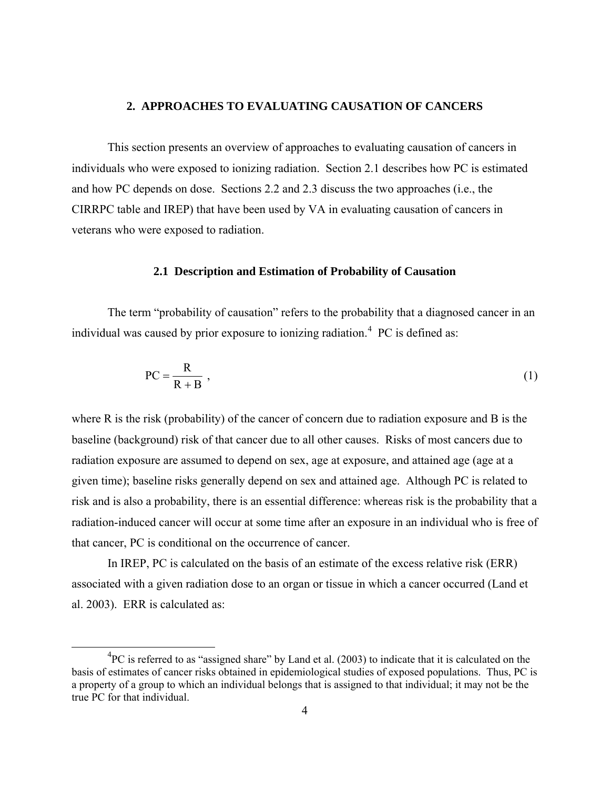# **2. APPROACHES TO EVALUATING CAUSATION OF CANCERS**

 This section presents an overview of approaches to evaluating causation of cancers in individuals who were exposed to ionizing radiation. Section 2.1 describes how PC is estimated and how PC depends on dose. Sections 2.2 and 2.3 discuss the two approaches (i.e., the CIRRPC table and IREP) that have been used by VA in evaluating causation of cancers in veterans who were exposed to radiation.

## **2.1 Description and Estimation of Probability of Causation**

 The term "probability of causation" refers to the probability that a diagnosed cancer in an individual was caused by prior exposure to ionizing radiation.<sup>[4](#page-11-0)</sup> PC is defined as:

$$
PC = \frac{R}{R + B} \tag{1}
$$

where R is the risk (probability) of the cancer of concern due to radiation exposure and B is the baseline (background) risk of that cancer due to all other causes. Risks of most cancers due to radiation exposure are assumed to depend on sex, age at exposure, and attained age (age at a given time); baseline risks generally depend on sex and attained age. Although PC is related to risk and is also a probability, there is an essential difference: whereas risk is the probability that a radiation-induced cancer will occur at some time after an exposure in an individual who is free of that cancer, PC is conditional on the occurrence of cancer.

 In IREP, PC is calculated on the basis of an estimate of the excess relative risk (ERR) associated with a given radiation dose to an organ or tissue in which a cancer occurred (Land et al. 2003). ERR is calculated as:

<span id="page-11-0"></span> <sup>4</sup>  ${}^{4}PC$  is referred to as "assigned share" by Land et al. (2003) to indicate that it is calculated on the basis of estimates of cancer risks obtained in epidemiological studies of exposed populations. Thus, PC is a property of a group to which an individual belongs that is assigned to that individual; it may not be the true PC for that individual.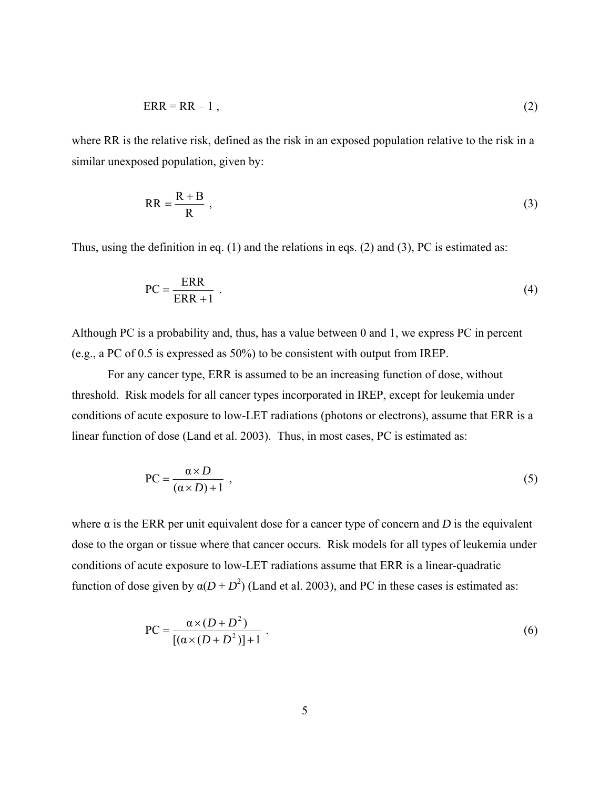$$
ERR = RR - 1, \tag{2}
$$

where RR is the relative risk, defined as the risk in an exposed population relative to the risk in a similar unexposed population, given by:

$$
RR = \frac{R + B}{R} \t\t(3)
$$

Thus, using the definition in eq. (1) and the relations in eqs. (2) and (3), PC is estimated as:

$$
PC = \frac{ERR}{ERR + 1} \tag{4}
$$

Although PC is a probability and, thus, has a value between 0 and 1, we express PC in percent (e.g., a PC of 0.5 is expressed as 50%) to be consistent with output from IREP.

 For any cancer type, ERR is assumed to be an increasing function of dose, without threshold. Risk models for all cancer types incorporated in IREP, except for leukemia under conditions of acute exposure to low-LET radiations (photons or electrons), assume that ERR is a linear function of dose (Land et al. 2003). Thus, in most cases, PC is estimated as:

$$
PC = \frac{\alpha \times D}{(\alpha \times D) + 1} \tag{5}
$$

where  $\alpha$  is the ERR per unit equivalent dose for a cancer type of concern and *D* is the equivalent dose to the organ or tissue where that cancer occurs. Risk models for all types of leukemia under conditions of acute exposure to low-LET radiations assume that ERR is a linear-quadratic function of dose given by  $\alpha(D + D^2)$  (Land et al. 2003), and PC in these cases is estimated as:

$$
PC = \frac{\alpha \times (D + D^2)}{[(\alpha \times (D + D^2))] + 1} \ . \tag{6}
$$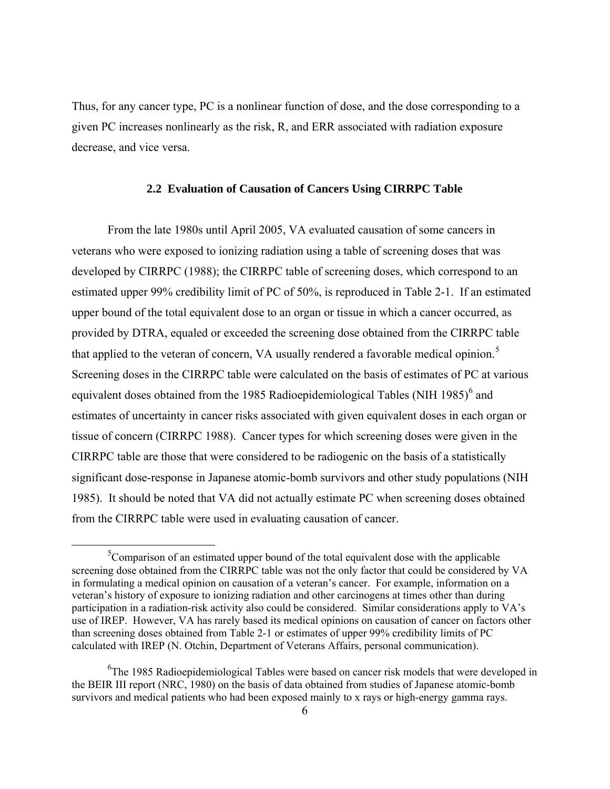Thus, for any cancer type, PC is a nonlinear function of dose, and the dose corresponding to a given PC increases nonlinearly as the risk, R, and ERR associated with radiation exposure decrease, and vice versa.

## **2.2 Evaluation of Causation of Cancers Using CIRRPC Table**

 From the late 1980s until April 2005, VA evaluated causation of some cancers in veterans who were exposed to ionizing radiation using a table of screening doses that was developed by CIRRPC (1988); the CIRRPC table of screening doses, which correspond to an estimated upper 99% credibility limit of PC of 50%, is reproduced in Table 2-1. If an estimated upper bound of the total equivalent dose to an organ or tissue in which a cancer occurred, as provided by DTRA, equaled or exceeded the screening dose obtained from the CIRRPC table that applied to the veteran of concern, VA usually rendered a favorable medical opinion.<sup>[5](#page-13-0)</sup> Screening doses in the CIRRPC table were calculated on the basis of estimates of PC at various equivalent doses obtained from the 1985 Radioepidemiological Tables (NIH 1985) $<sup>6</sup>$  $<sup>6</sup>$  $<sup>6</sup>$  and</sup> estimates of uncertainty in cancer risks associated with given equivalent doses in each organ or tissue of concern (CIRRPC 1988). Cancer types for which screening doses were given in the CIRRPC table are those that were considered to be radiogenic on the basis of a statistically significant dose-response in Japanese atomic-bomb survivors and other study populations (NIH 1985). It should be noted that VA did not actually estimate PC when screening doses obtained from the CIRRPC table were used in evaluating causation of cancer.

<span id="page-13-0"></span> $\frac{1}{5}$  ${}^{5}$ Comparison of an estimated upper bound of the total equivalent dose with the applicable screening dose obtained from the CIRRPC table was not the only factor that could be considered by VA in formulating a medical opinion on causation of a veteran's cancer. For example, information on a veteran's history of exposure to ionizing radiation and other carcinogens at times other than during participation in a radiation-risk activity also could be considered. Similar considerations apply to VA's use of IREP. However, VA has rarely based its medical opinions on causation of cancer on factors other than screening doses obtained from Table 2-1 or estimates of upper 99% credibility limits of PC calculated with IREP (N. Otchin, Department of Veterans Affairs, personal communication).

<span id="page-13-1"></span><sup>&</sup>lt;sup>6</sup>The 1985 Radioepidemiological Tables were based on cancer risk models that were developed in the BEIR III report (NRC, 1980) on the basis of data obtained from studies of Japanese atomic-bomb survivors and medical patients who had been exposed mainly to x rays or high-energy gamma rays.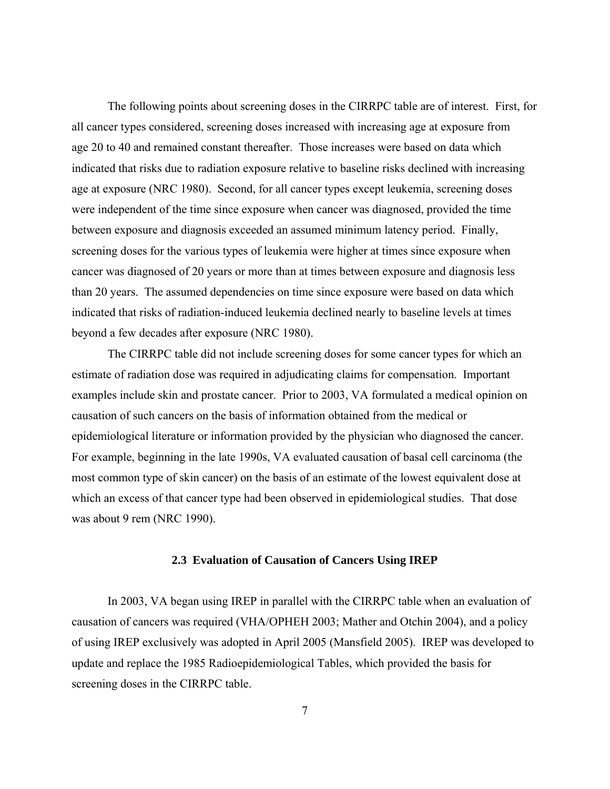The following points about screening doses in the CIRRPC table are of interest. First, for all cancer types considered, screening doses increased with increasing age at exposure from age 20 to 40 and remained constant thereafter. Those increases were based on data which indicated that risks due to radiation exposure relative to baseline risks declined with increasing age at exposure (NRC 1980). Second, for all cancer types except leukemia, screening doses were independent of the time since exposure when cancer was diagnosed, provided the time between exposure and diagnosis exceeded an assumed minimum latency period. Finally, screening doses for the various types of leukemia were higher at times since exposure when cancer was diagnosed of 20 years or more than at times between exposure and diagnosis less than 20 years. The assumed dependencies on time since exposure were based on data which indicated that risks of radiation-induced leukemia declined nearly to baseline levels at times beyond a few decades after exposure (NRC 1980).

 The CIRRPC table did not include screening doses for some cancer types for which an estimate of radiation dose was required in adjudicating claims for compensation. Important examples include skin and prostate cancer. Prior to 2003, VA formulated a medical opinion on causation of such cancers on the basis of information obtained from the medical or epidemiological literature or information provided by the physician who diagnosed the cancer. For example, beginning in the late 1990s, VA evaluated causation of basal cell carcinoma (the most common type of skin cancer) on the basis of an estimate of the lowest equivalent dose at which an excess of that cancer type had been observed in epidemiological studies. That dose was about 9 rem (NRC 1990).

#### **2.3 Evaluation of Causation of Cancers Using IREP**

 In 2003, VA began using IREP in parallel with the CIRRPC table when an evaluation of causation of cancers was required (VHA/OPHEH 2003; Mather and Otchin 2004), and a policy of using IREP exclusively was adopted in April 2005 (Mansfield 2005). IREP was developed to update and replace the 1985 Radioepidemiological Tables, which provided the basis for screening doses in the CIRRPC table.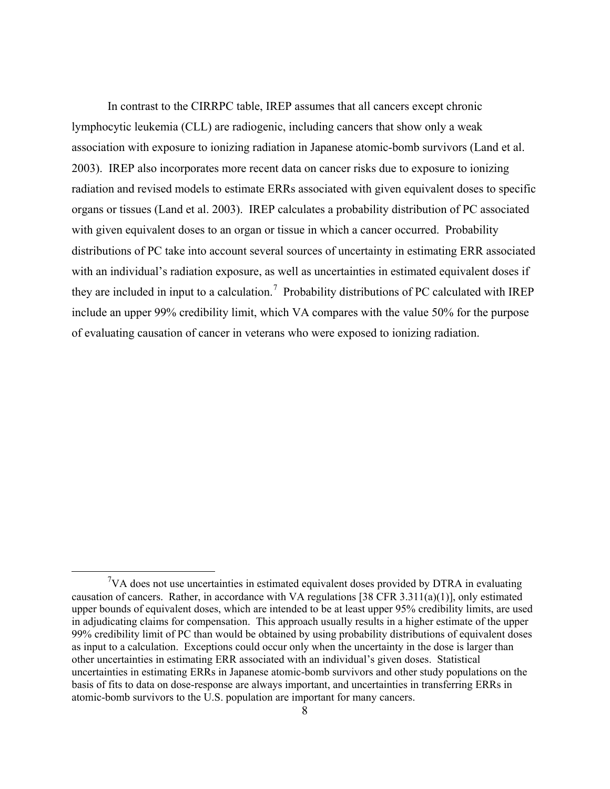In contrast to the CIRRPC table, IREP assumes that all cancers except chronic lymphocytic leukemia (CLL) are radiogenic, including cancers that show only a weak association with exposure to ionizing radiation in Japanese atomic-bomb survivors (Land et al. 2003). IREP also incorporates more recent data on cancer risks due to exposure to ionizing radiation and revised models to estimate ERRs associated with given equivalent doses to specific organs or tissues (Land et al. 2003). IREP calculates a probability distribution of PC associated with given equivalent doses to an organ or tissue in which a cancer occurred. Probability distributions of PC take into account several sources of uncertainty in estimating ERR associated with an individual's radiation exposure, as well as uncertainties in estimated equivalent doses if they are included in input to a calculation.<sup>[7](#page-15-0)</sup> Probability distributions of PC calculated with IREP include an upper 99% credibility limit, which VA compares with the value 50% for the purpose of evaluating causation of cancer in veterans who were exposed to ionizing radiation.

<span id="page-15-0"></span> $\overline{7}$  $\sqrt[7]{V}A$  does not use uncertainties in estimated equivalent doses provided by DTRA in evaluating causation of cancers. Rather, in accordance with VA regulations [38 CFR  $3.311(a)(1)$ ], only estimated upper bounds of equivalent doses, which are intended to be at least upper 95% credibility limits, are used in adjudicating claims for compensation. This approach usually results in a higher estimate of the upper 99% credibility limit of PC than would be obtained by using probability distributions of equivalent doses as input to a calculation. Exceptions could occur only when the uncertainty in the dose is larger than other uncertainties in estimating ERR associated with an individual's given doses. Statistical uncertainties in estimating ERRs in Japanese atomic-bomb survivors and other study populations on the basis of fits to data on dose-response are always important, and uncertainties in transferring ERRs in atomic-bomb survivors to the U.S. population are important for many cancers.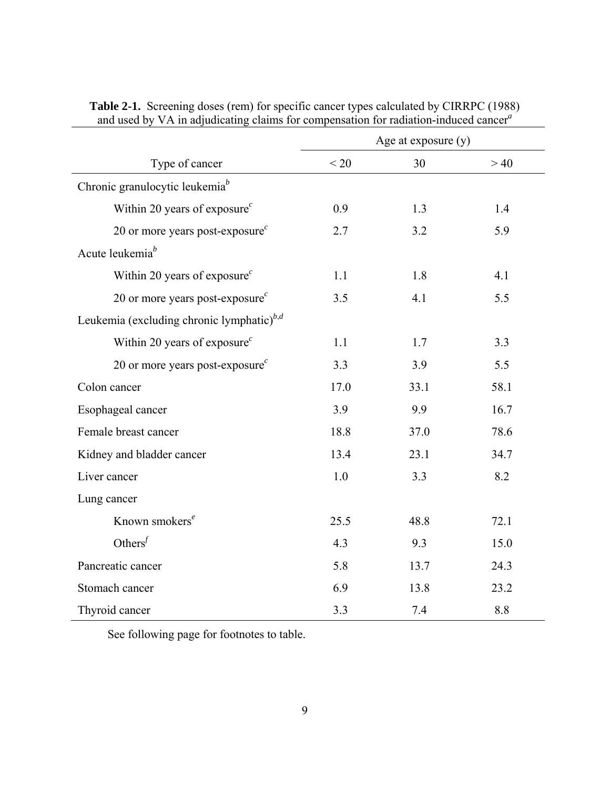|                                                          | Age at exposure (y) |      |      |
|----------------------------------------------------------|---------------------|------|------|
| Type of cancer                                           | < 20                | 30   | >40  |
| Chronic granulocytic leukemia <sup>b</sup>               |                     |      |      |
| Within 20 years of exposure <sup><math>c</math></sup>    | 0.9                 | 1.3  | 1.4  |
| 20 or more years post-exposure <sup><math>c</math></sup> | 2.7                 | 3.2  | 5.9  |
| Acute leukemia $^b$                                      |                     |      |      |
| Within 20 years of exposure $c$                          | 1.1                 | 1.8  | 4.1  |
| 20 or more years post-exposure $^c$                      | 3.5                 | 4.1  | 5.5  |
| Leukemia (excluding chronic lymphatic) $^{b,d}$          |                     |      |      |
| Within 20 years of exposure <sup><math>c</math></sup>    | 1.1                 | 1.7  | 3.3  |
| 20 or more years post-exposure <sup><math>c</math></sup> | 3.3                 | 3.9  | 5.5  |
| Colon cancer                                             | 17.0                | 33.1 | 58.1 |
| Esophageal cancer                                        | 3.9                 | 9.9  | 16.7 |
| Female breast cancer                                     | 18.8                | 37.0 | 78.6 |
| Kidney and bladder cancer                                | 13.4                | 23.1 | 34.7 |
| Liver cancer                                             | 1.0                 | 3.3  | 8.2  |
| Lung cancer                                              |                     |      |      |
| Known smokers <sup>e</sup>                               | 25.5                | 48.8 | 72.1 |
| Others $\int$                                            | 4.3                 | 9.3  | 15.0 |
| Pancreatic cancer                                        | 5.8                 | 13.7 | 24.3 |
| Stomach cancer                                           | 6.9                 | 13.8 | 23.2 |
| Thyroid cancer                                           | 3.3                 | 7.4  | 8.8  |

**Table 2-1.** Screening doses (rem) for specific cancer types calculated by CIRRPC (1988) and used by VA in adjudicating claims for compensation for radiation-induced cancer*<sup>a</sup>*

See following page for footnotes to table.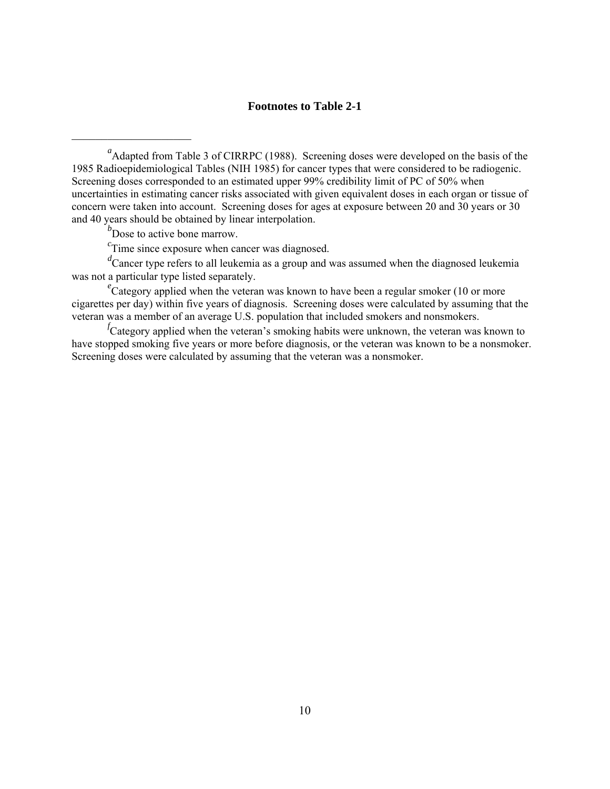# **Footnotes to Table 2-1**

*b*<sup>*b*</sup> Dose to active bone marrow.

 $\mathcal{L}_\text{max}$ 

*c* Time since exposure when cancer was diagnosed.

*d* Cancer type refers to all leukemia as a group and was assumed when the diagnosed leukemia was not a particular type listed separately.

<sup>e</sup>Category applied when the veteran was known to have been a regular smoker (10 or more cigarettes per day) within five years of diagnosis. Screening doses were calculated by assuming that the veteran was a member of an average U.S. population that included smokers and nonsmokers.

*f* Category applied when the veteran's smoking habits were unknown, the veteran was known to have stopped smoking five years or more before diagnosis, or the veteran was known to be a nonsmoker. Screening doses were calculated by assuming that the veteran was a nonsmoker.

<sup>&</sup>lt;sup>a</sup> Adapted from Table 3 of CIRRPC (1988). Screening doses were developed on the basis of the 1985 Radioepidemiological Tables (NIH 1985) for cancer types that were considered to be radiogenic. Screening doses corresponded to an estimated upper 99% credibility limit of PC of 50% when uncertainties in estimating cancer risks associated with given equivalent doses in each organ or tissue of concern were taken into account. Screening doses for ages at exposure between 20 and 30 years or 30 and 40 years should be obtained by linear interpolation.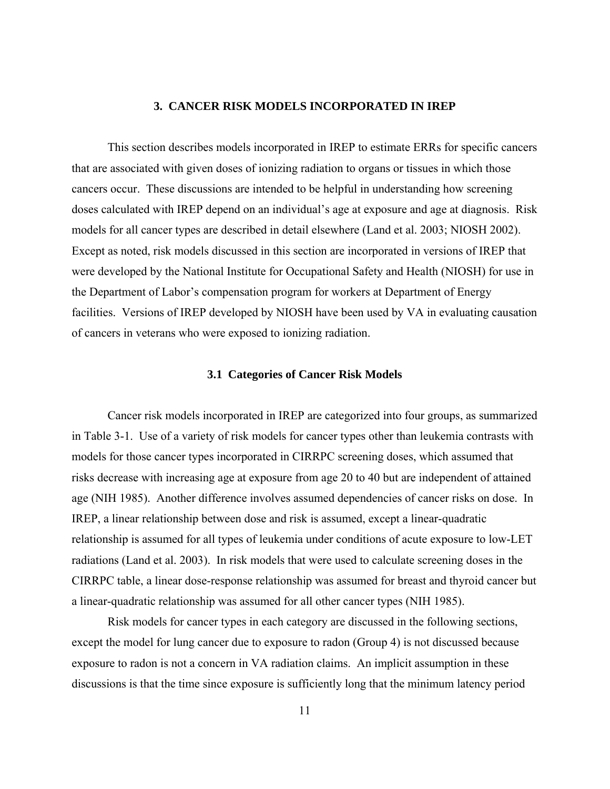#### **3. CANCER RISK MODELS INCORPORATED IN IREP**

 This section describes models incorporated in IREP to estimate ERRs for specific cancers that are associated with given doses of ionizing radiation to organs or tissues in which those cancers occur. These discussions are intended to be helpful in understanding how screening doses calculated with IREP depend on an individual's age at exposure and age at diagnosis. Risk models for all cancer types are described in detail elsewhere (Land et al. 2003; NIOSH 2002). Except as noted, risk models discussed in this section are incorporated in versions of IREP that were developed by the National Institute for Occupational Safety and Health (NIOSH) for use in the Department of Labor's compensation program for workers at Department of Energy facilities. Versions of IREP developed by NIOSH have been used by VA in evaluating causation of cancers in veterans who were exposed to ionizing radiation.

#### **3.1 Categories of Cancer Risk Models**

 Cancer risk models incorporated in IREP are categorized into four groups, as summarized in Table 3-1. Use of a variety of risk models for cancer types other than leukemia contrasts with models for those cancer types incorporated in CIRRPC screening doses, which assumed that risks decrease with increasing age at exposure from age 20 to 40 but are independent of attained age (NIH 1985). Another difference involves assumed dependencies of cancer risks on dose. In IREP, a linear relationship between dose and risk is assumed, except a linear-quadratic relationship is assumed for all types of leukemia under conditions of acute exposure to low-LET radiations (Land et al. 2003). In risk models that were used to calculate screening doses in the CIRRPC table, a linear dose-response relationship was assumed for breast and thyroid cancer but a linear-quadratic relationship was assumed for all other cancer types (NIH 1985).

 Risk models for cancer types in each category are discussed in the following sections, except the model for lung cancer due to exposure to radon (Group 4) is not discussed because exposure to radon is not a concern in VA radiation claims. An implicit assumption in these discussions is that the time since exposure is sufficiently long that the minimum latency period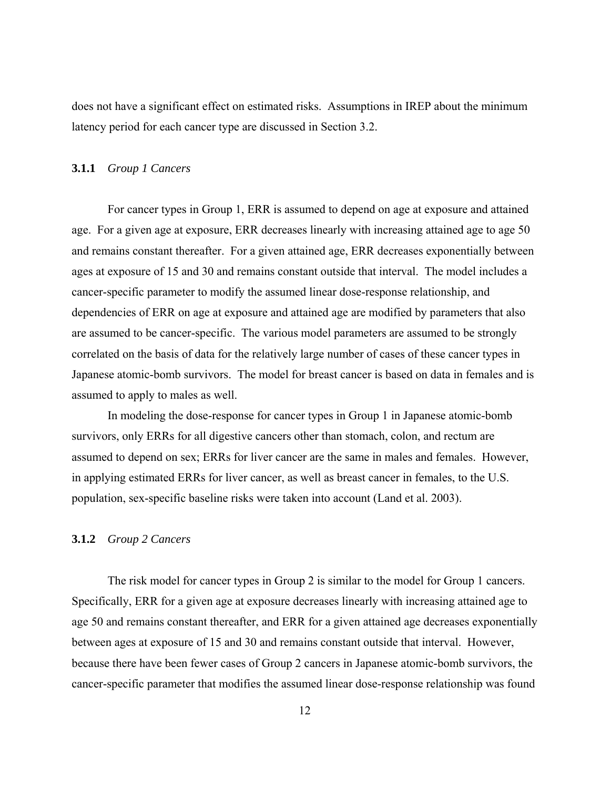does not have a significant effect on estimated risks. Assumptions in IREP about the minimum latency period for each cancer type are discussed in Section 3.2.

#### **3.1.1** *Group 1 Cancers*

 For cancer types in Group 1, ERR is assumed to depend on age at exposure and attained age. For a given age at exposure, ERR decreases linearly with increasing attained age to age 50 and remains constant thereafter. For a given attained age, ERR decreases exponentially between ages at exposure of 15 and 30 and remains constant outside that interval. The model includes a cancer-specific parameter to modify the assumed linear dose-response relationship, and dependencies of ERR on age at exposure and attained age are modified by parameters that also are assumed to be cancer-specific. The various model parameters are assumed to be strongly correlated on the basis of data for the relatively large number of cases of these cancer types in Japanese atomic-bomb survivors. The model for breast cancer is based on data in females and is assumed to apply to males as well.

In modeling the dose-response for cancer types in Group 1 in Japanese atomic-bomb survivors, only ERRs for all digestive cancers other than stomach, colon, and rectum are assumed to depend on sex; ERRs for liver cancer are the same in males and females. However, in applying estimated ERRs for liver cancer, as well as breast cancer in females, to the U.S. population, sex-specific baseline risks were taken into account (Land et al. 2003).

# **3.1.2** *Group 2 Cancers*

 The risk model for cancer types in Group 2 is similar to the model for Group 1 cancers. Specifically, ERR for a given age at exposure decreases linearly with increasing attained age to age 50 and remains constant thereafter, and ERR for a given attained age decreases exponentially between ages at exposure of 15 and 30 and remains constant outside that interval. However, because there have been fewer cases of Group 2 cancers in Japanese atomic-bomb survivors, the cancer-specific parameter that modifies the assumed linear dose-response relationship was found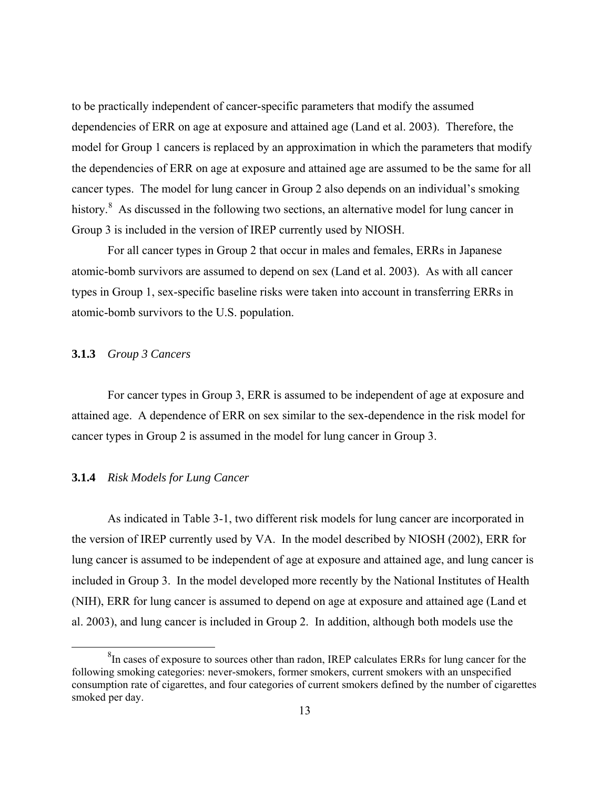to be practically independent of cancer-specific parameters that modify the assumed dependencies of ERR on age at exposure and attained age (Land et al. 2003). Therefore, the model for Group 1 cancers is replaced by an approximation in which the parameters that modify the dependencies of ERR on age at exposure and attained age are assumed to be the same for all cancer types. The model for lung cancer in Group 2 also depends on an individual's smoking history.<sup>[8](#page-20-0)</sup> As discussed in the following two sections, an alternative model for lung cancer in Group 3 is included in the version of IREP currently used by NIOSH.

 For all cancer types in Group 2 that occur in males and females, ERRs in Japanese atomic-bomb survivors are assumed to depend on sex (Land et al. 2003). As with all cancer types in Group 1, sex-specific baseline risks were taken into account in transferring ERRs in atomic-bomb survivors to the U.S. population.

# **3.1.3** *Group 3 Cancers*

 For cancer types in Group 3, ERR is assumed to be independent of age at exposure and attained age. A dependence of ERR on sex similar to the sex-dependence in the risk model for cancer types in Group 2 is assumed in the model for lung cancer in Group 3.

# **3.1.4** *Risk Models for Lung Cancer*

 As indicated in Table 3-1, two different risk models for lung cancer are incorporated in the version of IREP currently used by VA. In the model described by NIOSH (2002), ERR for lung cancer is assumed to be independent of age at exposure and attained age, and lung cancer is included in Group 3. In the model developed more recently by the National Institutes of Health (NIH), ERR for lung cancer is assumed to depend on age at exposure and attained age (Land et al. 2003), and lung cancer is included in Group 2. In addition, although both models use the

<span id="page-20-0"></span> <sup>8</sup>  ${}^{8}$ In cases of exposure to sources other than radon, IREP calculates ERRs for lung cancer for the following smoking categories: never-smokers, former smokers, current smokers with an unspecified consumption rate of cigarettes, and four categories of current smokers defined by the number of cigarettes smoked per day.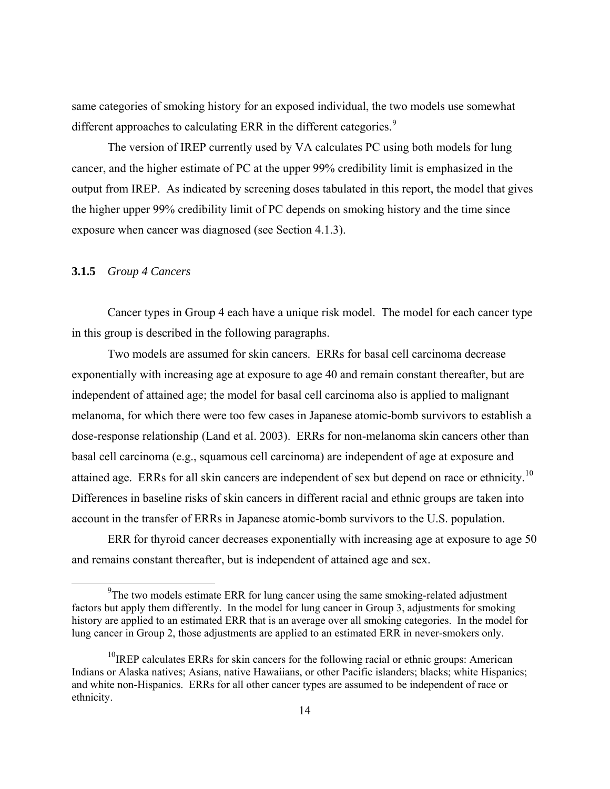same categories of smoking history for an exposed individual, the two models use somewhat different approaches to calculating ERR in the different categories.<sup>[9](#page-21-0)</sup>

 The version of IREP currently used by VA calculates PC using both models for lung cancer, and the higher estimate of PC at the upper 99% credibility limit is emphasized in the output from IREP. As indicated by screening doses tabulated in this report, the model that gives the higher upper 99% credibility limit of PC depends on smoking history and the time since exposure when cancer was diagnosed (see Section 4.1.3).

## **3.1.5** *Group 4 Cancers*

 Cancer types in Group 4 each have a unique risk model. The model for each cancer type in this group is described in the following paragraphs.

 Two models are assumed for skin cancers. ERRs for basal cell carcinoma decrease exponentially with increasing age at exposure to age 40 and remain constant thereafter, but are independent of attained age; the model for basal cell carcinoma also is applied to malignant melanoma, for which there were too few cases in Japanese atomic-bomb survivors to establish a dose-response relationship (Land et al. 2003). ERRs for non-melanoma skin cancers other than basal cell carcinoma (e.g., squamous cell carcinoma) are independent of age at exposure and attained age. ERRs for all skin cancers are independent of sex but depend on race or ethnicity.<sup>[1](#page-21-1)0</sup> Differences in baseline risks of skin cancers in different racial and ethnic groups are taken into account in the transfer of ERRs in Japanese atomic-bomb survivors to the U.S. population.

 ERR for thyroid cancer decreases exponentially with increasing age at exposure to age 50 and remains constant thereafter, but is independent of attained age and sex.

<span id="page-21-0"></span> <sup>9</sup>  $<sup>9</sup>$ The two models estimate ERR for lung cancer using the same smoking-related adjustment</sup> factors but apply them differently. In the model for lung cancer in Group 3, adjustments for smoking history are applied to an estimated ERR that is an average over all smoking categories. In the model for lung cancer in Group 2, those adjustments are applied to an estimated ERR in never-smokers only.

<span id="page-21-1"></span> $10$ IREP calculates ERRs for skin cancers for the following racial or ethnic groups: American Indians or Alaska natives; Asians, native Hawaiians, or other Pacific islanders; blacks; white Hispanics; and white non-Hispanics. ERRs for all other cancer types are assumed to be independent of race or ethnicity.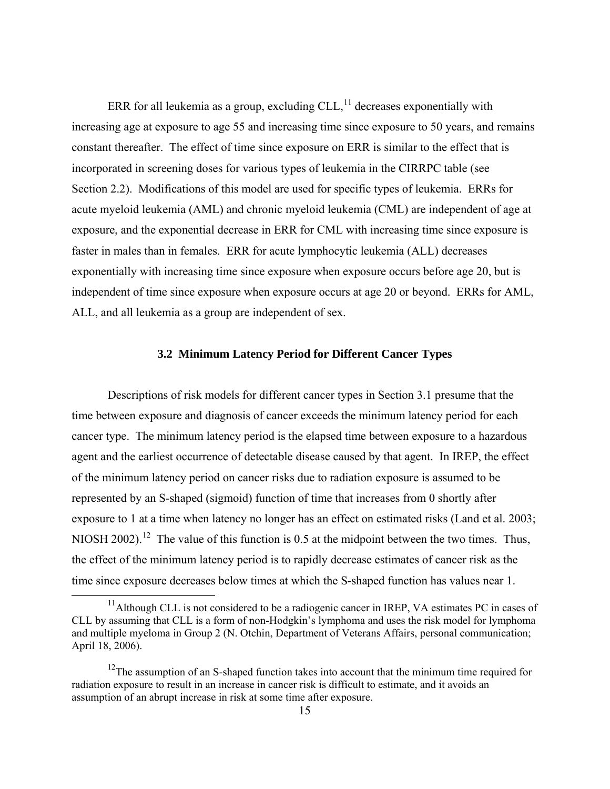ERR for all leukemia as a group, excluding  $CLL<sub>11</sub><sup>11</sup>$  $CLL<sub>11</sub><sup>11</sup>$  $CLL<sub>11</sub><sup>11</sup>$  decreases exponentially with increasing age at exposure to age 55 and increasing time since exposure to 50 years, and remains constant thereafter. The effect of time since exposure on ERR is similar to the effect that is incorporated in screening doses for various types of leukemia in the CIRRPC table (see Section 2.2). Modifications of this model are used for specific types of leukemia. ERRs for acute myeloid leukemia (AML) and chronic myeloid leukemia (CML) are independent of age at exposure, and the exponential decrease in ERR for CML with increasing time since exposure is faster in males than in females. ERR for acute lymphocytic leukemia (ALL) decreases exponentially with increasing time since exposure when exposure occurs before age 20, but is independent of time since exposure when exposure occurs at age 20 or beyond. ERRs for AML, ALL, and all leukemia as a group are independent of sex.

#### **3.2 Minimum Latency Period for Different Cancer Types**

 Descriptions of risk models for different cancer types in Section 3.1 presume that the time between exposure and diagnosis of cancer exceeds the minimum latency period for each cancer type. The minimum latency period is the elapsed time between exposure to a hazardous agent and the earliest occurrence of detectable disease caused by that agent. In IREP, the effect of the minimum latency period on cancer risks due to radiation exposure is assumed to be represented by an S-shaped (sigmoid) function of time that increases from 0 shortly after exposure to 1 at a time when latency no longer has an effect on estimated risks (Land et al. 2003; NIOSH 2002).<sup>[1](#page-22-1)2</sup> The value of this function is 0.5 at the midpoint between the two times. Thus, the effect of the minimum latency period is to rapidly decrease estimates of cancer risk as the time since exposure decreases below times at which the S-shaped function has values near 1.

<span id="page-22-0"></span> $11$ Although CLL is not considered to be a radiogenic cancer in IREP, VA estimates PC in cases of CLL by assuming that CLL is a form of non-Hodgkin's lymphoma and uses the risk model for lymphoma and multiple myeloma in Group 2 (N. Otchin, Department of Veterans Affairs, personal communication; April 18, 2006).

<span id="page-22-1"></span> $12$ The assumption of an S-shaped function takes into account that the minimum time required for radiation exposure to result in an increase in cancer risk is difficult to estimate, and it avoids an assumption of an abrupt increase in risk at some time after exposure.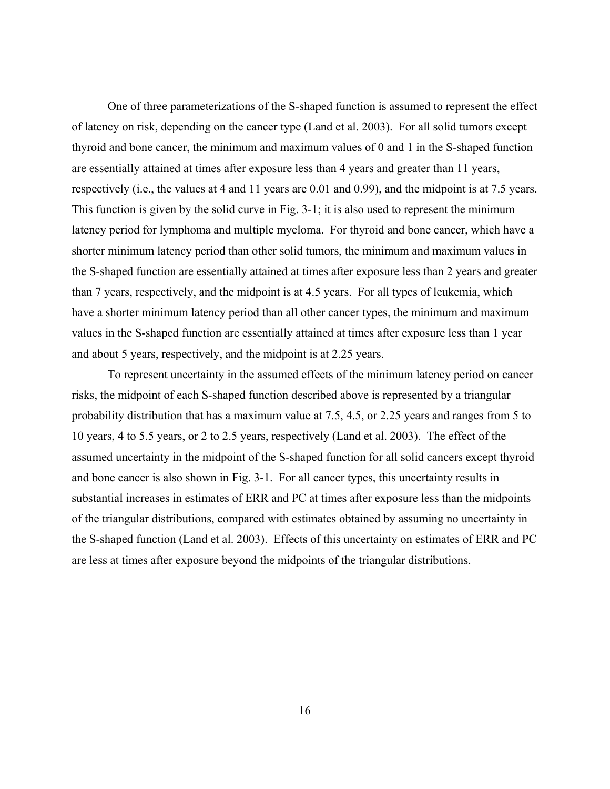One of three parameterizations of the S-shaped function is assumed to represent the effect of latency on risk, depending on the cancer type (Land et al. 2003). For all solid tumors except thyroid and bone cancer, the minimum and maximum values of 0 and 1 in the S-shaped function are essentially attained at times after exposure less than 4 years and greater than 11 years, respectively (i.e., the values at 4 and 11 years are 0.01 and 0.99), and the midpoint is at 7.5 years. This function is given by the solid curve in Fig. 3-1; it is also used to represent the minimum latency period for lymphoma and multiple myeloma. For thyroid and bone cancer, which have a shorter minimum latency period than other solid tumors, the minimum and maximum values in the S-shaped function are essentially attained at times after exposure less than 2 years and greater than 7 years, respectively, and the midpoint is at 4.5 years. For all types of leukemia, which have a shorter minimum latency period than all other cancer types, the minimum and maximum values in the S-shaped function are essentially attained at times after exposure less than 1 year and about 5 years, respectively, and the midpoint is at 2.25 years.

 To represent uncertainty in the assumed effects of the minimum latency period on cancer risks, the midpoint of each S-shaped function described above is represented by a triangular probability distribution that has a maximum value at 7.5, 4.5, or 2.25 years and ranges from 5 to 10 years, 4 to 5.5 years, or 2 to 2.5 years, respectively (Land et al. 2003). The effect of the assumed uncertainty in the midpoint of the S-shaped function for all solid cancers except thyroid and bone cancer is also shown in Fig. 3-1. For all cancer types, this uncertainty results in substantial increases in estimates of ERR and PC at times after exposure less than the midpoints of the triangular distributions, compared with estimates obtained by assuming no uncertainty in the S-shaped function (Land et al. 2003). Effects of this uncertainty on estimates of ERR and PC are less at times after exposure beyond the midpoints of the triangular distributions.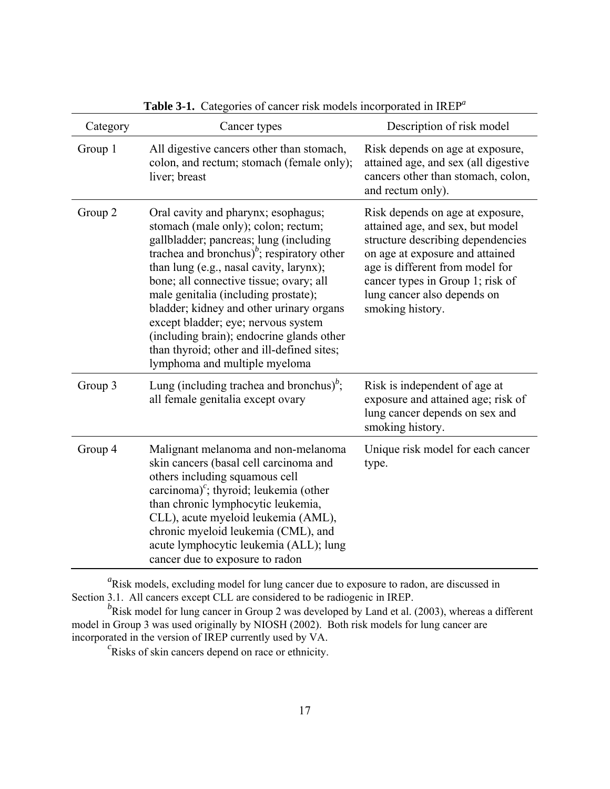| Category | Cancer types                                                                                                                                                                                                                                                                                                                                                                                                                                                                                                                             | Description of risk model                                                                                                                                                                                                                                              |
|----------|------------------------------------------------------------------------------------------------------------------------------------------------------------------------------------------------------------------------------------------------------------------------------------------------------------------------------------------------------------------------------------------------------------------------------------------------------------------------------------------------------------------------------------------|------------------------------------------------------------------------------------------------------------------------------------------------------------------------------------------------------------------------------------------------------------------------|
| Group 1  | All digestive cancers other than stomach,<br>colon, and rectum; stomach (female only);<br>liver; breast                                                                                                                                                                                                                                                                                                                                                                                                                                  | Risk depends on age at exposure,<br>attained age, and sex (all digestive<br>cancers other than stomach, colon,<br>and rectum only).                                                                                                                                    |
| Group 2  | Oral cavity and pharynx; esophagus;<br>stomach (male only); colon; rectum;<br>gallbladder; pancreas; lung (including<br>trachea and bronchus) <sup><math>b</math></sup> ; respiratory other<br>than lung (e.g., nasal cavity, larynx);<br>bone; all connective tissue; ovary; all<br>male genitalia (including prostate);<br>bladder; kidney and other urinary organs<br>except bladder; eye; nervous system<br>(including brain); endocrine glands other<br>than thyroid; other and ill-defined sites;<br>lymphoma and multiple myeloma | Risk depends on age at exposure,<br>attained age, and sex, but model<br>structure describing dependencies<br>on age at exposure and attained<br>age is different from model for<br>cancer types in Group 1; risk of<br>lung cancer also depends on<br>smoking history. |
| Group 3  | Lung (including trachea and bronchus) <sup>b</sup> ;<br>all female genitalia except ovary                                                                                                                                                                                                                                                                                                                                                                                                                                                | Risk is independent of age at<br>exposure and attained age; risk of<br>lung cancer depends on sex and<br>smoking history.                                                                                                                                              |
| Group 4  | Malignant melanoma and non-melanoma<br>skin cancers (basal cell carcinoma and<br>others including squamous cell<br>carcinoma) <sup><math>c</math></sup> ; thyroid; leukemia (other<br>than chronic lymphocytic leukemia,<br>CLL), acute myeloid leukemia (AML),<br>chronic myeloid leukemia (CML), and<br>acute lymphocytic leukemia (ALL); lung<br>cancer due to exposure to radon                                                                                                                                                      | Unique risk model for each cancer<br>type.                                                                                                                                                                                                                             |

**Table 3-1.** Categories of cancer risk models incorporated in IREP*<sup>a</sup>*

<sup>a</sup>Risk models, excluding model for lung cancer due to exposure to radon, are discussed in Section 3.1. All cancers except CLL are considered to be radiogenic in IREP.

<sup>*b*</sup>Risk model for lung cancer in Group 2 was developed by Land et al. (2003), whereas a different model in Group 3 was used originally by NIOSH (2002). Both risk models for lung cancer are incorporated in the version of IREP currently used by VA. *<sup>c</sup>*

 ${}^{c}$ Risks of skin cancers depend on race or ethnicity.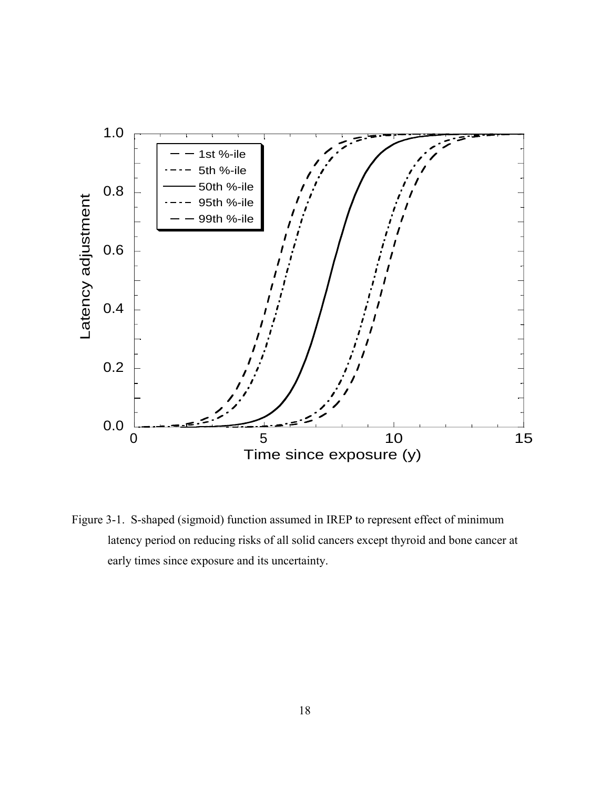

Figure 3-1. S-shaped (sigmoid) function assumed in IREP to represent effect of minimum latency period on reducing risks of all solid cancers except thyroid and bone cancer at early times since exposure and its uncertainty.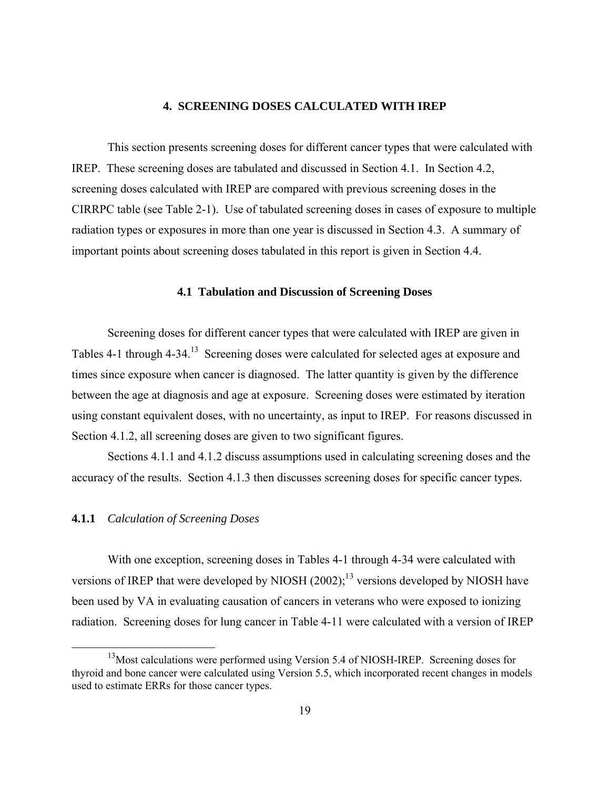#### **4. SCREENING DOSES CALCULATED WITH IREP**

 This section presents screening doses for different cancer types that were calculated with IREP. These screening doses are tabulated and discussed in Section 4.1. In Section 4.2, screening doses calculated with IREP are compared with previous screening doses in the CIRRPC table (see Table 2-1). Use of tabulated screening doses in cases of exposure to multiple radiation types or exposures in more than one year is discussed in Section 4.3. A summary of important points about screening doses tabulated in this report is given in Section 4.4.

## **4.1 Tabulation and Discussion of Screening Doses**

 Screening doses for different cancer types that were calculated with IREP are given in Tables 4-1 through 4-34.<sup>13</sup> Screening doses were calculated for selected ages at exposure and times since exposure when cancer is diagnosed. The latter quantity is given by the difference between the age at diagnosis and age at exposure. Screening doses were estimated by iteration using constant equivalent doses, with no uncertainty, as input to IREP. For reasons discussed in Section 4.1.2, all screening doses are given to two significant figures.

 Sections 4.1.1 and 4.1.2 discuss assumptions used in calculating screening doses and the accuracy of the results. Section 4.1.3 then discusses screening doses for specific cancer types.

# **4.1.1** *Calculation of Screening Doses*

 With one exception, screening doses in Tables 4-1 through 4-34 were calculated with versions of IREP that were developed by NIOSH  $(2002)$ ;<sup>1[3](#page-26-0)</sup> versions developed by NIOSH have been used by VA in evaluating causation of cancers in veterans who were exposed to ionizing radiation. Screening doses for lung cancer in Table 4-11 were calculated with a version of IREP

<span id="page-26-0"></span><sup>&</sup>lt;sup>13</sup>Most calculations were performed using Version 5.4 of NIOSH-IREP. Screening doses for thyroid and bone cancer were calculated using Version 5.5, which incorporated recent changes in models used to estimate ERRs for those cancer types.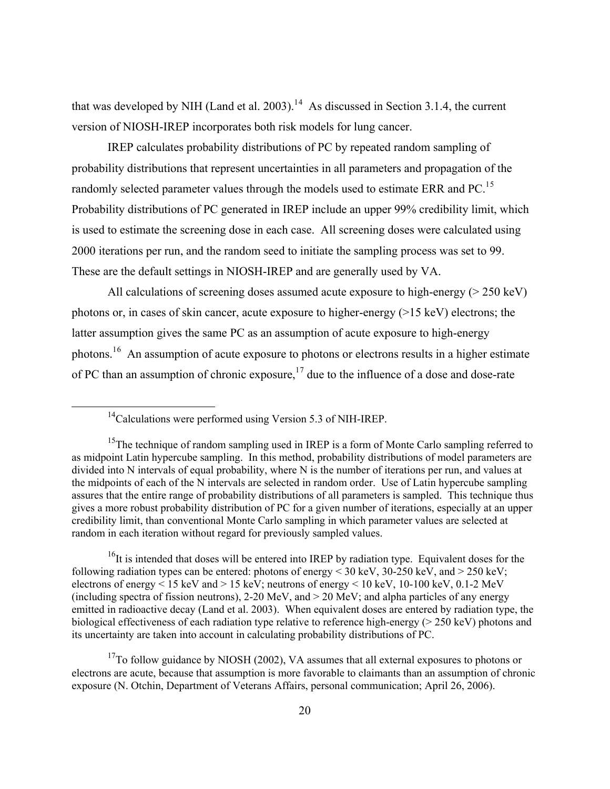that was developed by NIH (Land et al. 2003).<sup>1[4](#page-27-0)</sup> As discussed in Section 3.1.4, the current version of NIOSH-IREP incorporates both risk models for lung cancer.

 IREP calculates probability distributions of PC by repeated random sampling of probability distributions that represent uncertainties in all parameters and propagation of the randomly selected parameter values through the models used to estimate ERR and PC.<sup>1[5](#page-27-1)</sup> Probability distributions of PC generated in IREP include an upper 99% credibility limit, which is used to estimate the screening dose in each case. All screening doses were calculated using 2000 iterations per run, and the random seed to initiate the sampling process was set to 99. These are the default settings in NIOSH-IREP and are generally used by VA.

 All calculations of screening doses assumed acute exposure to high-energy (> 250 keV) photons or, in cases of skin cancer, acute exposure to higher-energy (>15 keV) electrons; the latter assumption gives the same PC as an assumption of acute exposure to high-energy photons.<sup>1[6](#page-27-2)</sup> An assumption of acute exposure to photons or electrons results in a higher estimate of PC than an assumption of chronic exposure,  $17$  $17$  due to the influence of a dose and dose-rate

<span id="page-27-2"></span><sup>16</sup>It is intended that doses will be entered into IREP by radiation type. Equivalent doses for the following radiation types can be entered: photons of energy  $\leq$  30 keV, 30-250 keV, and  $\geq$  250 keV; electrons of energy  $\leq 15$  keV and  $> 15$  keV; neutrons of energy  $\leq 10$  keV, 10-100 keV, 0.1-2 MeV (including spectra of fission neutrons), 2-20 MeV, and  $>$  20 MeV; and alpha particles of any energy emitted in radioactive decay (Land et al. 2003). When equivalent doses are entered by radiation type, the biological effectiveness of each radiation type relative to reference high-energy (> 250 keV) photons and its uncertainty are taken into account in calculating probability distributions of PC.

<span id="page-27-3"></span> $17$ To follow guidance by NIOSH (2002), VA assumes that all external exposures to photons or electrons are acute, because that assumption is more favorable to claimants than an assumption of chronic exposure (N. Otchin, Department of Veterans Affairs, personal communication; April 26, 2006).

<sup>&</sup>lt;sup>14</sup>Calculations were performed using Version 5.3 of NIH-IREP.

<span id="page-27-1"></span><span id="page-27-0"></span><sup>&</sup>lt;sup>15</sup>The technique of random sampling used in IREP is a form of Monte Carlo sampling referred to as midpoint Latin hypercube sampling. In this method, probability distributions of model parameters are divided into N intervals of equal probability, where N is the number of iterations per run, and values at the midpoints of each of the N intervals are selected in random order. Use of Latin hypercube sampling assures that the entire range of probability distributions of all parameters is sampled. This technique thus gives a more robust probability distribution of PC for a given number of iterations, especially at an upper credibility limit, than conventional Monte Carlo sampling in which parameter values are selected at random in each iteration without regard for previously sampled values.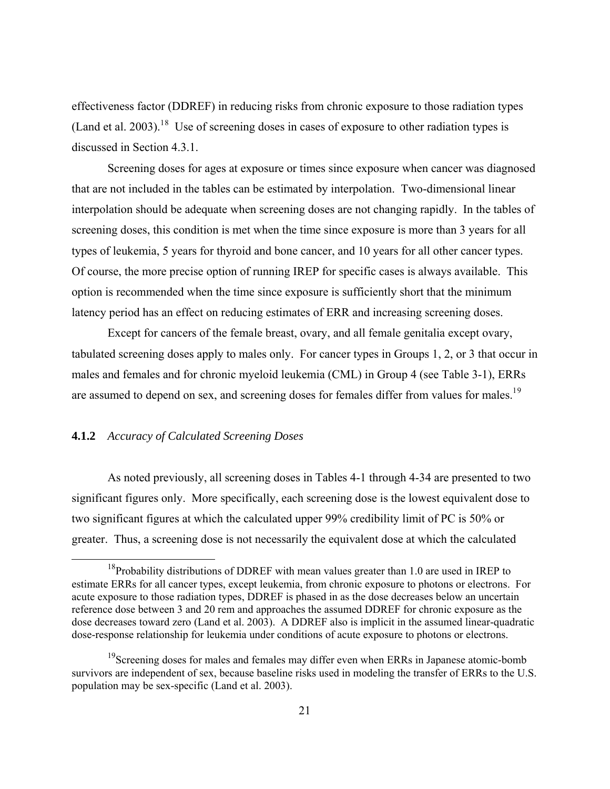effectiveness factor (DDREF) in reducing risks from chronic exposure to those radiation types (Land et al. 2003).<sup>1[8](#page-28-0)</sup> Use of screening doses in cases of exposure to other radiation types is discussed in Section 4.3.1.

 Screening doses for ages at exposure or times since exposure when cancer was diagnosed that are not included in the tables can be estimated by interpolation. Two-dimensional linear interpolation should be adequate when screening doses are not changing rapidly. In the tables of screening doses, this condition is met when the time since exposure is more than 3 years for all types of leukemia, 5 years for thyroid and bone cancer, and 10 years for all other cancer types. Of course, the more precise option of running IREP for specific cases is always available. This option is recommended when the time since exposure is sufficiently short that the minimum latency period has an effect on reducing estimates of ERR and increasing screening doses.

 Except for cancers of the female breast, ovary, and all female genitalia except ovary, tabulated screening doses apply to males only. For cancer types in Groups 1, 2, or 3 that occur in males and females and for chronic myeloid leukemia (CML) in Group 4 (see Table 3-1), ERRs are assumed to depend on sex, and screening doses for females differ from values for males.<sup>1[9](#page-28-1)</sup>

# **4.1.2** *Accuracy of Calculated Screening Doses*

 As noted previously, all screening doses in Tables 4-1 through 4-34 are presented to two significant figures only. More specifically, each screening dose is the lowest equivalent dose to two significant figures at which the calculated upper 99% credibility limit of PC is 50% or greater. Thus, a screening dose is not necessarily the equivalent dose at which the calculated

<span id="page-28-0"></span> $18$ Probability distributions of DDREF with mean values greater than 1.0 are used in IREP to estimate ERRs for all cancer types, except leukemia, from chronic exposure to photons or electrons. For acute exposure to those radiation types, DDREF is phased in as the dose decreases below an uncertain reference dose between 3 and 20 rem and approaches the assumed DDREF for chronic exposure as the dose decreases toward zero (Land et al. 2003). A DDREF also is implicit in the assumed linear-quadratic dose-response relationship for leukemia under conditions of acute exposure to photons or electrons.

<span id="page-28-1"></span><sup>&</sup>lt;sup>19</sup>Screening doses for males and females may differ even when ERRs in Japanese atomic-bomb survivors are independent of sex, because baseline risks used in modeling the transfer of ERRs to the U.S. population may be sex-specific (Land et al. 2003).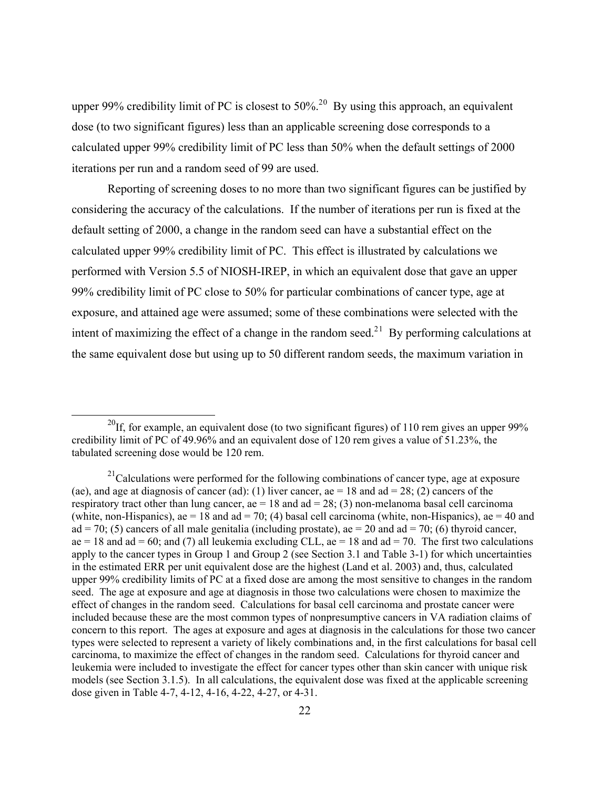upper 99% credibility limit of PC is closest to  $50\%$  $50\%$  $50\%$ <sup>20</sup> By using this approach, an equivalent dose (to two significant figures) less than an applicable screening dose corresponds to a calculated upper 99% credibility limit of PC less than 50% when the default settings of 2000 iterations per run and a random seed of 99 are used.

 Reporting of screening doses to no more than two significant figures can be justified by considering the accuracy of the calculations. If the number of iterations per run is fixed at the default setting of 2000, a change in the random seed can have a substantial effect on the calculated upper 99% credibility limit of PC. This effect is illustrated by calculations we performed with Version 5.5 of NIOSH-IREP, in which an equivalent dose that gave an upper 99% credibility limit of PC close to 50% for particular combinations of cancer type, age at exposure, and attained age were assumed; some of these combinations were selected with the intent of maximizing the effect of a change in the random seed.<sup>2[1](#page-29-1)</sup> By performing calculations at the same equivalent dose but using up to 50 different random seeds, the maximum variation in

<span id="page-29-0"></span><sup>&</sup>lt;sup>20</sup>If, for example, an equivalent dose (to two significant figures) of 110 rem gives an upper 99% credibility limit of PC of 49.96% and an equivalent dose of 120 rem gives a value of 51.23%, the tabulated screening dose would be 120 rem.

<span id="page-29-1"></span> $2^{1}$ Calculations were performed for the following combinations of cancer type, age at exposure (ae), and age at diagnosis of cancer (ad): (1) liver cancer, ae  $= 18$  and ad  $= 28$ ; (2) cancers of the respiratory tract other than lung cancer, ae = 18 and ad = 28; (3) non-melanoma basal cell carcinoma (white, non-Hispanics), ae = 18 and ad = 70; (4) basal cell carcinoma (white, non-Hispanics), ae = 40 and ad = 70; (5) cancers of all male genitalia (including prostate), ae = 20 and ad = 70; (6) thyroid cancer, ae = 18 and ad = 60; and (7) all leukemia excluding CLL, ae = 18 and ad = 70. The first two calculations apply to the cancer types in Group 1 and Group 2 (see Section 3.1 and Table 3-1) for which uncertainties in the estimated ERR per unit equivalent dose are the highest (Land et al. 2003) and, thus, calculated upper 99% credibility limits of PC at a fixed dose are among the most sensitive to changes in the random seed. The age at exposure and age at diagnosis in those two calculations were chosen to maximize the effect of changes in the random seed. Calculations for basal cell carcinoma and prostate cancer were included because these are the most common types of nonpresumptive cancers in VA radiation claims of concern to this report. The ages at exposure and ages at diagnosis in the calculations for those two cancer types were selected to represent a variety of likely combinations and, in the first calculations for basal cell carcinoma, to maximize the effect of changes in the random seed. Calculations for thyroid cancer and leukemia were included to investigate the effect for cancer types other than skin cancer with unique risk models (see Section 3.1.5). In all calculations, the equivalent dose was fixed at the applicable screening dose given in Table 4-7, 4-12, 4-16, 4-22, 4-27, or 4-31.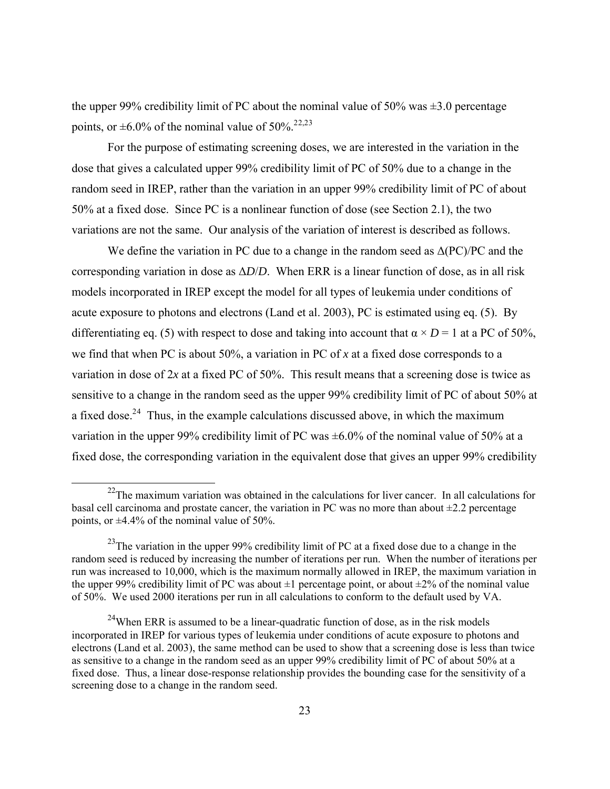the upper 99% credibility limit of PC about the nominal value of 50% was  $\pm$ 3.0 percentage points, or  $\pm 6.0\%$  of the nominal value of 50%.<sup>2[2,2](#page-30-0)[3](#page-30-1)</sup>

 For the purpose of estimating screening doses, we are interested in the variation in the dose that gives a calculated upper 99% credibility limit of PC of 50% due to a change in the random seed in IREP, rather than the variation in an upper 99% credibility limit of PC of about 50% at a fixed dose. Since PC is a nonlinear function of dose (see Section 2.1), the two variations are not the same. Our analysis of the variation of interest is described as follows.

We define the variation in PC due to a change in the random seed as  $\Delta (PC)/PC$  and the corresponding variation in dose as  $\Delta D/D$ . When ERR is a linear function of dose, as in all risk models incorporated in IREP except the model for all types of leukemia under conditions of acute exposure to photons and electrons (Land et al. 2003), PC is estimated using eq. (5). By differentiating eq. (5) with respect to dose and taking into account that  $\alpha \times D = 1$  at a PC of 50%, we find that when PC is about 50%, a variation in PC of *x* at a fixed dose corresponds to a variation in dose of 2*x* at a fixed PC of 50%. This result means that a screening dose is twice as sensitive to a change in the random seed as the upper 99% credibility limit of PC of about 50% at a fixed dose.<sup>2[4](#page-30-2)</sup> Thus, in the example calculations discussed above, in which the maximum variation in the upper 99% credibility limit of PC was  $\pm 6.0$ % of the nominal value of 50% at a fixed dose, the corresponding variation in the equivalent dose that gives an upper 99% credibility

<span id="page-30-0"></span> $22$ The maximum variation was obtained in the calculations for liver cancer. In all calculations for basal cell carcinoma and prostate cancer, the variation in PC was no more than about  $\pm 2.2$  percentage points, or  $\pm 4.4\%$  of the nominal value of 50%.

<span id="page-30-1"></span> $^{23}$ The variation in the upper 99% credibility limit of PC at a fixed dose due to a change in the random seed is reduced by increasing the number of iterations per run. When the number of iterations per run was increased to 10,000, which is the maximum normally allowed in IREP, the maximum variation in the upper 99% credibility limit of PC was about  $\pm 1$  percentage point, or about  $\pm 2\%$  of the nominal value of 50%. We used 2000 iterations per run in all calculations to conform to the default used by VA.

<span id="page-30-2"></span> $24$ When ERR is assumed to be a linear-quadratic function of dose, as in the risk models incorporated in IREP for various types of leukemia under conditions of acute exposure to photons and electrons (Land et al. 2003), the same method can be used to show that a screening dose is less than twice as sensitive to a change in the random seed as an upper 99% credibility limit of PC of about 50% at a fixed dose. Thus, a linear dose-response relationship provides the bounding case for the sensitivity of a screening dose to a change in the random seed.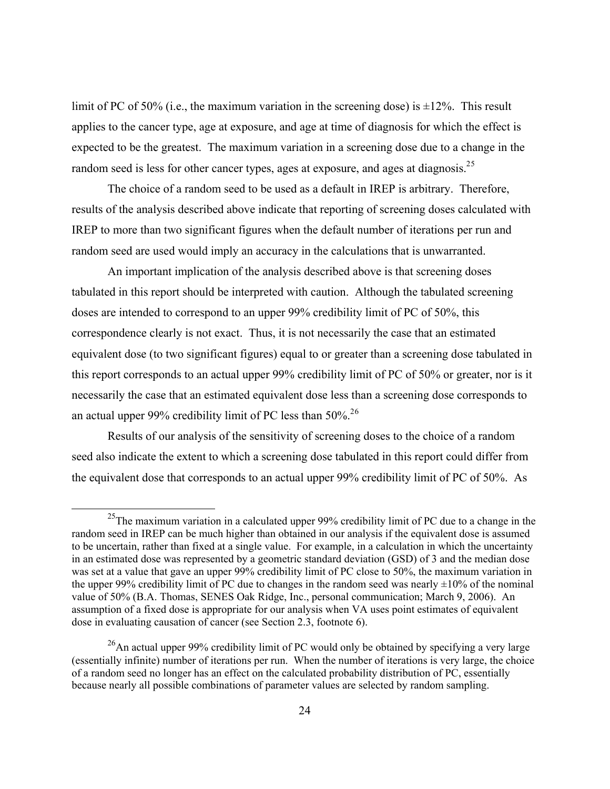limit of PC of 50% (i.e., the maximum variation in the screening dose) is  $\pm 12$ %. This result applies to the cancer type, age at exposure, and age at time of diagnosis for which the effect is expected to be the greatest. The maximum variation in a screening dose due to a change in the random seed is less for other cancer types, ages at exposure, and ages at diagnosis.<sup>2[5](#page-31-0)</sup>

 The choice of a random seed to be used as a default in IREP is arbitrary. Therefore, results of the analysis described above indicate that reporting of screening doses calculated with IREP to more than two significant figures when the default number of iterations per run and random seed are used would imply an accuracy in the calculations that is unwarranted.

 An important implication of the analysis described above is that screening doses tabulated in this report should be interpreted with caution. Although the tabulated screening doses are intended to correspond to an upper 99% credibility limit of PC of 50%, this correspondence clearly is not exact. Thus, it is not necessarily the case that an estimated equivalent dose (to two significant figures) equal to or greater than a screening dose tabulated in this report corresponds to an actual upper 99% credibility limit of PC of 50% or greater, nor is it necessarily the case that an estimated equivalent dose less than a screening dose corresponds to an actual upper 99% credibility limit of PC less than 50%.<sup>2[6](#page-31-1)</sup>

 Results of our analysis of the sensitivity of screening doses to the choice of a random seed also indicate the extent to which a screening dose tabulated in this report could differ from the equivalent dose that corresponds to an actual upper 99% credibility limit of PC of 50%. As

<span id="page-31-0"></span> $^{25}$ The maximum variation in a calculated upper 99% credibility limit of PC due to a change in the random seed in IREP can be much higher than obtained in our analysis if the equivalent dose is assumed to be uncertain, rather than fixed at a single value. For example, in a calculation in which the uncertainty in an estimated dose was represented by a geometric standard deviation (GSD) of 3 and the median dose was set at a value that gave an upper 99% credibility limit of PC close to 50%, the maximum variation in the upper 99% credibility limit of PC due to changes in the random seed was nearly  $\pm 10\%$  of the nominal value of 50% (B.A. Thomas, SENES Oak Ridge, Inc., personal communication; March 9, 2006). An assumption of a fixed dose is appropriate for our analysis when VA uses point estimates of equivalent dose in evaluating causation of cancer (see Section 2.3, footnote 6).

<span id="page-31-1"></span> $26$ An actual upper 99% credibility limit of PC would only be obtained by specifying a very large (essentially infinite) number of iterations per run. When the number of iterations is very large, the choice of a random seed no longer has an effect on the calculated probability distribution of PC, essentially because nearly all possible combinations of parameter values are selected by random sampling.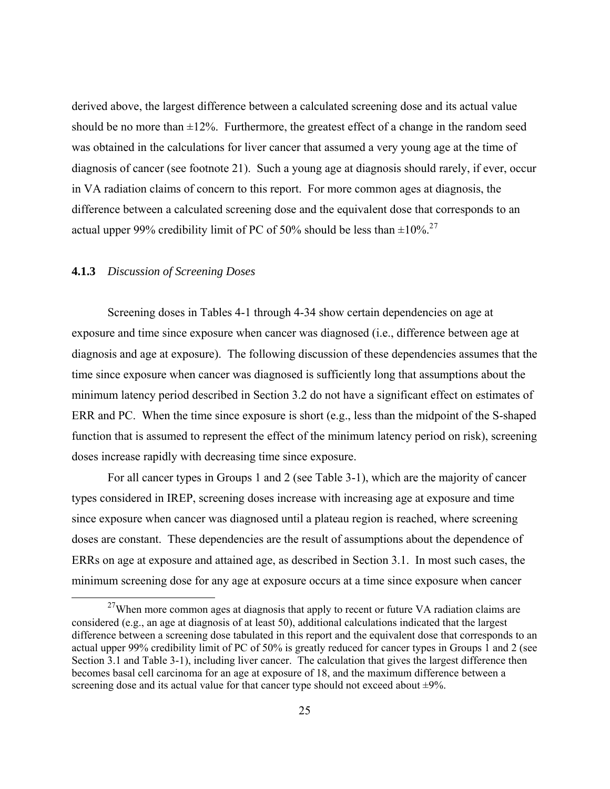derived above, the largest difference between a calculated screening dose and its actual value should be no more than  $\pm 12\%$ . Furthermore, the greatest effect of a change in the random seed was obtained in the calculations for liver cancer that assumed a very young age at the time of diagnosis of cancer (see footnote 21). Such a young age at diagnosis should rarely, if ever, occur in VA radiation claims of concern to this report. For more common ages at diagnosis, the difference between a calculated screening dose and the equivalent dose that corresponds to an actual upper 99% credibility limit of PC of 50% should be less than  $\pm 10\%$ <sup>2[7](#page-32-0)</sup>

# **4.1.3** *Discussion of Screening Doses*

 Screening doses in Tables 4-1 through 4-34 show certain dependencies on age at exposure and time since exposure when cancer was diagnosed (i.e., difference between age at diagnosis and age at exposure). The following discussion of these dependencies assumes that the time since exposure when cancer was diagnosed is sufficiently long that assumptions about the minimum latency period described in Section 3.2 do not have a significant effect on estimates of ERR and PC. When the time since exposure is short (e.g., less than the midpoint of the S-shaped function that is assumed to represent the effect of the minimum latency period on risk), screening doses increase rapidly with decreasing time since exposure.

 For all cancer types in Groups 1 and 2 (see Table 3-1), which are the majority of cancer types considered in IREP, screening doses increase with increasing age at exposure and time since exposure when cancer was diagnosed until a plateau region is reached, where screening doses are constant. These dependencies are the result of assumptions about the dependence of ERRs on age at exposure and attained age, as described in Section 3.1. In most such cases, the minimum screening dose for any age at exposure occurs at a time since exposure when cancer

<span id="page-32-0"></span> $27$ When more common ages at diagnosis that apply to recent or future VA radiation claims are considered (e.g., an age at diagnosis of at least 50), additional calculations indicated that the largest difference between a screening dose tabulated in this report and the equivalent dose that corresponds to an actual upper 99% credibility limit of PC of 50% is greatly reduced for cancer types in Groups 1 and 2 (see Section 3.1 and Table 3-1), including liver cancer. The calculation that gives the largest difference then becomes basal cell carcinoma for an age at exposure of 18, and the maximum difference between a screening dose and its actual value for that cancer type should not exceed about  $\pm 9\%$ .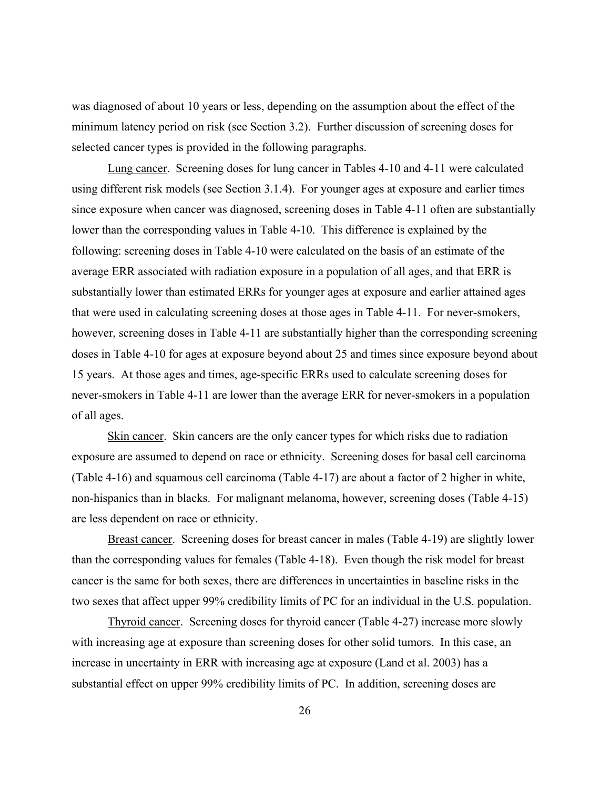was diagnosed of about 10 years or less, depending on the assumption about the effect of the minimum latency period on risk (see Section 3.2). Further discussion of screening doses for selected cancer types is provided in the following paragraphs.

 Lung cancer. Screening doses for lung cancer in Tables 4-10 and 4-11 were calculated using different risk models (see Section 3.1.4). For younger ages at exposure and earlier times since exposure when cancer was diagnosed, screening doses in Table 4-11 often are substantially lower than the corresponding values in Table 4-10. This difference is explained by the following: screening doses in Table 4-10 were calculated on the basis of an estimate of the average ERR associated with radiation exposure in a population of all ages, and that ERR is substantially lower than estimated ERRs for younger ages at exposure and earlier attained ages that were used in calculating screening doses at those ages in Table 4-11. For never-smokers, however, screening doses in Table 4-11 are substantially higher than the corresponding screening doses in Table 4-10 for ages at exposure beyond about 25 and times since exposure beyond about 15 years. At those ages and times, age-specific ERRs used to calculate screening doses for never-smokers in Table 4-11 are lower than the average ERR for never-smokers in a population of all ages.

 Skin cancer. Skin cancers are the only cancer types for which risks due to radiation exposure are assumed to depend on race or ethnicity. Screening doses for basal cell carcinoma (Table 4-16) and squamous cell carcinoma (Table 4-17) are about a factor of 2 higher in white, non-hispanics than in blacks. For malignant melanoma, however, screening doses (Table 4-15) are less dependent on race or ethnicity.

Breast cancer. Screening doses for breast cancer in males (Table 4-19) are slightly lower than the corresponding values for females (Table 4-18). Even though the risk model for breast cancer is the same for both sexes, there are differences in uncertainties in baseline risks in the two sexes that affect upper 99% credibility limits of PC for an individual in the U.S. population.

 Thyroid cancer. Screening doses for thyroid cancer (Table 4-27) increase more slowly with increasing age at exposure than screening doses for other solid tumors. In this case, an increase in uncertainty in ERR with increasing age at exposure (Land et al. 2003) has a substantial effect on upper 99% credibility limits of PC. In addition, screening doses are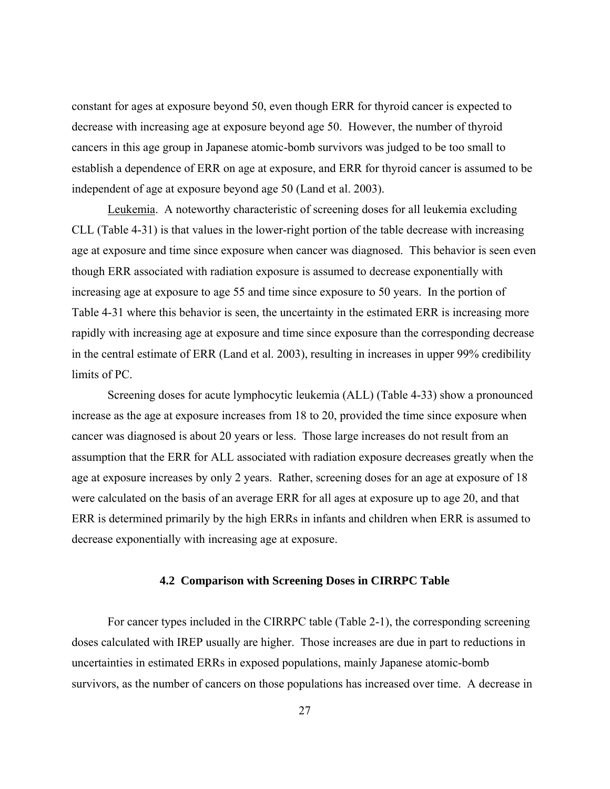constant for ages at exposure beyond 50, even though ERR for thyroid cancer is expected to decrease with increasing age at exposure beyond age 50. However, the number of thyroid cancers in this age group in Japanese atomic-bomb survivors was judged to be too small to establish a dependence of ERR on age at exposure, and ERR for thyroid cancer is assumed to be independent of age at exposure beyond age 50 (Land et al. 2003).

 Leukemia. A noteworthy characteristic of screening doses for all leukemia excluding CLL (Table 4-31) is that values in the lower-right portion of the table decrease with increasing age at exposure and time since exposure when cancer was diagnosed. This behavior is seen even though ERR associated with radiation exposure is assumed to decrease exponentially with increasing age at exposure to age 55 and time since exposure to 50 years. In the portion of Table 4-31 where this behavior is seen, the uncertainty in the estimated ERR is increasing more rapidly with increasing age at exposure and time since exposure than the corresponding decrease in the central estimate of ERR (Land et al. 2003), resulting in increases in upper 99% credibility limits of PC.

 Screening doses for acute lymphocytic leukemia (ALL) (Table 4-33) show a pronounced increase as the age at exposure increases from 18 to 20, provided the time since exposure when cancer was diagnosed is about 20 years or less. Those large increases do not result from an assumption that the ERR for ALL associated with radiation exposure decreases greatly when the age at exposure increases by only 2 years. Rather, screening doses for an age at exposure of 18 were calculated on the basis of an average ERR for all ages at exposure up to age 20, and that ERR is determined primarily by the high ERRs in infants and children when ERR is assumed to decrease exponentially with increasing age at exposure.

## **4.2 Comparison with Screening Doses in CIRRPC Table**

 For cancer types included in the CIRRPC table (Table 2-1), the corresponding screening doses calculated with IREP usually are higher. Those increases are due in part to reductions in uncertainties in estimated ERRs in exposed populations, mainly Japanese atomic-bomb survivors, as the number of cancers on those populations has increased over time. A decrease in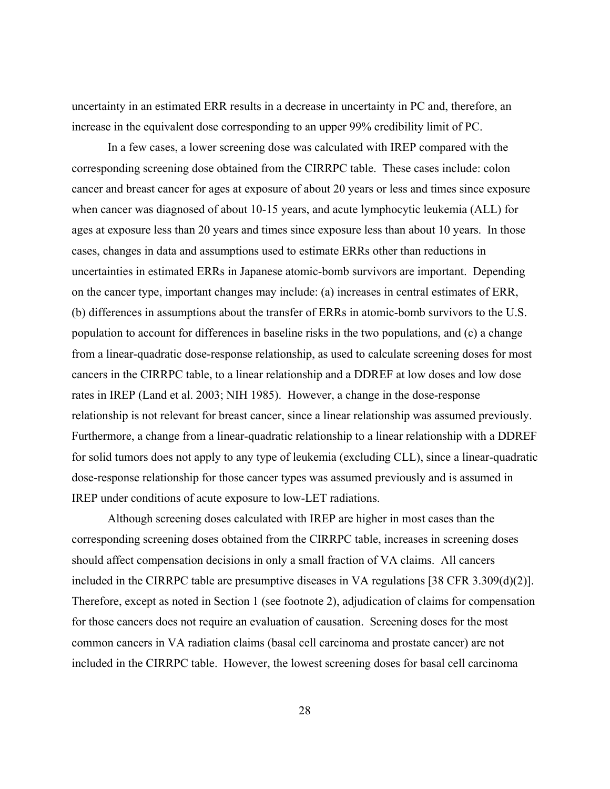uncertainty in an estimated ERR results in a decrease in uncertainty in PC and, therefore, an increase in the equivalent dose corresponding to an upper 99% credibility limit of PC.

 In a few cases, a lower screening dose was calculated with IREP compared with the corresponding screening dose obtained from the CIRRPC table. These cases include: colon cancer and breast cancer for ages at exposure of about 20 years or less and times since exposure when cancer was diagnosed of about 10-15 years, and acute lymphocytic leukemia (ALL) for ages at exposure less than 20 years and times since exposure less than about 10 years. In those cases, changes in data and assumptions used to estimate ERRs other than reductions in uncertainties in estimated ERRs in Japanese atomic-bomb survivors are important. Depending on the cancer type, important changes may include: (a) increases in central estimates of ERR, (b) differences in assumptions about the transfer of ERRs in atomic-bomb survivors to the U.S. population to account for differences in baseline risks in the two populations, and (c) a change from a linear-quadratic dose-response relationship, as used to calculate screening doses for most cancers in the CIRRPC table, to a linear relationship and a DDREF at low doses and low dose rates in IREP (Land et al. 2003; NIH 1985). However, a change in the dose-response relationship is not relevant for breast cancer, since a linear relationship was assumed previously. Furthermore, a change from a linear-quadratic relationship to a linear relationship with a DDREF for solid tumors does not apply to any type of leukemia (excluding CLL), since a linear-quadratic dose-response relationship for those cancer types was assumed previously and is assumed in IREP under conditions of acute exposure to low-LET radiations.

 Although screening doses calculated with IREP are higher in most cases than the corresponding screening doses obtained from the CIRRPC table, increases in screening doses should affect compensation decisions in only a small fraction of VA claims. All cancers included in the CIRRPC table are presumptive diseases in VA regulations [38 CFR 3.309(d)(2)]. Therefore, except as noted in Section 1 (see footnote 2), adjudication of claims for compensation for those cancers does not require an evaluation of causation. Screening doses for the most common cancers in VA radiation claims (basal cell carcinoma and prostate cancer) are not included in the CIRRPC table. However, the lowest screening doses for basal cell carcinoma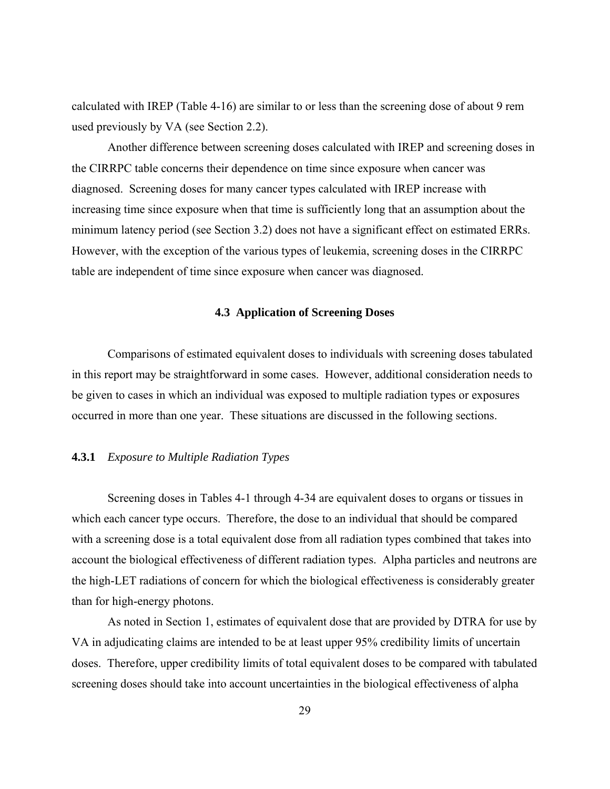calculated with IREP (Table 4-16) are similar to or less than the screening dose of about 9 rem used previously by VA (see Section 2.2).

 Another difference between screening doses calculated with IREP and screening doses in the CIRRPC table concerns their dependence on time since exposure when cancer was diagnosed. Screening doses for many cancer types calculated with IREP increase with increasing time since exposure when that time is sufficiently long that an assumption about the minimum latency period (see Section 3.2) does not have a significant effect on estimated ERRs. However, with the exception of the various types of leukemia, screening doses in the CIRRPC table are independent of time since exposure when cancer was diagnosed.

### **4.3 Application of Screening Doses**

 Comparisons of estimated equivalent doses to individuals with screening doses tabulated in this report may be straightforward in some cases. However, additional consideration needs to be given to cases in which an individual was exposed to multiple radiation types or exposures occurred in more than one year. These situations are discussed in the following sections.

### **4.3.1** *Exposure to Multiple Radiation Types*

 Screening doses in Tables 4-1 through 4-34 are equivalent doses to organs or tissues in which each cancer type occurs. Therefore, the dose to an individual that should be compared with a screening dose is a total equivalent dose from all radiation types combined that takes into account the biological effectiveness of different radiation types. Alpha particles and neutrons are the high-LET radiations of concern for which the biological effectiveness is considerably greater than for high-energy photons.

 As noted in Section 1, estimates of equivalent dose that are provided by DTRA for use by VA in adjudicating claims are intended to be at least upper 95% credibility limits of uncertain doses. Therefore, upper credibility limits of total equivalent doses to be compared with tabulated screening doses should take into account uncertainties in the biological effectiveness of alpha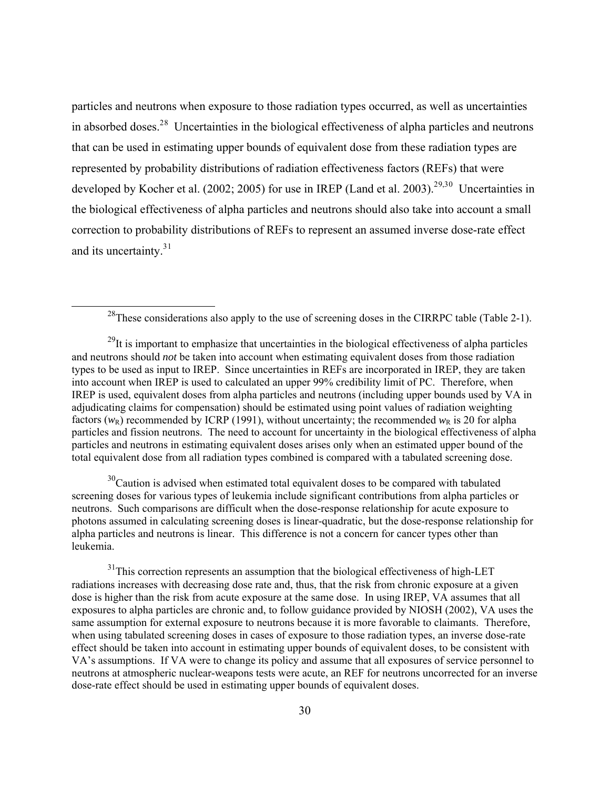particles and neutrons when exposure to those radiation types occurred, as well as uncertainties in absorbed doses.<sup>2[8](#page-37-0)</sup> Uncertainties in the biological effectiveness of alpha particles and neutrons that can be used in estimating upper bounds of equivalent dose from these radiation types are represented by probability distributions of radiation effectiveness factors (REFs) that were developed by Kocher et al. (2002; 2005) for use in IREP (Land et al. 2003).<sup>2[9,3](#page-37-1)[0](#page-37-2)</sup> Uncertainties in the biological effectiveness of alpha particles and neutrons should also take into account a small correction to probability distributions of REFs to represent an assumed inverse dose-rate effect and its uncertainty.<sup>3[1](#page-37-3)</sup>

<span id="page-37-2"></span> $30<sup>30</sup>$ Caution is advised when estimated total equivalent doses to be compared with tabulated screening doses for various types of leukemia include significant contributions from alpha particles or neutrons. Such comparisons are difficult when the dose-response relationship for acute exposure to photons assumed in calculating screening doses is linear-quadratic, but the dose-response relationship for alpha particles and neutrons is linear. This difference is not a concern for cancer types other than leukemia.

<span id="page-37-3"></span> $31$ This correction represents an assumption that the biological effectiveness of high-LET radiations increases with decreasing dose rate and, thus, that the risk from chronic exposure at a given dose is higher than the risk from acute exposure at the same dose. In using IREP, VA assumes that all exposures to alpha particles are chronic and, to follow guidance provided by NIOSH (2002), VA uses the same assumption for external exposure to neutrons because it is more favorable to claimants. Therefore, when using tabulated screening doses in cases of exposure to those radiation types, an inverse dose-rate effect should be taken into account in estimating upper bounds of equivalent doses, to be consistent with VA's assumptions. If VA were to change its policy and assume that all exposures of service personnel to neutrons at atmospheric nuclear-weapons tests were acute, an REF for neutrons uncorrected for an inverse dose-rate effect should be used in estimating upper bounds of equivalent doses.

 $^{28}$ These considerations also apply to the use of screening doses in the CIRRPC table (Table 2-1).

<span id="page-37-1"></span><span id="page-37-0"></span> $^{29}$ It is important to emphasize that uncertainties in the biological effectiveness of alpha particles and neutrons should *not* be taken into account when estimating equivalent doses from those radiation types to be used as input to IREP. Since uncertainties in REFs are incorporated in IREP, they are taken into account when IREP is used to calculated an upper 99% credibility limit of PC. Therefore, when IREP is used, equivalent doses from alpha particles and neutrons (including upper bounds used by VA in adjudicating claims for compensation) should be estimated using point values of radiation weighting factors  $(w_R)$  recommended by ICRP (1991), without uncertainty; the recommended  $w_R$  is 20 for alpha particles and fission neutrons. The need to account for uncertainty in the biological effectiveness of alpha particles and neutrons in estimating equivalent doses arises only when an estimated upper bound of the total equivalent dose from all radiation types combined is compared with a tabulated screening dose.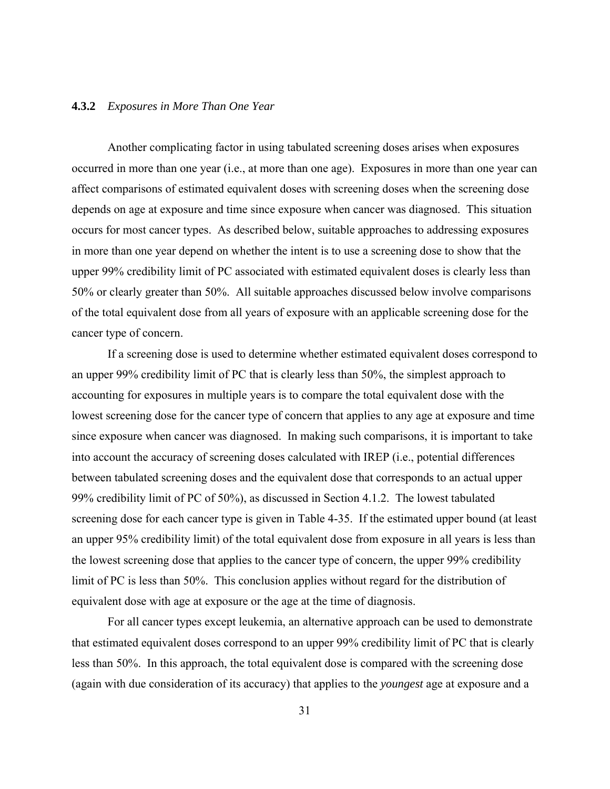### **4.3.2** *Exposures in More Than One Year*

 Another complicating factor in using tabulated screening doses arises when exposures occurred in more than one year (i.e., at more than one age). Exposures in more than one year can affect comparisons of estimated equivalent doses with screening doses when the screening dose depends on age at exposure and time since exposure when cancer was diagnosed. This situation occurs for most cancer types. As described below, suitable approaches to addressing exposures in more than one year depend on whether the intent is to use a screening dose to show that the upper 99% credibility limit of PC associated with estimated equivalent doses is clearly less than 50% or clearly greater than 50%. All suitable approaches discussed below involve comparisons of the total equivalent dose from all years of exposure with an applicable screening dose for the cancer type of concern.

 If a screening dose is used to determine whether estimated equivalent doses correspond to an upper 99% credibility limit of PC that is clearly less than 50%, the simplest approach to accounting for exposures in multiple years is to compare the total equivalent dose with the lowest screening dose for the cancer type of concern that applies to any age at exposure and time since exposure when cancer was diagnosed. In making such comparisons, it is important to take into account the accuracy of screening doses calculated with IREP (i.e., potential differences between tabulated screening doses and the equivalent dose that corresponds to an actual upper 99% credibility limit of PC of 50%), as discussed in Section 4.1.2. The lowest tabulated screening dose for each cancer type is given in Table 4-35. If the estimated upper bound (at least an upper 95% credibility limit) of the total equivalent dose from exposure in all years is less than the lowest screening dose that applies to the cancer type of concern, the upper 99% credibility limit of PC is less than 50%. This conclusion applies without regard for the distribution of equivalent dose with age at exposure or the age at the time of diagnosis.

 For all cancer types except leukemia, an alternative approach can be used to demonstrate that estimated equivalent doses correspond to an upper 99% credibility limit of PC that is clearly less than 50%. In this approach, the total equivalent dose is compared with the screening dose (again with due consideration of its accuracy) that applies to the *youngest* age at exposure and a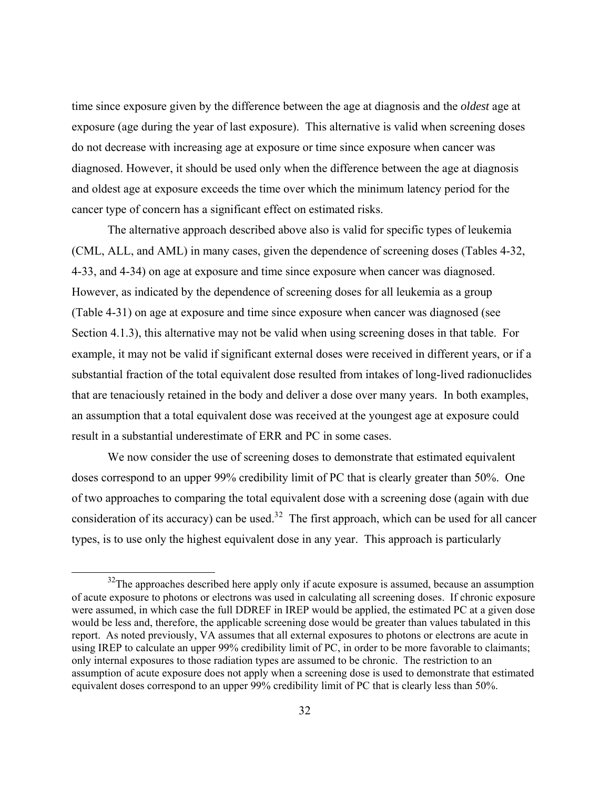time since exposure given by the difference between the age at diagnosis and the *oldest* age at exposure (age during the year of last exposure). This alternative is valid when screening doses do not decrease with increasing age at exposure or time since exposure when cancer was diagnosed. However, it should be used only when the difference between the age at diagnosis and oldest age at exposure exceeds the time over which the minimum latency period for the cancer type of concern has a significant effect on estimated risks.

 The alternative approach described above also is valid for specific types of leukemia (CML, ALL, and AML) in many cases, given the dependence of screening doses (Tables 4-32, 4-33, and 4-34) on age at exposure and time since exposure when cancer was diagnosed. However, as indicated by the dependence of screening doses for all leukemia as a group (Table 4-31) on age at exposure and time since exposure when cancer was diagnosed (see Section 4.1.3), this alternative may not be valid when using screening doses in that table. For example, it may not be valid if significant external doses were received in different years, or if a substantial fraction of the total equivalent dose resulted from intakes of long-lived radionuclides that are tenaciously retained in the body and deliver a dose over many years. In both examples, an assumption that a total equivalent dose was received at the youngest age at exposure could result in a substantial underestimate of ERR and PC in some cases.

We now consider the use of screening doses to demonstrate that estimated equivalent doses correspond to an upper 99% credibility limit of PC that is clearly greater than 50%. One of two approaches to comparing the total equivalent dose with a screening dose (again with due consideration of its accuracy) can be used.<sup>3[2](#page-39-0)</sup> The first approach, which can be used for all cancer types, is to use only the highest equivalent dose in any year. This approach is particularly

<span id="page-39-0"></span> $32$ The approaches described here apply only if acute exposure is assumed, because an assumption of acute exposure to photons or electrons was used in calculating all screening doses. If chronic exposure were assumed, in which case the full DDREF in IREP would be applied, the estimated PC at a given dose would be less and, therefore, the applicable screening dose would be greater than values tabulated in this report. As noted previously, VA assumes that all external exposures to photons or electrons are acute in using IREP to calculate an upper 99% credibility limit of PC, in order to be more favorable to claimants; only internal exposures to those radiation types are assumed to be chronic. The restriction to an assumption of acute exposure does not apply when a screening dose is used to demonstrate that estimated equivalent doses correspond to an upper  $99%$  credibility limit of PC that is clearly less than 50%.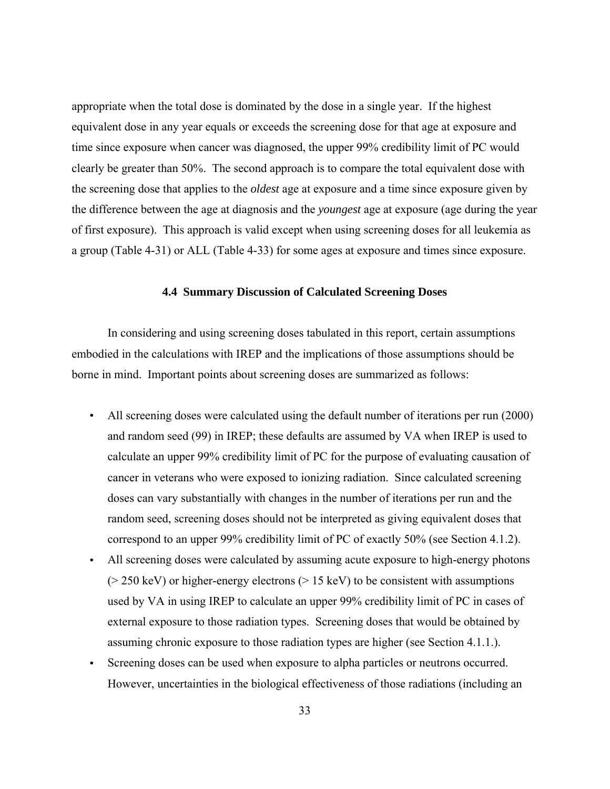appropriate when the total dose is dominated by the dose in a single year. If the highest equivalent dose in any year equals or exceeds the screening dose for that age at exposure and time since exposure when cancer was diagnosed, the upper 99% credibility limit of PC would clearly be greater than 50%. The second approach is to compare the total equivalent dose with the screening dose that applies to the *oldest* age at exposure and a time since exposure given by the difference between the age at diagnosis and the *youngest* age at exposure (age during the year of first exposure). This approach is valid except when using screening doses for all leukemia as a group (Table 4-31) or ALL (Table 4-33) for some ages at exposure and times since exposure.

## **4.4 Summary Discussion of Calculated Screening Doses**

 In considering and using screening doses tabulated in this report, certain assumptions embodied in the calculations with IREP and the implications of those assumptions should be borne in mind. Important points about screening doses are summarized as follows:

- All screening doses were calculated using the default number of iterations per run (2000) and random seed (99) in IREP; these defaults are assumed by VA when IREP is used to calculate an upper 99% credibility limit of PC for the purpose of evaluating causation of cancer in veterans who were exposed to ionizing radiation. Since calculated screening doses can vary substantially with changes in the number of iterations per run and the random seed, screening doses should not be interpreted as giving equivalent doses that correspond to an upper 99% credibility limit of PC of exactly 50% (see Section 4.1.2).
- All screening doses were calculated by assuming acute exposure to high-energy photons ( $>$  250 keV) or higher-energy electrons ( $>$  15 keV) to be consistent with assumptions used by VA in using IREP to calculate an upper 99% credibility limit of PC in cases of external exposure to those radiation types. Screening doses that would be obtained by assuming chronic exposure to those radiation types are higher (see Section 4.1.1.).
- Screening doses can be used when exposure to alpha particles or neutrons occurred. However, uncertainties in the biological effectiveness of those radiations (including an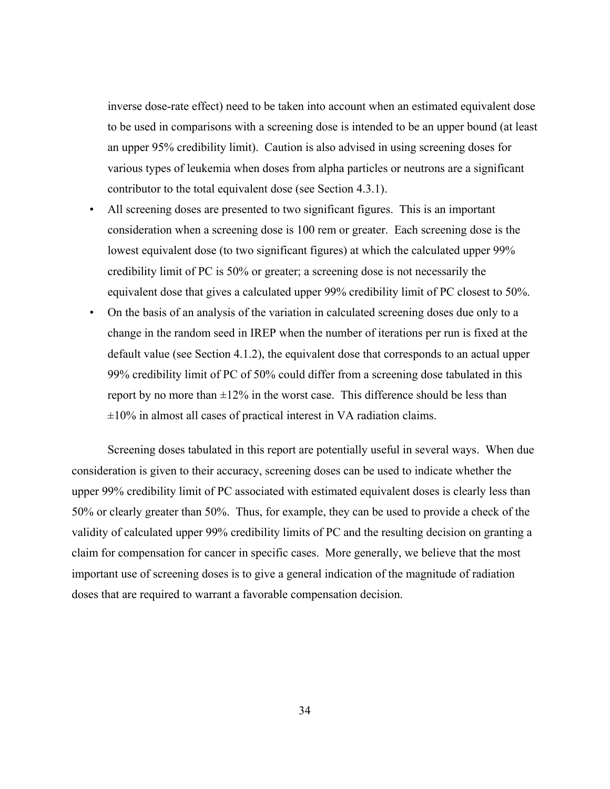inverse dose-rate effect) need to be taken into account when an estimated equivalent dose to be used in comparisons with a screening dose is intended to be an upper bound (at least an upper 95% credibility limit). Caution is also advised in using screening doses for various types of leukemia when doses from alpha particles or neutrons are a significant contributor to the total equivalent dose (see Section 4.3.1).

- All screening doses are presented to two significant figures. This is an important consideration when a screening dose is 100 rem or greater. Each screening dose is the lowest equivalent dose (to two significant figures) at which the calculated upper 99% credibility limit of PC is 50% or greater; a screening dose is not necessarily the equivalent dose that gives a calculated upper 99% credibility limit of PC closest to 50%.
- On the basis of an analysis of the variation in calculated screening doses due only to a change in the random seed in IREP when the number of iterations per run is fixed at the default value (see Section 4.1.2), the equivalent dose that corresponds to an actual upper 99% credibility limit of PC of 50% could differ from a screening dose tabulated in this report by no more than  $\pm 12\%$  in the worst case. This difference should be less than  $\pm 10\%$  in almost all cases of practical interest in VA radiation claims.

 Screening doses tabulated in this report are potentially useful in several ways. When due consideration is given to their accuracy, screening doses can be used to indicate whether the upper 99% credibility limit of PC associated with estimated equivalent doses is clearly less than 50% or clearly greater than 50%. Thus, for example, they can be used to provide a check of the validity of calculated upper 99% credibility limits of PC and the resulting decision on granting a claim for compensation for cancer in specific cases. More generally, we believe that the most important use of screening doses is to give a general indication of the magnitude of radiation doses that are required to warrant a favorable compensation decision.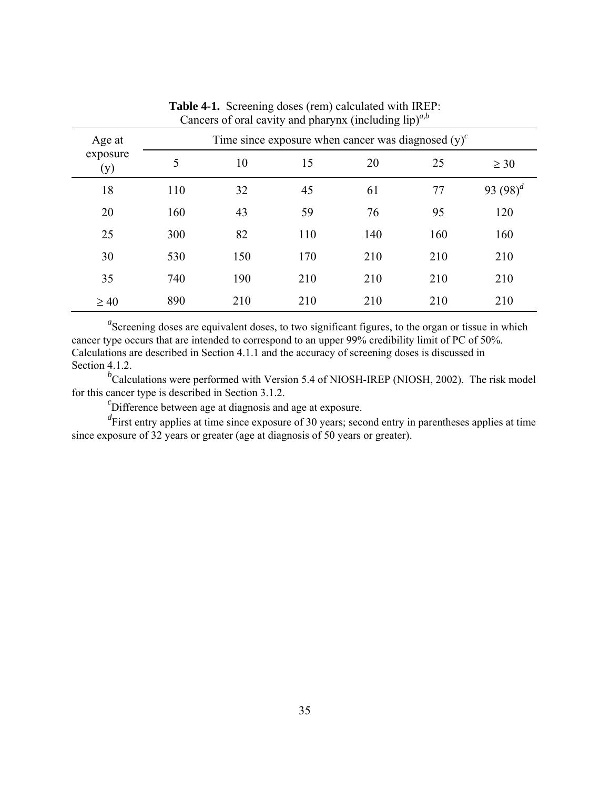| Age at          | Time since exposure when cancer was diagnosed $(y)^c$ |     |     |     |     |             |  |
|-----------------|-------------------------------------------------------|-----|-----|-----|-----|-------------|--|
| exposure<br>(y) | 5                                                     | 10  | 15  | 20  | 25  | $\geq 30$   |  |
| 18              | 110                                                   | 32  | 45  | 61  | 77  | 93 $(98)^d$ |  |
| 20              | 160                                                   | 43  | 59  | 76  | 95  | 120         |  |
| 25              | 300                                                   | 82  | 110 | 140 | 160 | 160         |  |
| 30              | 530                                                   | 150 | 170 | 210 | 210 | 210         |  |
| 35              | 740                                                   | 190 | 210 | 210 | 210 | 210         |  |
| $\geq 40$       | 890                                                   | 210 | 210 | 210 | 210 | 210         |  |

**Table 4-1.** Screening doses (rem) calculated with IREP: Cancers of oral cavity and pharynx (including  $lip$ <sup> $a,b$ </sup>)

<sup>*b*</sup>Calculations were performed with Version 5.4 of NIOSH-IREP (NIOSH, 2002). The risk model for this cancer type is described in Section 3.1.2.

 ${}^{c}$ Difference between age at diagnosis and age at exposure.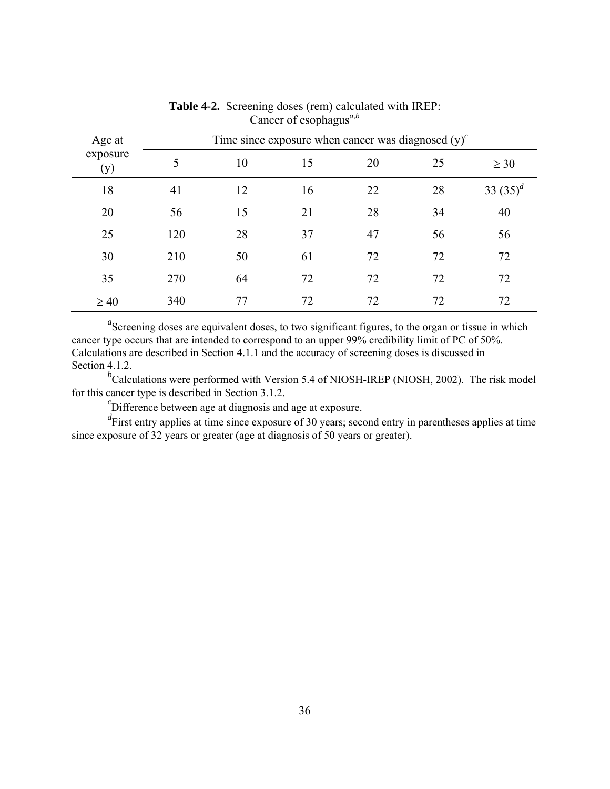| Age at<br>exposure<br>(y) | Time since exposure when cancer was diagnosed $(y)^c$ |    |    |    |    |             |  |
|---------------------------|-------------------------------------------------------|----|----|----|----|-------------|--|
|                           | 5                                                     | 10 | 15 | 20 | 25 | $\geq 30$   |  |
| 18                        | 41                                                    | 12 | 16 | 22 | 28 | 33 $(35)^d$ |  |
| 20                        | 56                                                    | 15 | 21 | 28 | 34 | 40          |  |
| 25                        | 120                                                   | 28 | 37 | 47 | 56 | 56          |  |
| 30                        | 210                                                   | 50 | 61 | 72 | 72 | 72          |  |
| 35                        | 270                                                   | 64 | 72 | 72 | 72 | 72          |  |
| $\geq 40$                 | 340                                                   | 77 | 72 | 72 | 72 | 72          |  |

**Table 4-2.** Screening doses (rem) calculated with IREP: Cancer of esophagus*<sup>a</sup>*,*<sup>b</sup>*

<sup>*b*</sup>Calculations were performed with Version 5.4 of NIOSH-IREP (NIOSH, 2002). The risk model for this cancer type is described in Section 3.1.2.

 ${}^{c}$ Difference between age at diagnosis and age at exposure.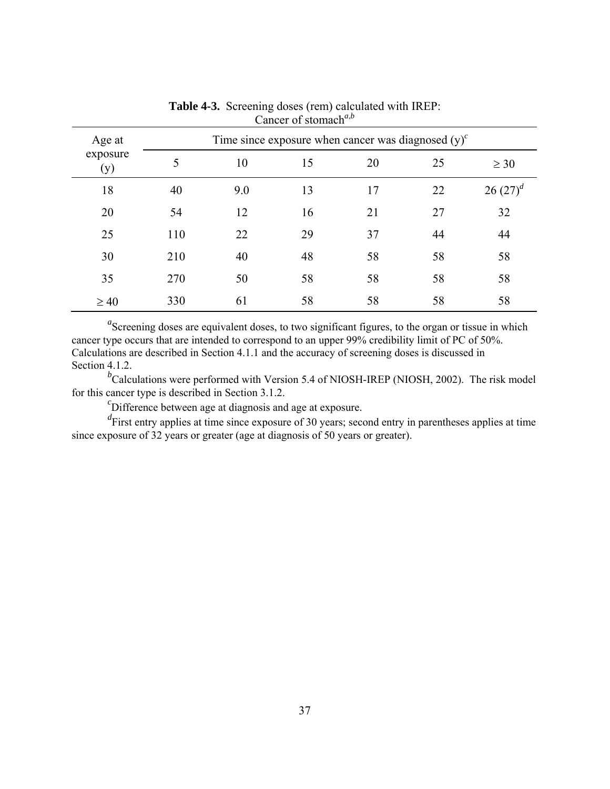| Age at          | Time since exposure when cancer was diagnosed $(v)^c$ |     |    |    |    |              |
|-----------------|-------------------------------------------------------|-----|----|----|----|--------------|
| exposure<br>(y) | 5                                                     | 10  | 15 | 20 | 25 | $\geq 30$    |
| 18              | 40                                                    | 9.0 | 13 | 17 | 22 | $26(27)^{d}$ |
| 20              | 54                                                    | 12  | 16 | 21 | 27 | 32           |
| 25              | 110                                                   | 22  | 29 | 37 | 44 | 44           |
| 30              | 210                                                   | 40  | 48 | 58 | 58 | 58           |
| 35              | 270                                                   | 50  | 58 | 58 | 58 | 58           |
| $\geq 40$       | 330                                                   | 61  | 58 | 58 | 58 | 58           |

**Table 4-3.** Screening doses (rem) calculated with IREP: Cancer of stomach*<sup>a</sup>*,*<sup>b</sup>*

<sup>*b*</sup>Calculations were performed with Version 5.4 of NIOSH-IREP (NIOSH, 2002). The risk model for this cancer type is described in Section 3.1.2.

 ${}^{c}$ Difference between age at diagnosis and age at exposure.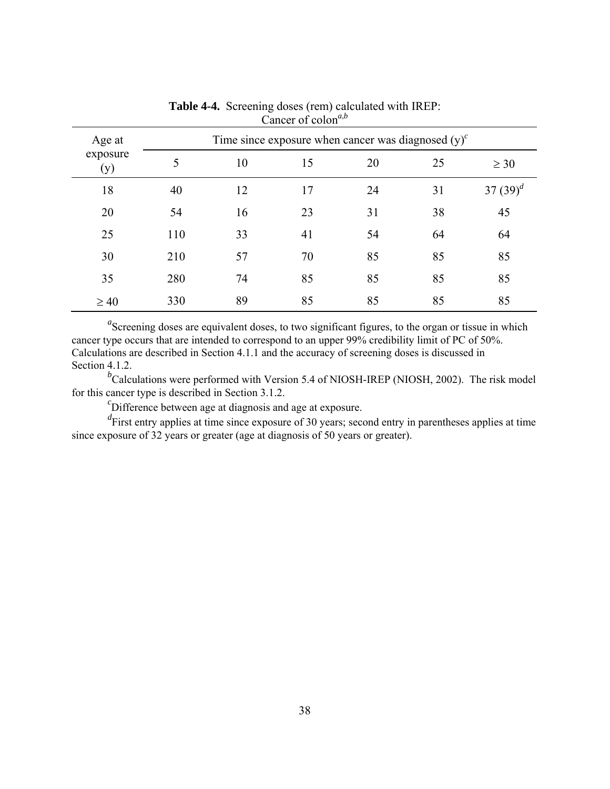| Age at          | Time since exposure when cancer was diagnosed $(v)^c$ |    |    |    |    |             |
|-----------------|-------------------------------------------------------|----|----|----|----|-------------|
| exposure<br>(y) | 5                                                     | 10 | 15 | 20 | 25 | $\geq 30$   |
| 18              | 40                                                    | 12 | 17 | 24 | 31 | 37 $(39)^d$ |
| 20              | 54                                                    | 16 | 23 | 31 | 38 | 45          |
| 25              | 110                                                   | 33 | 41 | 54 | 64 | 64          |
| 30              | 210                                                   | 57 | 70 | 85 | 85 | 85          |
| 35              | 280                                                   | 74 | 85 | 85 | 85 | 85          |
| $\geq 40$       | 330                                                   | 89 | 85 | 85 | 85 | 85          |

**Table 4-4.** Screening doses (rem) calculated with IREP: Cancer of colon<sup>*a*,*b*</sup>

<sup>*b*</sup>Calculations were performed with Version 5.4 of NIOSH-IREP (NIOSH, 2002). The risk model for this cancer type is described in Section 3.1.2.

 ${}^{c}$ Difference between age at diagnosis and age at exposure.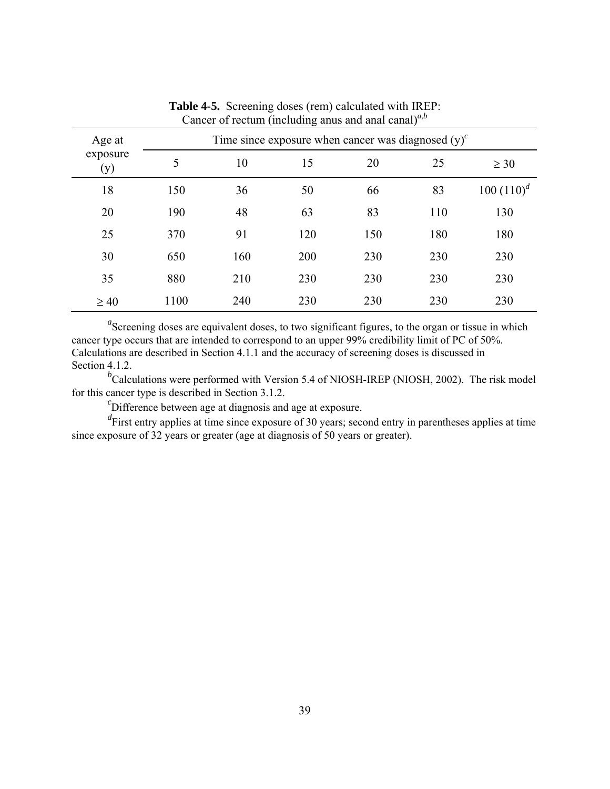| Age at          | Time since exposure when cancer was diagnosed $(y)^c$ |     |     |     |     |              |  |
|-----------------|-------------------------------------------------------|-----|-----|-----|-----|--------------|--|
| exposure<br>(y) | 5                                                     | 10  | 15  | 20  | 25  | $\geq 30$    |  |
| 18              | 150                                                   | 36  | 50  | 66  | 83  | $100(110)^d$ |  |
| 20              | 190                                                   | 48  | 63  | 83  | 110 | 130          |  |
| 25              | 370                                                   | 91  | 120 | 150 | 180 | 180          |  |
| 30              | 650                                                   | 160 | 200 | 230 | 230 | 230          |  |
| 35              | 880                                                   | 210 | 230 | 230 | 230 | 230          |  |
| $\geq 40$       | 1100                                                  | 240 | 230 | 230 | 230 | 230          |  |

**Table 4-5.** Screening doses (rem) calculated with IREP: Cancer of rectum (including anus and anal canal) $a$ ,*b* 

<sup>*b*</sup>Calculations were performed with Version 5.4 of NIOSH-IREP (NIOSH, 2002). The risk model for this cancer type is described in Section 3.1.2.

 ${}^{c}$ Difference between age at diagnosis and age at exposure.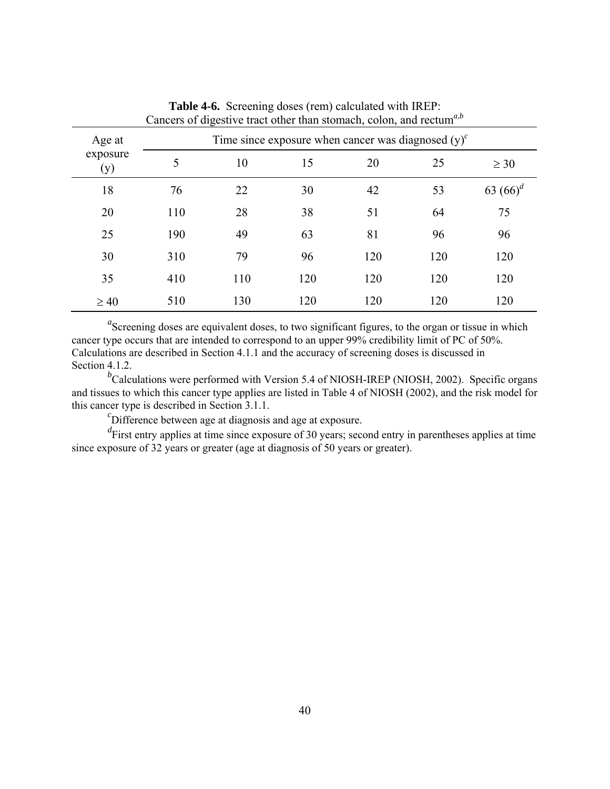| cancers of argeon to must omer main stomath, colon, and rectain |                                                       |     |     |     |     |             |  |
|-----------------------------------------------------------------|-------------------------------------------------------|-----|-----|-----|-----|-------------|--|
| Age at                                                          | Time since exposure when cancer was diagnosed $(y)^c$ |     |     |     |     |             |  |
| exposure<br>(y)                                                 | 5                                                     | 10  | 15  | 20  | 25  | $\geq 30$   |  |
| 18                                                              | 76                                                    | 22  | 30  | 42  | 53  | 63 $(66)^d$ |  |
| 20                                                              | 110                                                   | 28  | 38  | 51  | 64  | 75          |  |
| 25                                                              | 190                                                   | 49  | 63  | 81  | 96  | 96          |  |
| 30                                                              | 310                                                   | 79  | 96  | 120 | 120 | 120         |  |
| 35                                                              | 410                                                   | 110 | 120 | 120 | 120 | 120         |  |
| $\geq 40$                                                       | 510                                                   | 130 | 120 | 120 | 120 | 120         |  |

**Table 4-6.** Screening doses (rem) calculated with IREP: Cancers of digestive tract other than stomach, colon, and rectum*<sup>a</sup>*,*<sup>b</sup>*

<sup>*b*</sup>Calculations were performed with Version 5.4 of NIOSH-IREP (NIOSH, 2002). Specific organs and tissues to which this cancer type applies are listed in Table 4 of NIOSH (2002), and the risk model for this cancer type is described in Section 3.1.1. *<sup>c</sup>*

 ${}^{c}$ Difference between age at diagnosis and age at exposure.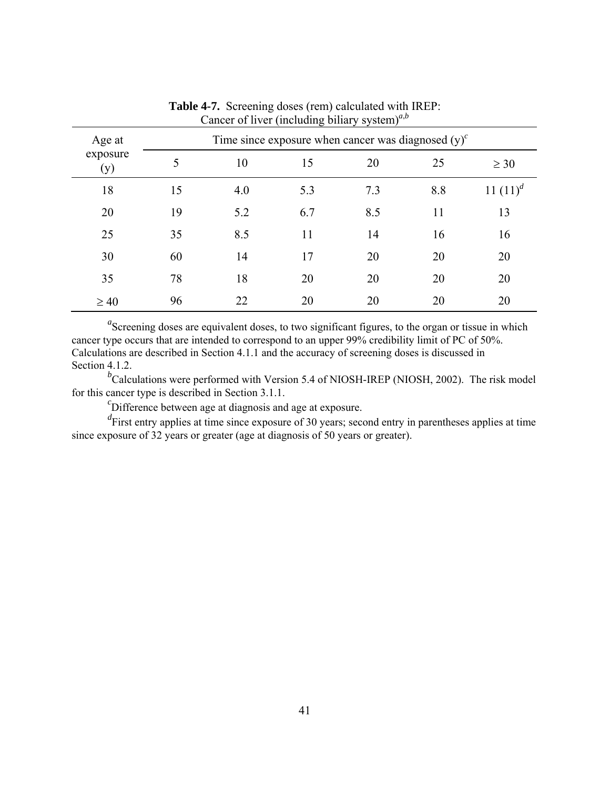| Age at<br>exposure<br>(y) | Time since exposure when cancer was diagnosed $(y)^c$ |     |     |     |     |             |  |
|---------------------------|-------------------------------------------------------|-----|-----|-----|-----|-------------|--|
|                           | 5                                                     | 10  | 15  | 20  | 25  | $\geq 30$   |  |
| 18                        | 15                                                    | 4.0 | 5.3 | 7.3 | 8.8 | 11 $(11)^d$ |  |
| 20                        | 19                                                    | 5.2 | 6.7 | 8.5 | 11  | 13          |  |
| 25                        | 35                                                    | 8.5 | 11  | 14  | 16  | 16          |  |
| 30                        | 60                                                    | 14  | 17  | 20  | 20  | 20          |  |
| 35                        | 78                                                    | 18  | 20  | 20  | 20  | 20          |  |
| $\geq 40$                 | 96                                                    | 22  | 20  | 20  | 20  | 20          |  |

**Table 4-7.** Screening doses (rem) calculated with IREP: Cancer of liver (including biliary system)*<sup>a</sup>*,*<sup>b</sup>*

<sup>*b*</sup>Calculations were performed with Version 5.4 of NIOSH-IREP (NIOSH, 2002). The risk model for this cancer type is described in Section 3.1.1.

 ${}^{c}$ Difference between age at diagnosis and age at exposure.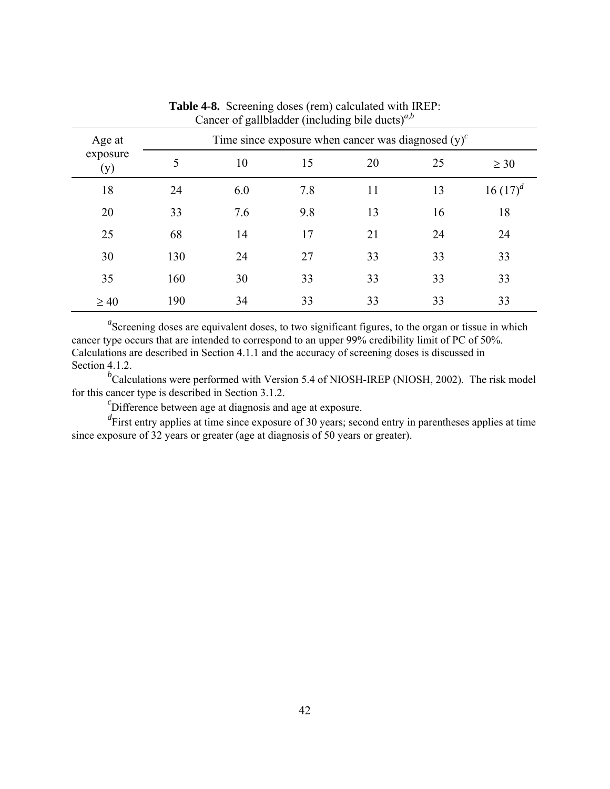| Age at          | Time since exposure when cancer was diagnosed $(y)^c$ |     |     |    |    |             |  |
|-----------------|-------------------------------------------------------|-----|-----|----|----|-------------|--|
| exposure<br>(y) | 5                                                     | 10  | 15  | 20 | 25 | $\geq 30$   |  |
| 18              | 24                                                    | 6.0 | 7.8 | 11 | 13 | 16 $(17)^d$ |  |
| 20              | 33                                                    | 7.6 | 9.8 | 13 | 16 | 18          |  |
| 25              | 68                                                    | 14  | 17  | 21 | 24 | 24          |  |
| 30              | 130                                                   | 24  | 27  | 33 | 33 | 33          |  |
| 35              | 160                                                   | 30  | 33  | 33 | 33 | 33          |  |
| $\geq 40$       | 190                                                   | 34  | 33  | 33 | 33 | 33          |  |

**Table 4-8.** Screening doses (rem) calculated with IREP: Cancer of gallbladder (including bile ducts)*<sup>a</sup>*,*<sup>b</sup>*

<sup>*b*</sup>Calculations were performed with Version 5.4 of NIOSH-IREP (NIOSH, 2002). The risk model for this cancer type is described in Section 3.1.2.

 ${}^{c}$ Difference between age at diagnosis and age at exposure.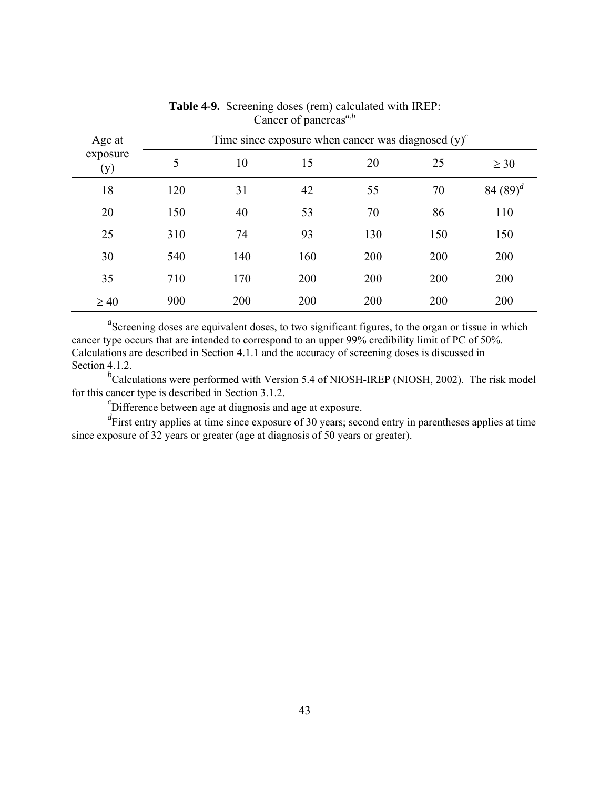| Age at          | Time since exposure when cancer was diagnosed $(y)^c$ |     |     |     |     |             |  |
|-----------------|-------------------------------------------------------|-----|-----|-----|-----|-------------|--|
| exposure<br>(y) | 5                                                     | 10  | 15  | 20  | 25  | $\geq 30$   |  |
| 18              | 120                                                   | 31  | 42  | 55  | 70  | 84 $(89)^d$ |  |
| 20              | 150                                                   | 40  | 53  | 70  | 86  | 110         |  |
| 25              | 310                                                   | 74  | 93  | 130 | 150 | 150         |  |
| 30              | 540                                                   | 140 | 160 | 200 | 200 | 200         |  |
| 35              | 710                                                   | 170 | 200 | 200 | 200 | 200         |  |
| $\geq 40$       | 900                                                   | 200 | 200 | 200 | 200 | 200         |  |

**Table 4-9.** Screening doses (rem) calculated with IREP: Cancer of pancreas*<sup>a</sup>*,*<sup>b</sup>*

<sup>*b*</sup>Calculations were performed with Version 5.4 of NIOSH-IREP (NIOSH, 2002). The risk model for this cancer type is described in Section 3.1.2.

 ${}^{c}$ Difference between age at diagnosis and age at exposure.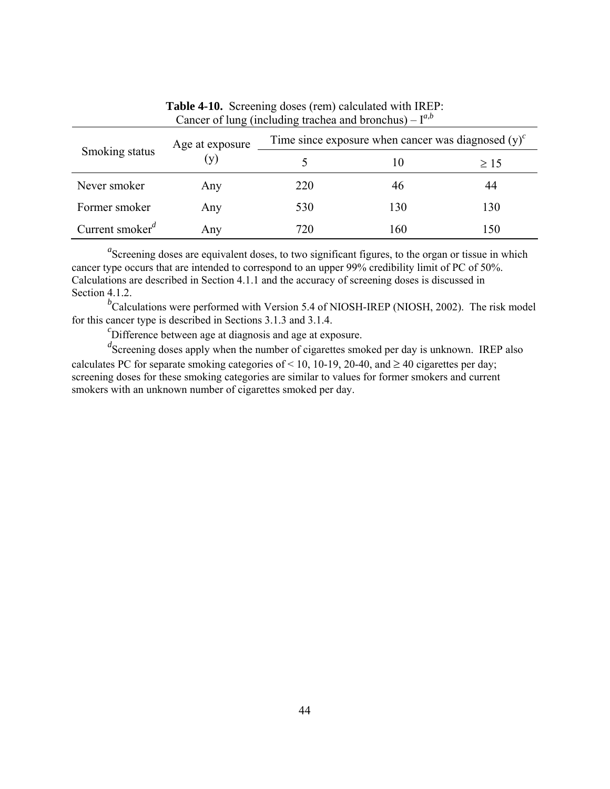| Smoking status                           | Age at exposure | Time since exposure when cancer was diagnosed $(y)^{c}$ |     |           |  |  |
|------------------------------------------|-----------------|---------------------------------------------------------|-----|-----------|--|--|
|                                          | (y)             |                                                         | 10  | $\geq 15$ |  |  |
| Never smoker                             | Any             | 220                                                     | 46  | 44        |  |  |
| Former smoker                            | Any             | 530                                                     | 130 | 130       |  |  |
| Current smoker <sup><math>d</math></sup> | Any             | 720                                                     | 160 | 150       |  |  |

**Table 4-10.** Screening doses (rem) calculated with IREP: Cancer of lung (including trachea and bronchus) –  $I^{a,b}$ 

<sup>*b*</sup>Calculations were performed with Version 5.4 of NIOSH-IREP (NIOSH, 2002). The risk model for this cancer type is described in Sections 3.1.3 and 3.1.4. *<sup>c</sup>*

 ${}^{c}$ Difference between age at diagnosis and age at exposure.

<sup>d</sup>Screening doses apply when the number of cigarettes smoked per day is unknown. IREP also calculates PC for separate smoking categories of < 10, 10-19, 20-40, and  $\geq$  40 cigarettes per day; screening doses for these smoking categories are similar to values for former smokers and current smokers with an unknown number of cigarettes smoked per day.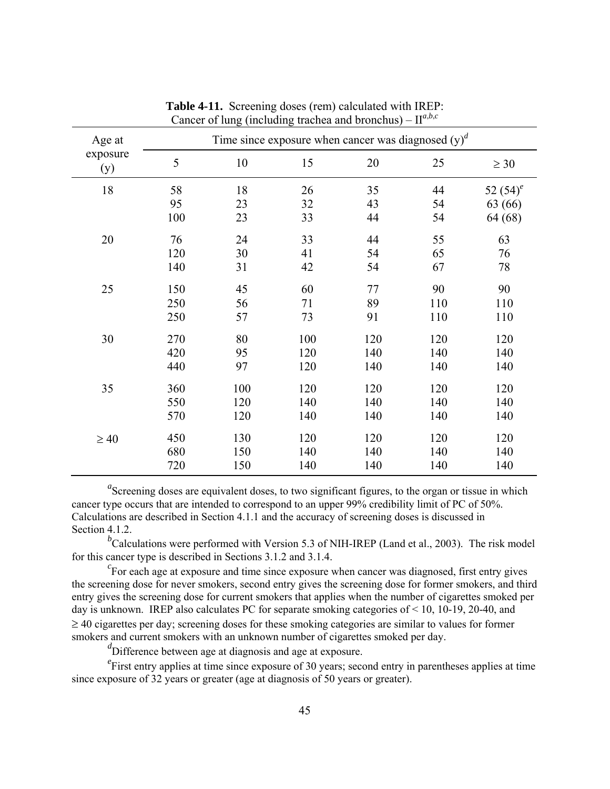| Age at          | Time since exposure when cancer was diagnosed $(y)^d$ |     |     |     |     |             |  |
|-----------------|-------------------------------------------------------|-----|-----|-----|-----|-------------|--|
| exposure<br>(y) | 5                                                     | 10  | 15  | 20  | 25  | $\geq 30$   |  |
| 18              | 58                                                    | 18  | 26  | 35  | 44  | 52 $(54)^e$ |  |
|                 | 95                                                    | 23  | 32  | 43  | 54  | 63 (66)     |  |
|                 | 100                                                   | 23  | 33  | 44  | 54  | 64 (68)     |  |
| 20              | 76                                                    | 24  | 33  | 44  | 55  | 63          |  |
|                 | 120                                                   | 30  | 41  | 54  | 65  | 76          |  |
|                 | 140                                                   | 31  | 42  | 54  | 67  | 78          |  |
| 25              | 150                                                   | 45  | 60  | 77  | 90  | 90          |  |
|                 | 250                                                   | 56  | 71  | 89  | 110 | 110         |  |
|                 | 250                                                   | 57  | 73  | 91  | 110 | 110         |  |
| 30              | 270                                                   | 80  | 100 | 120 | 120 | 120         |  |
|                 | 420                                                   | 95  | 120 | 140 | 140 | 140         |  |
|                 | 440                                                   | 97  | 120 | 140 | 140 | 140         |  |
| 35              | 360                                                   | 100 | 120 | 120 | 120 | 120         |  |
|                 | 550                                                   | 120 | 140 | 140 | 140 | 140         |  |
|                 | 570                                                   | 120 | 140 | 140 | 140 | 140         |  |
| $\geq 40$       | 450                                                   | 130 | 120 | 120 | 120 | 120         |  |
|                 | 680                                                   | 150 | 140 | 140 | 140 | 140         |  |
|                 | 720                                                   | 150 | 140 | 140 | 140 | 140         |  |

**Table 4-11.** Screening doses (rem) calculated with IREP: Cancer of lung (including trachea and bronchus) –  $\mathbf{H}^{a,b,c}$ 

<sup>*b*</sup>Calculations were performed with Version 5.3 of NIH-IREP (Land et al., 2003). The risk model for this cancer type is described in Sections 3.1.2 and 3.1.4. *<sup>c</sup>*

 ${}^{c}$ For each age at exposure and time since exposure when cancer was diagnosed, first entry gives the screening dose for never smokers, second entry gives the screening dose for former smokers, and third entry gives the screening dose for current smokers that applies when the number of cigarettes smoked per day is unknown. IREP also calculates PC for separate smoking categories of < 10, 10-19, 20-40, and ≥ 40 cigarettes per day; screening doses for these smoking categories are similar to values for former smokers and current smokers with an unknown number of cigarettes smoked per day.

*d* Difference between age at diagnosis and age at exposure.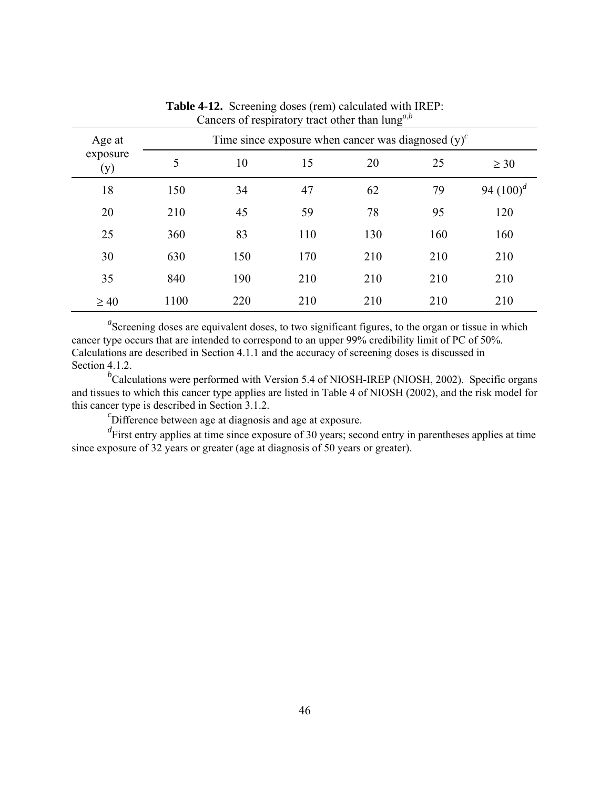| Age at          | Time since exposure when cancer was diagnosed $(y)^c$ |     |     |     |     |              |  |
|-----------------|-------------------------------------------------------|-----|-----|-----|-----|--------------|--|
| exposure<br>(y) | 5                                                     | 10  | 15  | 20  | 25  | $\geq 30$    |  |
| 18              | 150                                                   | 34  | 47  | 62  | 79  | 94 $(100)^d$ |  |
| 20              | 210                                                   | 45  | 59  | 78  | 95  | 120          |  |
| 25              | 360                                                   | 83  | 110 | 130 | 160 | 160          |  |
| 30              | 630                                                   | 150 | 170 | 210 | 210 | 210          |  |
| 35              | 840                                                   | 190 | 210 | 210 | 210 | 210          |  |
| $\geq 40$       | 1100                                                  | 220 | 210 | 210 | 210 | 210          |  |

**Table 4-12.** Screening doses (rem) calculated with IREP: Cancers of respiratory tract other than lung<sup>*a*,*b*</sup>

<sup>*b*</sup>Calculations were performed with Version 5.4 of NIOSH-IREP (NIOSH, 2002). Specific organs and tissues to which this cancer type applies are listed in Table 4 of NIOSH (2002), and the risk model for this cancer type is described in Section 3.1.2.

 ${}^{c}$ Difference between age at diagnosis and age at exposure.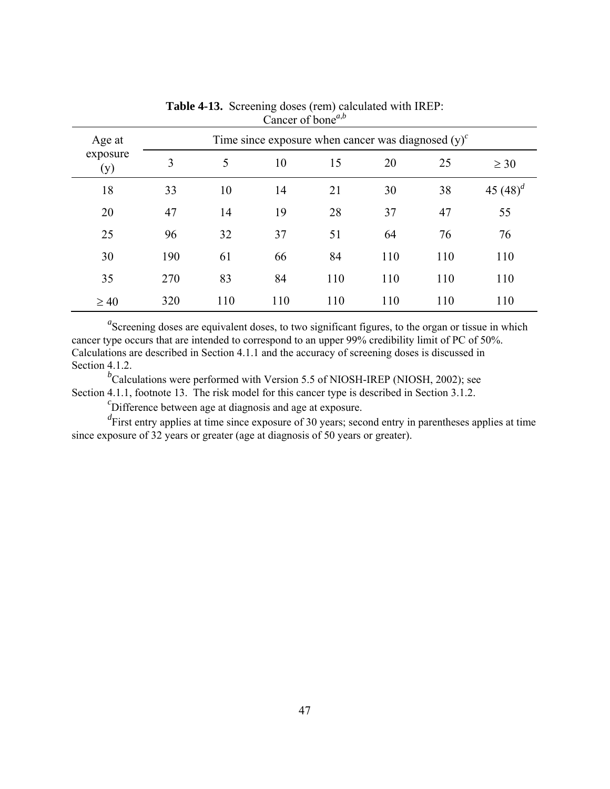| Age at          |     |     |     | Time since exposure when cancer was diagnosed $(y)^c$ |     |     |             |
|-----------------|-----|-----|-----|-------------------------------------------------------|-----|-----|-------------|
| exposure<br>(y) | 3   | 5   | 10  | 15                                                    | 20  | 25  | $\geq 30$   |
| 18              | 33  | 10  | 14  | 21                                                    | 30  | 38  | 45 $(48)^d$ |
| 20              | 47  | 14  | 19  | 28                                                    | 37  | 47  | 55          |
| 25              | 96  | 32  | 37  | 51                                                    | 64  | 76  | 76          |
| 30              | 190 | 61  | 66  | 84                                                    | 110 | 110 | 110         |
| 35              | 270 | 83  | 84  | 110                                                   | 110 | 110 | 110         |
| $\geq 40$       | 320 | 110 | 110 | 110                                                   | 110 | 110 | 110         |

**Table 4-13.** Screening doses (rem) calculated with IREP: Cancer of bone<sup> $a,b$ </sup>

<sup>*b*</sup>Calculations were performed with Version 5.5 of NIOSH-IREP (NIOSH, 2002); see Section 4.1.1, footnote 13. The risk model for this cancer type is described in Section 3.1.2.

Difference between age at diagnosis and age at exposure.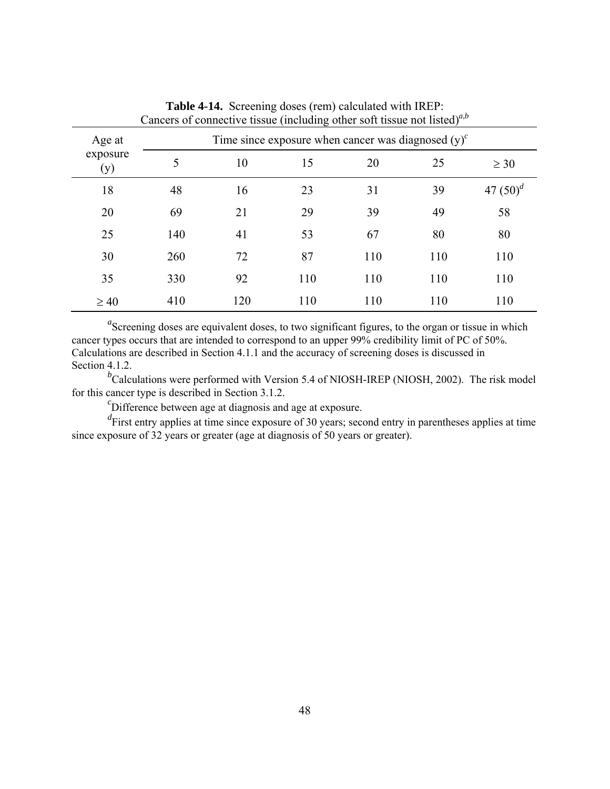| Cancels of connective assay (including other sold assay not hold) |     |     |     |                                                         |     |               |  |  |  |
|-------------------------------------------------------------------|-----|-----|-----|---------------------------------------------------------|-----|---------------|--|--|--|
| Age at                                                            |     |     |     | Time since exposure when cancer was diagnosed $(y)^{c}$ |     |               |  |  |  |
| exposure<br>(y)                                                   | 5   | 10  | 15  | 20                                                      | 25  | $\geq 30$     |  |  |  |
| 18                                                                | 48  | 16  | 23  | 31                                                      | 39  | 47 $(50)^{d}$ |  |  |  |
| 20                                                                | 69  | 21  | 29  | 39                                                      | 49  | 58            |  |  |  |
| 25                                                                | 140 | 41  | 53  | 67                                                      | 80  | 80            |  |  |  |
| 30                                                                | 260 | 72  | 87  | 110                                                     | 110 | 110           |  |  |  |
| 35                                                                | 330 | 92  | 110 | 110                                                     | 110 | 110           |  |  |  |
| $\geq 40$                                                         | 410 | 120 | 110 | 110                                                     | 110 | 110           |  |  |  |

**Table 4-14.** Screening doses (rem) calculated with IREP: Cancers of connective tissue (including other soft tissue not listed)*<sup>a</sup>*,*<sup>b</sup>*

<sup>*b*</sup>Calculations were performed with Version 5.4 of NIOSH-IREP (NIOSH, 2002). The risk model for this cancer type is described in Section 3.1.2.

 ${}^{c}$ Difference between age at diagnosis and age at exposure.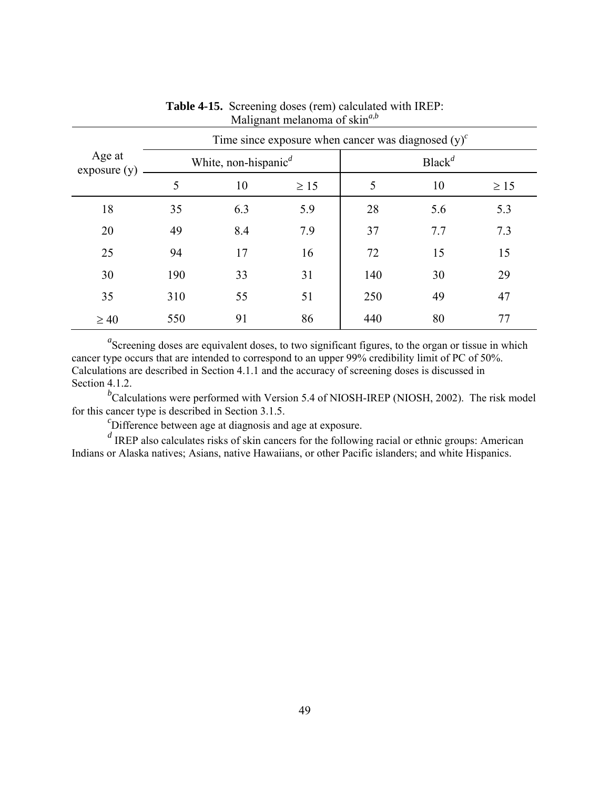|                       |     |                                               |           | Time since exposure when cancer was diagnosed $(y)^c$ |                    |           |  |
|-----------------------|-----|-----------------------------------------------|-----------|-------------------------------------------------------|--------------------|-----------|--|
| Age at<br>exposure(y) |     | White, non-hispanic <sup><math>d</math></sup> |           |                                                       | Black <sup>d</sup> |           |  |
|                       | 5   | 10                                            | $\geq 15$ | 5                                                     | 10                 | $\geq 15$ |  |
| 18                    | 35  | 6.3                                           | 5.9       | 28                                                    | 5.6                | 5.3       |  |
| 20                    | 49  | 8.4                                           | 7.9       | 37                                                    | 7.7                | 7.3       |  |
| 25                    | 94  | 17                                            | 16        | 72                                                    | 15                 | 15        |  |
| 30                    | 190 | 33                                            | 31        | 140                                                   | 30                 | 29        |  |
| 35                    | 310 | 55                                            | 51        | 250                                                   | 49                 | 47        |  |
| $\geq 40$             | 550 | 91                                            | 86        | 440                                                   | 80                 | 77        |  |

# **Table 4-15.** Screening doses (rem) calculated with IREP: Malignant melanoma of skin*<sup>a</sup>*,*<sup>b</sup>*

<sup>a</sup>Screening doses are equivalent doses, to two significant figures, to the organ or tissue in which cancer type occurs that are intended to correspond to an upper 99% credibility limit of PC of 50%. Calculations are described in Section 4.1.1 and the accuracy of screening doses is discussed in Section 4.1.2.

<sup>*b*</sup>Calculations were performed with Version 5.4 of NIOSH-IREP (NIOSH, 2002). The risk model for this cancer type is described in Section 3.1.5.

 ${}^{c}$ Difference between age at diagnosis and age at exposure.

*d* IREP also calculates risks of skin cancers for the following racial or ethnic groups: American Indians or Alaska natives; Asians, native Hawaiians, or other Pacific islanders; and white Hispanics.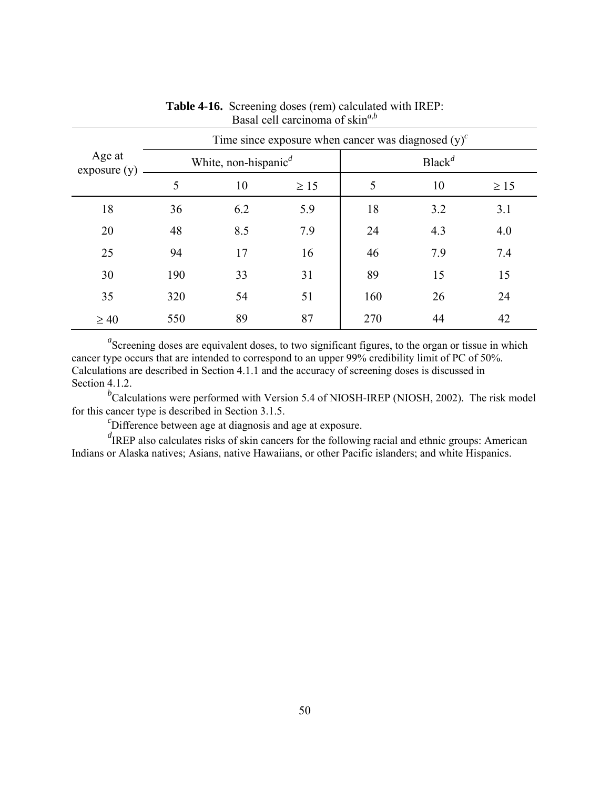|                       |     |                                               |           | Time since exposure when cancer was diagnosed $(y)^c$ |                    |           |  |
|-----------------------|-----|-----------------------------------------------|-----------|-------------------------------------------------------|--------------------|-----------|--|
| Age at<br>exposure(y) |     | White, non-hispanic <sup><math>d</math></sup> |           |                                                       | Black <sup>d</sup> |           |  |
|                       | 5   | 10                                            | $\geq 15$ | 5                                                     | 10                 | $\geq 15$ |  |
| 18                    | 36  | 6.2                                           | 5.9       | 18                                                    | 3.2                | 3.1       |  |
| 20                    | 48  | 8.5                                           | 7.9       | 24                                                    | 4.3                | 4.0       |  |
| 25                    | 94  | 17                                            | 16        | 46                                                    | 7.9                | 7.4       |  |
| 30                    | 190 | 33                                            | 31        | 89                                                    | 15                 | 15        |  |
| 35                    | 320 | 54                                            | 51        | 160                                                   | 26                 | 24        |  |
| $\geq 40$             | 550 | 89                                            | 87        | 270                                                   | 44                 | 42        |  |

## **Table 4-16.** Screening doses (rem) calculated with IREP: Basal cell carcinoma of skin*<sup>a</sup>*,*<sup>b</sup>*

<sup>a</sup>Screening doses are equivalent doses, to two significant figures, to the organ or tissue in which cancer type occurs that are intended to correspond to an upper 99% credibility limit of PC of 50%. Calculations are described in Section 4.1.1 and the accuracy of screening doses is discussed in Section 4.1.2.

<sup>*b*</sup>Calculations were performed with Version 5.4 of NIOSH-IREP (NIOSH, 2002). The risk model for this cancer type is described in Section 3.1.5.

 ${}^{c}$ Difference between age at diagnosis and age at exposure.

*d* IREP also calculates risks of skin cancers for the following racial and ethnic groups: American Indians or Alaska natives; Asians, native Hawaiians, or other Pacific islanders; and white Hispanics.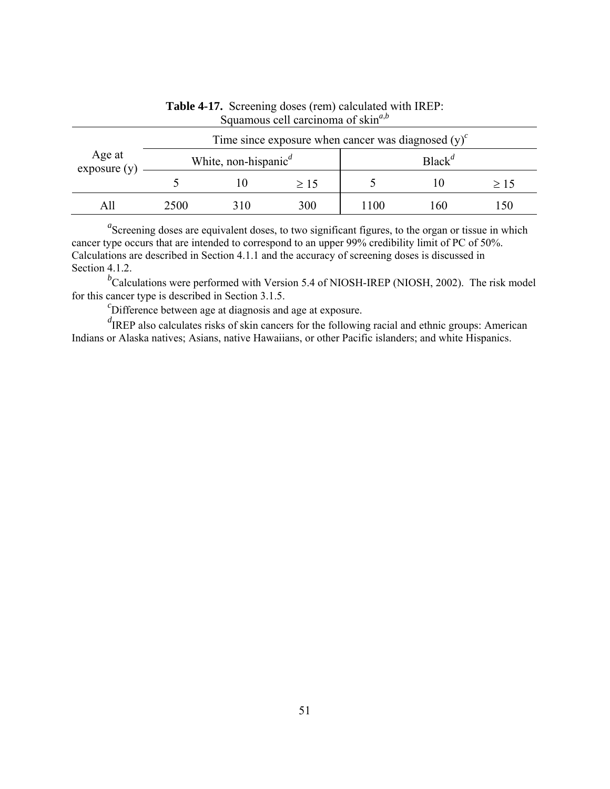| Age at<br>exposure(y) |      | Time since exposure when cancer was diagnosed $(y)^c$ |           |                    |     |     |  |
|-----------------------|------|-------------------------------------------------------|-----------|--------------------|-----|-----|--|
|                       |      | White, non-hispanic <sup><math>d</math></sup>         |           | Black <sup>d</sup> |     |     |  |
|                       |      |                                                       | $\geq 15$ |                    |     | >15 |  |
|                       | 2500 | 310                                                   | 300       | 1100               | 160 | 50  |  |

## **Table 4-17.** Screening doses (rem) calculated with IREP: Squamous cell carcinoma of skin*<sup>a</sup>*,*<sup>b</sup>*

<sup>a</sup>Screening doses are equivalent doses, to two significant figures, to the organ or tissue in which cancer type occurs that are intended to correspond to an upper 99% credibility limit of PC of 50%. Calculations are described in Section 4.1.1 and the accuracy of screening doses is discussed in Section 4.1.2.

<sup>*b*</sup>Calculations were performed with Version 5.4 of NIOSH-IREP (NIOSH, 2002). The risk model for this cancer type is described in Section 3.1.5.

 $\epsilon$ Difference between age at diagnosis and age at exposure.

*d* IREP also calculates risks of skin cancers for the following racial and ethnic groups: American Indians or Alaska natives; Asians, native Hawaiians, or other Pacific islanders; and white Hispanics.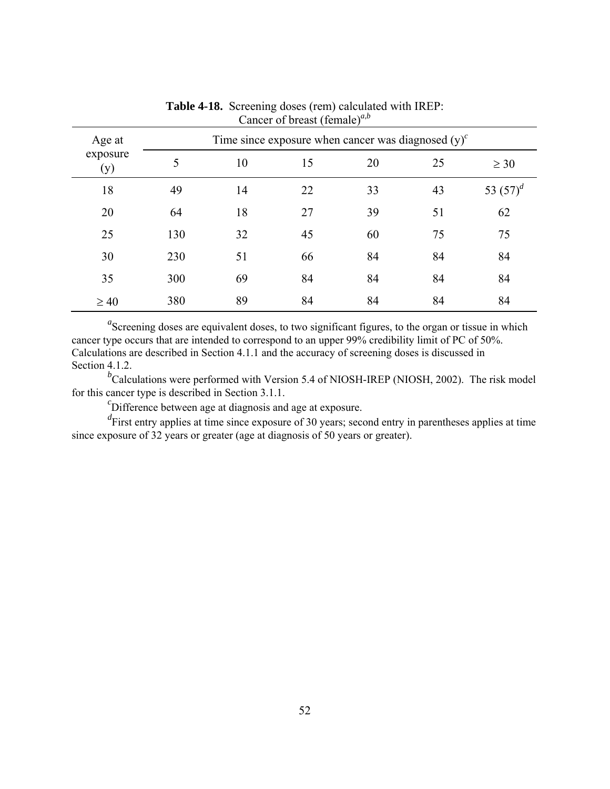| Age at          |     |    |    | Time since exposure when cancer was diagnosed $(y)^c$ |    |             |  |  |  |
|-----------------|-----|----|----|-------------------------------------------------------|----|-------------|--|--|--|
| exposure<br>(y) | 5   | 10 | 15 | 20                                                    | 25 | $\geq 30$   |  |  |  |
| 18              | 49  | 14 | 22 | 33                                                    | 43 | 53 $(57)^d$ |  |  |  |
| 20              | 64  | 18 | 27 | 39                                                    | 51 | 62          |  |  |  |
| 25              | 130 | 32 | 45 | 60                                                    | 75 | 75          |  |  |  |
| 30              | 230 | 51 | 66 | 84                                                    | 84 | 84          |  |  |  |
| 35              | 300 | 69 | 84 | 84                                                    | 84 | 84          |  |  |  |
| $\geq 40$       | 380 | 89 | 84 | 84                                                    | 84 | 84          |  |  |  |

**Table 4-18.** Screening doses (rem) calculated with IREP: Cancer of breast (female)*<sup>a</sup>*,*<sup>b</sup>*

<sup>*b*</sup>Calculations were performed with Version 5.4 of NIOSH-IREP (NIOSH, 2002). The risk model for this cancer type is described in Section 3.1.1.

 ${}^{c}$ Difference between age at diagnosis and age at exposure.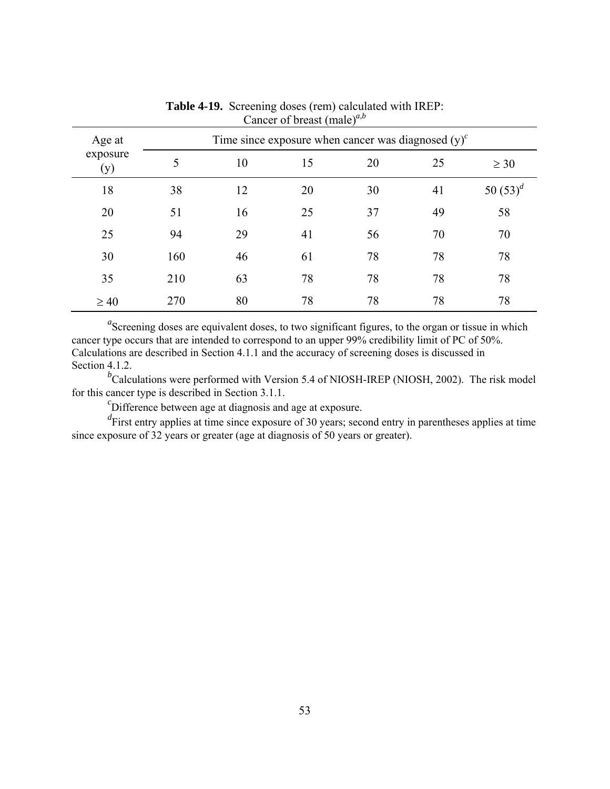| Age at<br>exposure<br>(y) |     |    |    | Time since exposure when cancer was diagnosed $(y)^c$ |    |             |  |  |  |
|---------------------------|-----|----|----|-------------------------------------------------------|----|-------------|--|--|--|
|                           | 5   | 10 | 15 | 20                                                    | 25 | $\geq 30$   |  |  |  |
| 18                        | 38  | 12 | 20 | 30                                                    | 41 | 50 $(53)^d$ |  |  |  |
| 20                        | 51  | 16 | 25 | 37                                                    | 49 | 58          |  |  |  |
| 25                        | 94  | 29 | 41 | 56                                                    | 70 | 70          |  |  |  |
| 30                        | 160 | 46 | 61 | 78                                                    | 78 | 78          |  |  |  |
| 35                        | 210 | 63 | 78 | 78                                                    | 78 | 78          |  |  |  |
| $\geq 40$                 | 270 | 80 | 78 | 78                                                    | 78 | 78          |  |  |  |

**Table 4-19.** Screening doses (rem) calculated with IREP: Cancer of breast (male)*<sup>a</sup>*,*<sup>b</sup>*

<sup>*b*</sup>Calculations were performed with Version 5.4 of NIOSH-IREP (NIOSH, 2002). The risk model for this cancer type is described in Section 3.1.1.

 ${}^{c}$ Difference between age at diagnosis and age at exposure.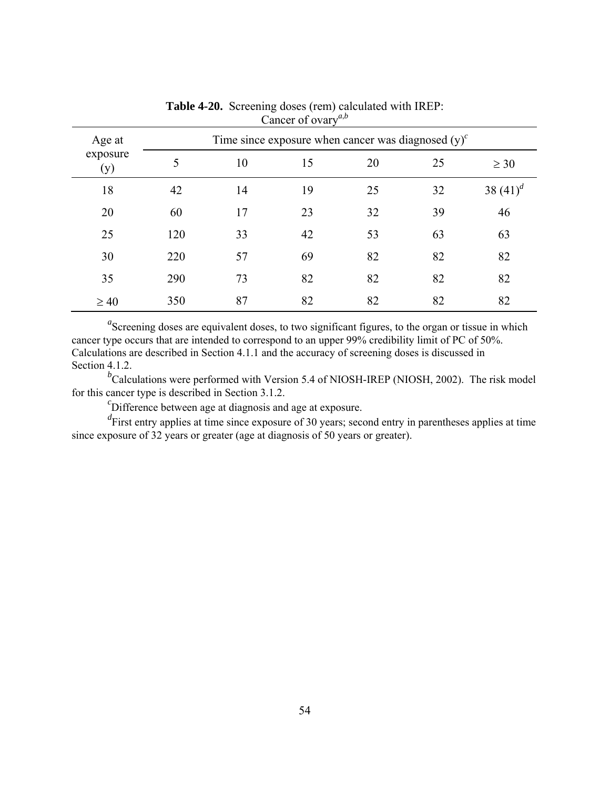| Age at          |     |    |    | Time since exposure when cancer was diagnosed $(v)^c$ |    |             |
|-----------------|-----|----|----|-------------------------------------------------------|----|-------------|
| exposure<br>(y) | 5   | 10 | 15 | 20                                                    | 25 | $\geq 30$   |
| 18              | 42  | 14 | 19 | 25                                                    | 32 | 38 $(41)^d$ |
| 20              | 60  | 17 | 23 | 32                                                    | 39 | 46          |
| 25              | 120 | 33 | 42 | 53                                                    | 63 | 63          |
| 30              | 220 | 57 | 69 | 82                                                    | 82 | 82          |
| 35              | 290 | 73 | 82 | 82                                                    | 82 | 82          |
| $\geq 40$       | 350 | 87 | 82 | 82                                                    | 82 | 82          |

**Table 4-20.** Screening doses (rem) calculated with IREP: Cancer of ovary<sup>*a*,*b*</sup>

<sup>*b*</sup>Calculations were performed with Version 5.4 of NIOSH-IREP (NIOSH, 2002). The risk model for this cancer type is described in Section 3.1.2.

 ${}^{c}$ Difference between age at diagnosis and age at exposure.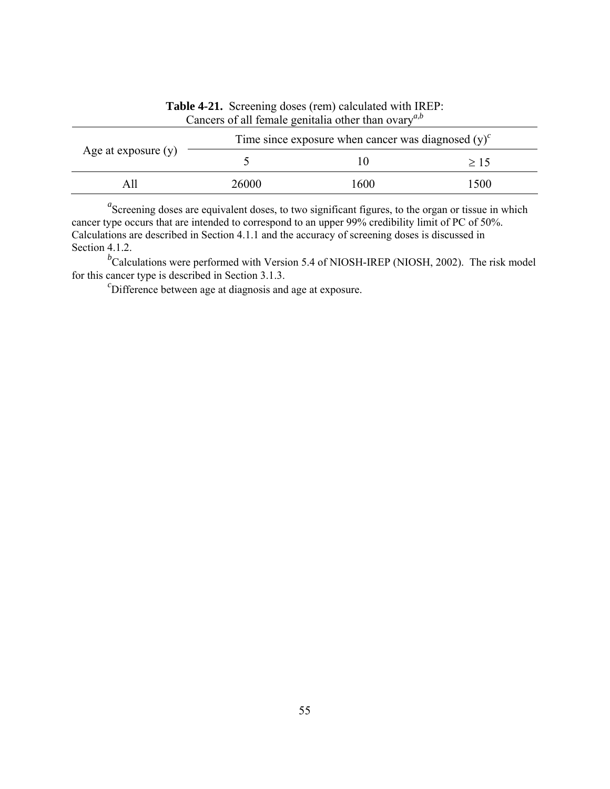| Age at exposure $(y)$ |       | Time since exposure when cancer was diagnosed $(y)^{c}$ |      |
|-----------------------|-------|---------------------------------------------------------|------|
|                       |       |                                                         | >15  |
|                       | 26000 | 1600                                                    | 1500 |

**Table 4-21.** Screening doses (rem) calculated with IREP: Cancers of all female genitalia other than ovary*<sup>a</sup>*,*<sup>b</sup>*

<sup>*b*</sup>Calculations were performed with Version 5.4 of NIOSH-IREP (NIOSH, 2002). The risk model for this cancer type is described in Section 3.1.3.

 ${}^{c}$ Difference between age at diagnosis and age at exposure.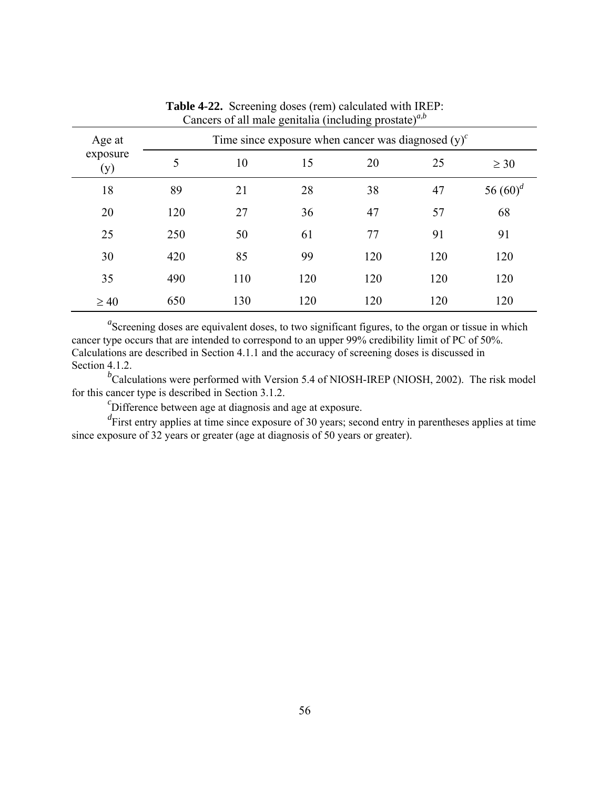| Age at<br>exposure<br>(y) |     |     |     | Time since exposure when cancer was diagnosed $(y)^c$ |     |             |  |  |  |
|---------------------------|-----|-----|-----|-------------------------------------------------------|-----|-------------|--|--|--|
|                           | 5   | 10  | 15  | 20                                                    | 25  | $\geq 30$   |  |  |  |
| 18                        | 89  | 21  | 28  | 38                                                    | 47  | 56 $(60)^d$ |  |  |  |
| 20                        | 120 | 27  | 36  | 47                                                    | 57  | 68          |  |  |  |
| 25                        | 250 | 50  | 61  | 77                                                    | 91  | 91          |  |  |  |
| 30                        | 420 | 85  | 99  | 120                                                   | 120 | 120         |  |  |  |
| 35                        | 490 | 110 | 120 | 120                                                   | 120 | 120         |  |  |  |
| $\geq 40$                 | 650 | 130 | 120 | 120                                                   | 120 | 120         |  |  |  |

**Table 4-22.** Screening doses (rem) calculated with IREP: Cancers of all male genitalia (including prostate)<sup> $a,b$ </sup>

<sup>*b*</sup>Calculations were performed with Version 5.4 of NIOSH-IREP (NIOSH, 2002). The risk model for this cancer type is described in Section 3.1.2.

 ${}^{c}$ Difference between age at diagnosis and age at exposure.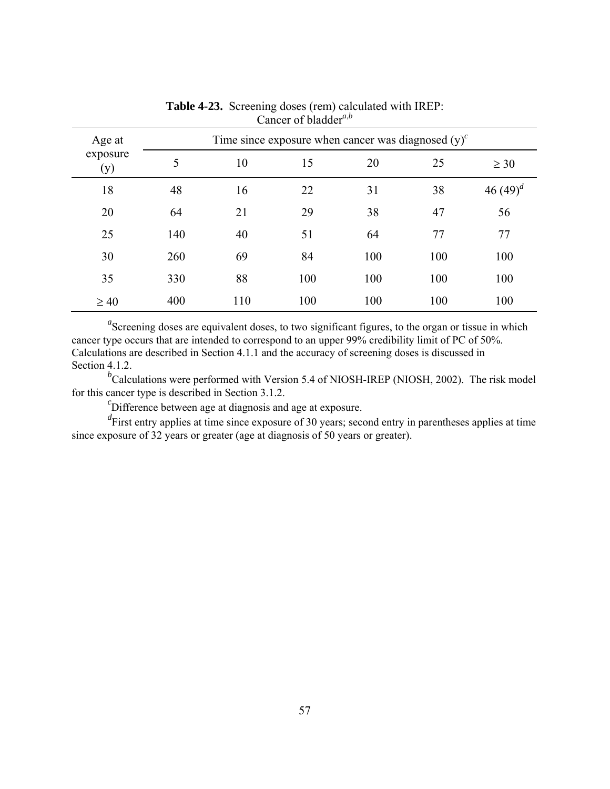| Age at          |     |     |     | Time since exposure when cancer was diagnosed $(y)^c$ |     |               |  |  |
|-----------------|-----|-----|-----|-------------------------------------------------------|-----|---------------|--|--|
| exposure<br>(y) | 5   | 10  | 15  | 20                                                    | 25  | $\geq 30$     |  |  |
| 18              | 48  | 16  | 22  | 31                                                    | 38  | 46 $(49)^{d}$ |  |  |
| 20              | 64  | 21  | 29  | 38                                                    | 47  | 56            |  |  |
| 25              | 140 | 40  | 51  | 64                                                    | 77  | 77            |  |  |
| 30              | 260 | 69  | 84  | 100                                                   | 100 | 100           |  |  |
| 35              | 330 | 88  | 100 | 100                                                   | 100 | 100           |  |  |
| $\geq 40$       | 400 | 110 | 100 | 100                                                   | 100 | 100           |  |  |

**Table 4-23.** Screening doses (rem) calculated with IREP: Cancer of bladder<sup>*a*,*b*</sup>

<sup>*b*</sup>Calculations were performed with Version 5.4 of NIOSH-IREP (NIOSH, 2002). The risk model for this cancer type is described in Section 3.1.2.

 ${}^{c}$ Difference between age at diagnosis and age at exposure.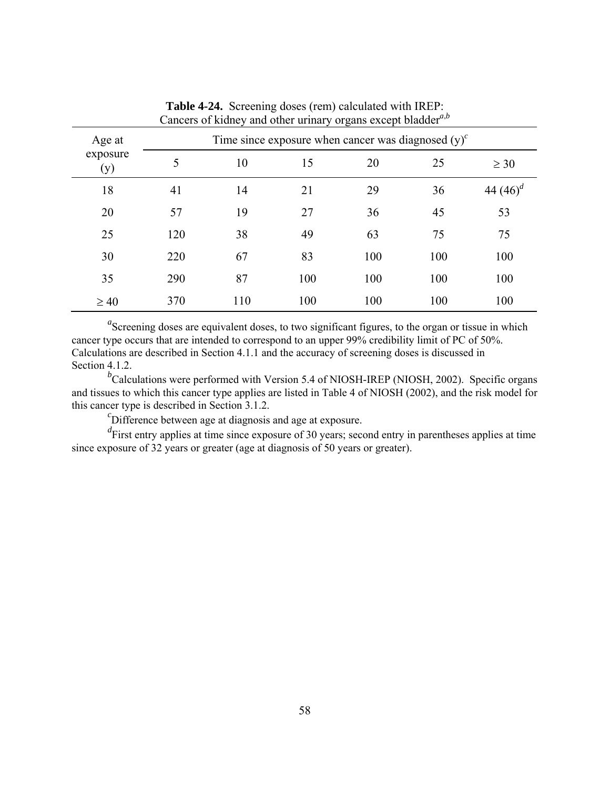| Age at<br>exposure<br>(y) |     |     | Time since exposure when cancer was diagnosed $(v)^c$ |     |     |               |
|---------------------------|-----|-----|-------------------------------------------------------|-----|-----|---------------|
|                           | 5   | 10  | 15                                                    | 20  | 25  | $\geq 30$     |
| 18                        | 41  | 14  | 21                                                    | 29  | 36  | 44 $(46)^{a}$ |
| 20                        | 57  | 19  | 27                                                    | 36  | 45  | 53            |
| 25                        | 120 | 38  | 49                                                    | 63  | 75  | 75            |
| 30                        | 220 | 67  | 83                                                    | 100 | 100 | 100           |
| 35                        | 290 | 87  | 100                                                   | 100 | 100 | 100           |
| $\geq 40$                 | 370 | 110 | 100                                                   | 100 | 100 | 100           |

**Table 4-24.** Screening doses (rem) calculated with IREP: Cancers of kidney and other urinary organs except bladder<sup>*a*,*b*</sup>

<sup>*b*</sup>Calculations were performed with Version 5.4 of NIOSH-IREP (NIOSH, 2002). Specific organs and tissues to which this cancer type applies are listed in Table 4 of NIOSH (2002), and the risk model for this cancer type is described in Section 3.1.2.

 ${}^{c}$ Difference between age at diagnosis and age at exposure.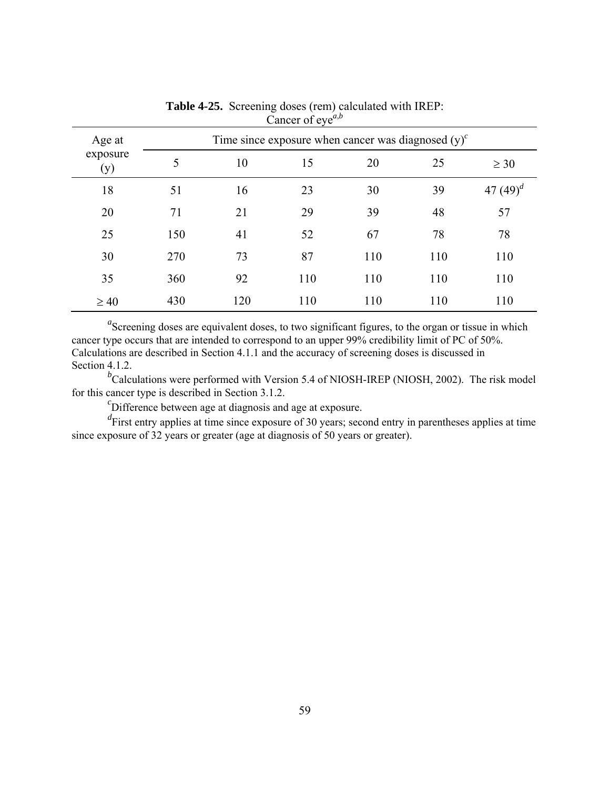| Age at<br>exposure<br>(y) | Time since exposure when cancer was diagnosed $(v)^c$ |     |     |     |     |               |
|---------------------------|-------------------------------------------------------|-----|-----|-----|-----|---------------|
|                           | 5                                                     | 10  | 15  | 20  | 25  | $\geq 30$     |
| 18                        | 51                                                    | 16  | 23  | 30  | 39  | 47 $(49)^{d}$ |
| 20                        | 71                                                    | 21  | 29  | 39  | 48  | 57            |
| 25                        | 150                                                   | 41  | 52  | 67  | 78  | 78            |
| 30                        | 270                                                   | 73  | 87  | 110 | 110 | 110           |
| 35                        | 360                                                   | 92  | 110 | 110 | 110 | 110           |
| $\geq 40$                 | 430                                                   | 120 | 110 | 110 | 110 | 110           |

**Table 4-25.** Screening doses (rem) calculated with IREP: Cancer of eve<sup> $a,b$ </sup>

<sup>*b*</sup>Calculations were performed with Version 5.4 of NIOSH-IREP (NIOSH, 2002). The risk model for this cancer type is described in Section 3.1.2.

 ${}^{c}$ Difference between age at diagnosis and age at exposure.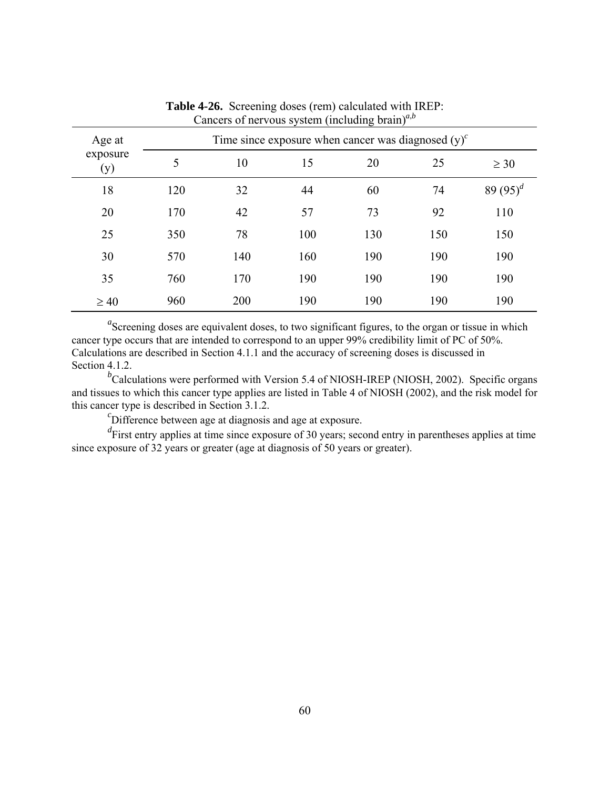| Age at<br>exposure<br>(y) | Time since exposure when cancer was diagnosed $(y)^c$ |     |     |     |     |             |
|---------------------------|-------------------------------------------------------|-----|-----|-----|-----|-------------|
|                           | 5                                                     | 10  | 15  | 20  | 25  | $\geq 30$   |
| 18                        | 120                                                   | 32  | 44  | 60  | 74  | 89 $(95)^d$ |
| 20                        | 170                                                   | 42  | 57  | 73  | 92  | 110         |
| 25                        | 350                                                   | 78  | 100 | 130 | 150 | 150         |
| 30                        | 570                                                   | 140 | 160 | 190 | 190 | 190         |
| 35                        | 760                                                   | 170 | 190 | 190 | 190 | 190         |
| $\geq 40$                 | 960                                                   | 200 | 190 | 190 | 190 | 190         |

**Table 4-26.** Screening doses (rem) calculated with IREP: Cancers of nervous system (including brain)*<sup>a</sup>*,*<sup>b</sup>*

<sup>*b*</sup>Calculations were performed with Version 5.4 of NIOSH-IREP (NIOSH, 2002). Specific organs and tissues to which this cancer type applies are listed in Table 4 of NIOSH (2002), and the risk model for this cancer type is described in Section 3.1.2.

 ${}^{c}$ Difference between age at diagnosis and age at exposure.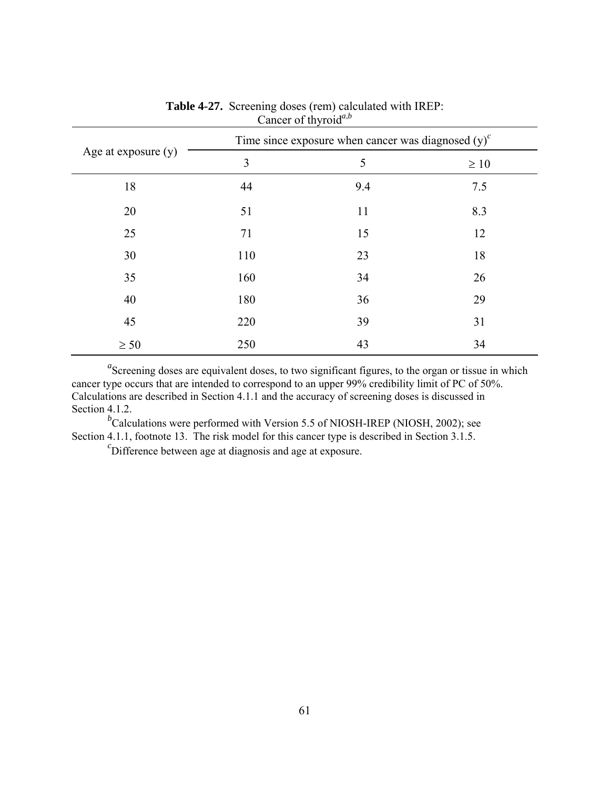|                       | $\frac{1}{2}$<br>Time since exposure when cancer was diagnosed $(y)^c$ |     |           |  |  |
|-----------------------|------------------------------------------------------------------------|-----|-----------|--|--|
| Age at exposure $(y)$ | 3                                                                      | 5   | $\geq 10$ |  |  |
| 18                    | 44                                                                     | 9.4 | 7.5       |  |  |
| 20                    | 51                                                                     | 11  | 8.3       |  |  |
| 25                    | 71                                                                     | 15  | 12        |  |  |
| 30                    | 110                                                                    | 23  | 18        |  |  |
| 35                    | 160                                                                    | 34  | 26        |  |  |
| 40                    | 180                                                                    | 36  | 29        |  |  |
| 45                    | 220                                                                    | 39  | 31        |  |  |
| $\geq 50$             | 250                                                                    | 43  | 34        |  |  |

## **Table 4-27.** Screening doses (rem) calculated with IREP: Cancer of thyroid<sup>*a*,*b*</sup>

<sup>a</sup>Screening doses are equivalent doses, to two significant figures, to the organ or tissue in which cancer type occurs that are intended to correspond to an upper 99% credibility limit of PC of 50%. Calculations are described in Section 4.1.1 and the accuracy of screening doses is discussed in Section 4.1.2.

<sup>*b*</sup>Calculations were performed with Version 5.5 of NIOSH-IREP (NIOSH, 2002); see Section 4.1.1, footnote 13. The risk model for this cancer type is described in Section 3.1.5.

 $\epsilon$ Difference between age at diagnosis and age at exposure.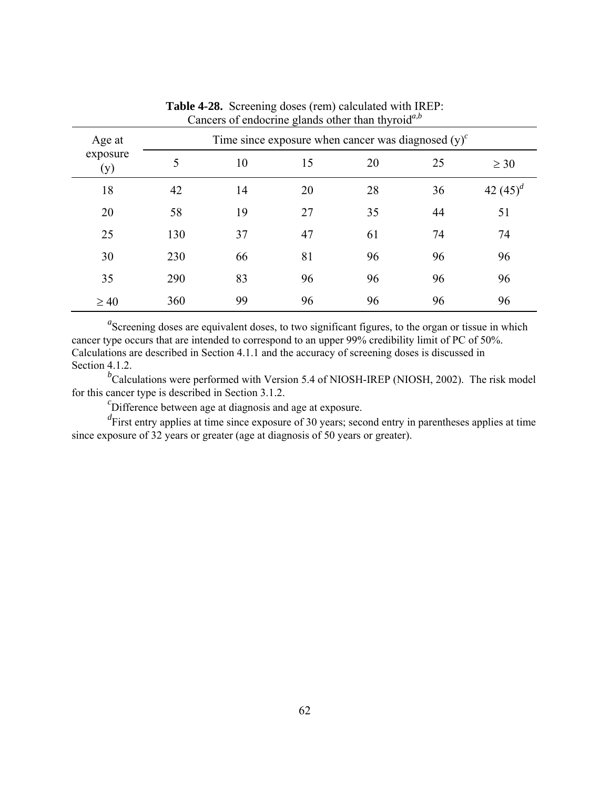| Age at<br>exposure<br>(y) | Time since exposure when cancer was diagnosed $(y)^c$ |    |    |    |    |             |
|---------------------------|-------------------------------------------------------|----|----|----|----|-------------|
|                           | 5                                                     | 10 | 15 | 20 | 25 | $\geq 30$   |
| 18                        | 42                                                    | 14 | 20 | 28 | 36 | 42 $(45)^d$ |
| 20                        | 58                                                    | 19 | 27 | 35 | 44 | 51          |
| 25                        | 130                                                   | 37 | 47 | 61 | 74 | 74          |
| 30                        | 230                                                   | 66 | 81 | 96 | 96 | 96          |
| 35                        | 290                                                   | 83 | 96 | 96 | 96 | 96          |
| $\geq 40$                 | 360                                                   | 99 | 96 | 96 | 96 | 96          |

**Table 4-28.** Screening doses (rem) calculated with IREP: Cancers of endocrine glands other than thyroid*<sup>a</sup>*,*<sup>b</sup>*

<sup>*b*</sup>Calculations were performed with Version 5.4 of NIOSH-IREP (NIOSH, 2002). The risk model for this cancer type is described in Section 3.1.2.

 ${}^{c}$ Difference between age at diagnosis and age at exposure.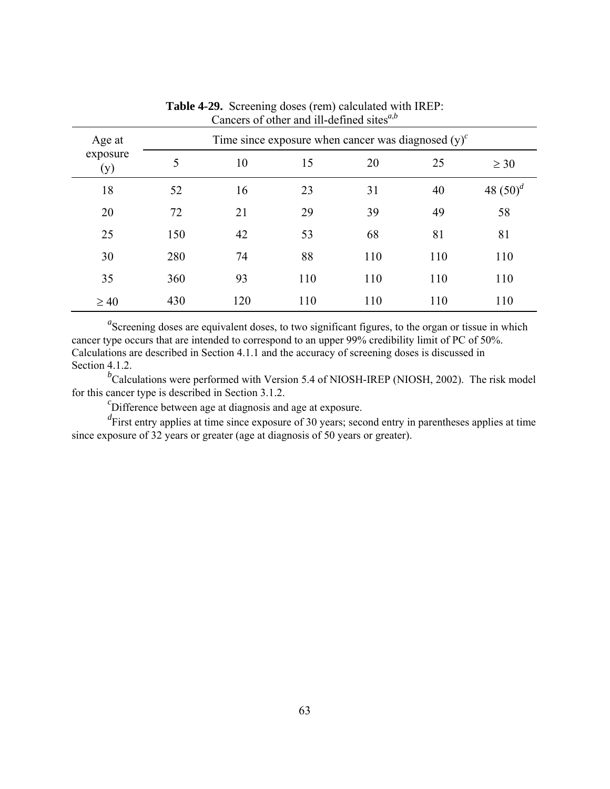| Age at<br>exposure<br>(y) | Time since exposure when cancer was diagnosed $(y)^c$ |     |     |     |     |             |
|---------------------------|-------------------------------------------------------|-----|-----|-----|-----|-------------|
|                           | 5                                                     | 10  | 15  | 20  | 25  | $\geq 30$   |
| 18                        | 52                                                    | 16  | 23  | 31  | 40  | 48 $(50)^d$ |
| 20                        | 72                                                    | 21  | 29  | 39  | 49  | 58          |
| 25                        | 150                                                   | 42  | 53  | 68  | 81  | 81          |
| 30                        | 280                                                   | 74  | 88  | 110 | 110 | 110         |
| 35                        | 360                                                   | 93  | 110 | 110 | 110 | 110         |
| $\geq 40$                 | 430                                                   | 120 | 110 | 110 | 110 | 110         |

**Table 4-29.** Screening doses (rem) calculated with IREP: Cancers of other and ill-defined sites<sup>*a*,*b*</sup>

<sup>*b*</sup>Calculations were performed with Version 5.4 of NIOSH-IREP (NIOSH, 2002). The risk model for this cancer type is described in Section 3.1.2.

 ${}^{c}$ Difference between age at diagnosis and age at exposure.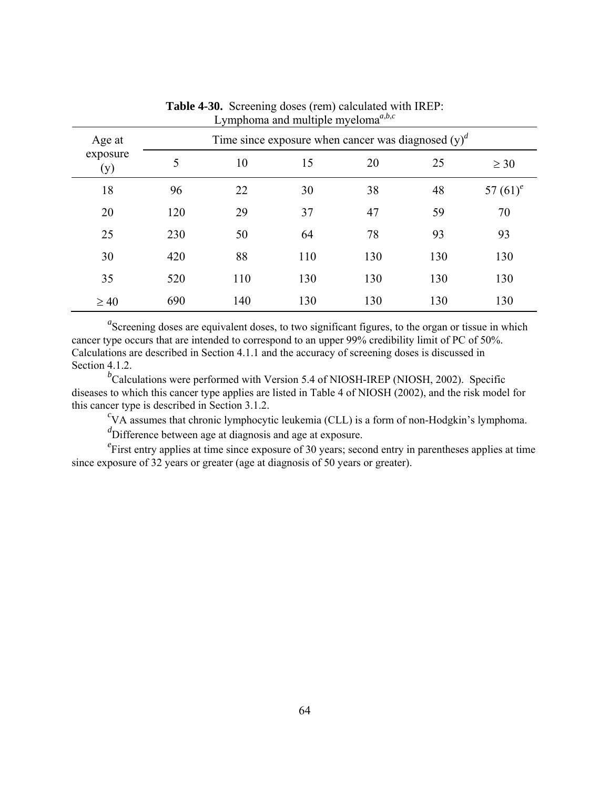| Age at<br>exposure<br>(y) | Time since exposure when cancer was diagnosed $(y)^d$ |     |     |     |     |             |
|---------------------------|-------------------------------------------------------|-----|-----|-----|-----|-------------|
|                           | 5                                                     | 10  | 15  | 20  | 25  | $\geq 30$   |
| 18                        | 96                                                    | 22  | 30  | 38  | 48  | 57 $(61)^e$ |
| 20                        | 120                                                   | 29  | 37  | 47  | 59  | 70          |
| 25                        | 230                                                   | 50  | 64  | 78  | 93  | 93          |
| 30                        | 420                                                   | 88  | 110 | 130 | 130 | 130         |
| 35                        | 520                                                   | 110 | 130 | 130 | 130 | 130         |
| $\geq 40$                 | 690                                                   | 140 | 130 | 130 | 130 | 130         |

**Table 4-30.** Screening doses (rem) calculated with IREP: Lymphoma and multiple myeloma<sup> $a,b,c$ </sup>

<sup>*b*</sup>Calculations were performed with Version 5.4 of NIOSH-IREP (NIOSH, 2002). Specific diseases to which this cancer type applies are listed in Table 4 of NIOSH (2002), and the risk model for this cancer type is described in Section 3.1.2.

 ${}^{c}$ VA assumes that chronic lymphocytic leukemia (CLL) is a form of non-Hodgkin's lymphoma.

*d* Difference between age at diagnosis and age at exposure.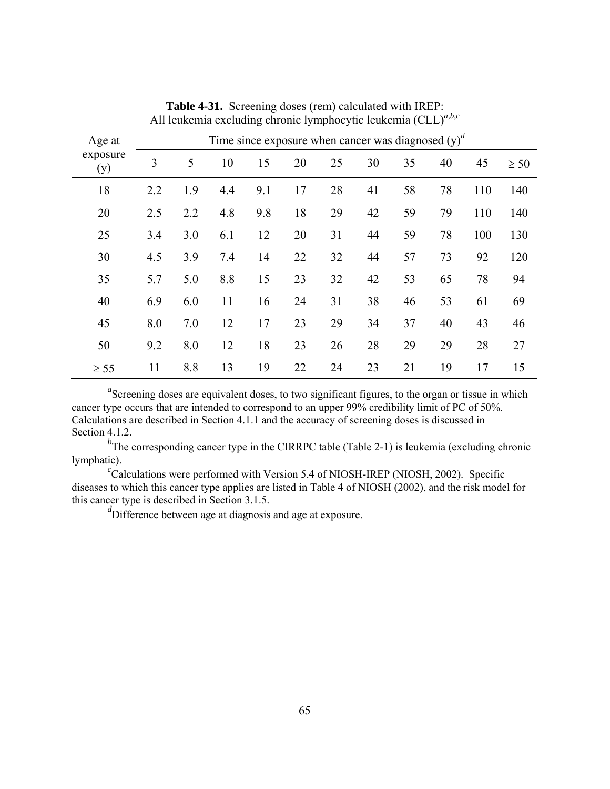| Age at          | Time since exposure when cancer was diagnosed $(v)^d$ |     |     |     |    |    |    |    |    |     |           |  |
|-----------------|-------------------------------------------------------|-----|-----|-----|----|----|----|----|----|-----|-----------|--|
| exposure<br>(y) | 3                                                     | 5   | 10  | 15  | 20 | 25 | 30 | 35 | 40 | 45  | $\geq 50$ |  |
| 18              | 2.2                                                   | 1.9 | 4.4 | 9.1 | 17 | 28 | 41 | 58 | 78 | 110 | 140       |  |
| 20              | 2.5                                                   | 2.2 | 4.8 | 9.8 | 18 | 29 | 42 | 59 | 79 | 110 | 140       |  |
| 25              | 3.4                                                   | 3.0 | 6.1 | 12  | 20 | 31 | 44 | 59 | 78 | 100 | 130       |  |
| 30              | 4.5                                                   | 3.9 | 7.4 | 14  | 22 | 32 | 44 | 57 | 73 | 92  | 120       |  |
| 35              | 5.7                                                   | 5.0 | 8.8 | 15  | 23 | 32 | 42 | 53 | 65 | 78  | 94        |  |
| 40              | 6.9                                                   | 6.0 | 11  | 16  | 24 | 31 | 38 | 46 | 53 | 61  | 69        |  |
| 45              | 8.0                                                   | 7.0 | 12  | 17  | 23 | 29 | 34 | 37 | 40 | 43  | 46        |  |
| 50              | 9.2                                                   | 8.0 | 12  | 18  | 23 | 26 | 28 | 29 | 29 | 28  | 27        |  |
| $\geq$ 55       | 11                                                    | 8.8 | 13  | 19  | 22 | 24 | 23 | 21 | 19 | 17  | 15        |  |

**Table 4-31.** Screening doses (rem) calculated with IREP: All leukemia excluding chronic lymphocytic leukemia (CLL)*<sup>a</sup>*,*b*,*<sup>c</sup>*

<sup>*b*</sup>The corresponding cancer type in the CIRRPC table (Table 2-1) is leukemia (excluding chronic lymphatic).

 ${}^{c}$ Calculations were performed with Version 5.4 of NIOSH-IREP (NIOSH, 2002). Specific diseases to which this cancer type applies are listed in Table 4 of NIOSH (2002), and the risk model for this cancer type is described in Section 3.1.5.

d<sup>d</sup>Difference between age at diagnosis and age at exposure.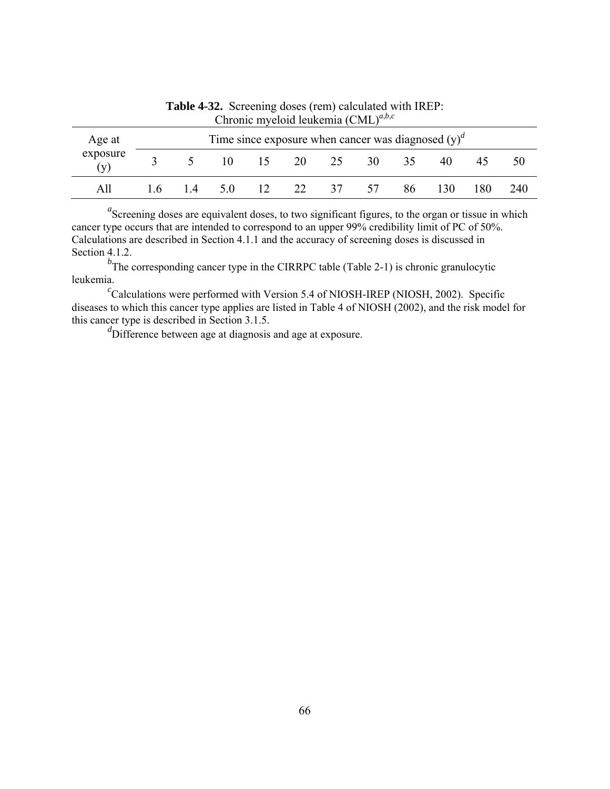| $\mathbf{C}_{\text{H}}$ |                                                       |                 |     |    |    |    |      |    |     |         |     |
|-------------------------|-------------------------------------------------------|-----------------|-----|----|----|----|------|----|-----|---------|-----|
| Age at                  | Time since exposure when cancer was diagnosed $(y)^d$ |                 |     |    |    |    |      |    |     |         |     |
| exposure<br>(v)         |                                                       |                 | 10. | 15 | 20 | 25 | 30 F | 35 | 40  | $45 \,$ | 50  |
| All                     | 1.6                                                   | $\overline{14}$ | 5.0 | 12 | 22 | 37 | 57   | 86 | 130 | 180.    | 240 |

**Table 4-32.** Screening doses (rem) calculated with IREP: Chronic myeloid leukemia (CML)*<sup>a</sup>*,*b*,*<sup>c</sup>*

<sup>*b*</sup>The corresponding cancer type in the CIRRPC table (Table 2-1) is chronic granulocytic leukemia.

 ${}^{c}$ Calculations were performed with Version 5.4 of NIOSH-IREP (NIOSH, 2002). Specific diseases to which this cancer type applies are listed in Table 4 of NIOSH (2002), and the risk model for this cancer type is described in Section 3.1.5.

d<sup>d</sup>Difference between age at diagnosis and age at exposure.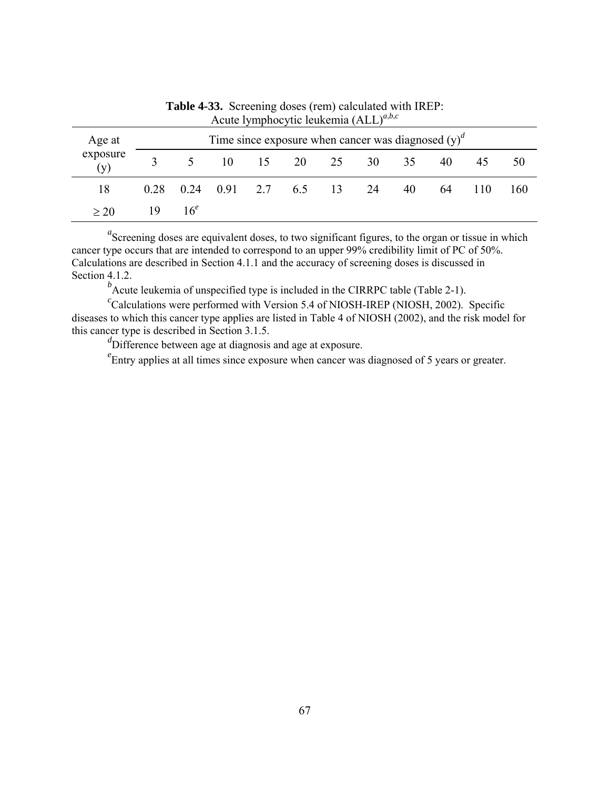| $1.18$ and $1.11$ and $1.10$ and $1.11$ and $1.11$ and $1.11$ and $1.11$ and $1.11$ and $1.11$ and $1.11$ and $1.11$ and $1.11$ and $1.11$ and $1.11$ and $1.11$ and $1.11$ and $1.11$ and $1.11$ and $1.11$ and $1.11$ and |                                                       |                 |                                            |  |  |  |                |    |    |     |     |
|-----------------------------------------------------------------------------------------------------------------------------------------------------------------------------------------------------------------------------|-------------------------------------------------------|-----------------|--------------------------------------------|--|--|--|----------------|----|----|-----|-----|
| Age at                                                                                                                                                                                                                      | Time since exposure when cancer was diagnosed $(y)^d$ |                 |                                            |  |  |  |                |    |    |     |     |
| exposure<br>(v)                                                                                                                                                                                                             |                                                       | $5 \quad$       |                                            |  |  |  | 10 15 20 25 30 | 35 | 40 | 45  | 50  |
| 18                                                                                                                                                                                                                          |                                                       |                 | $0.28$ $0.24$ $0.91$ $2.7$ $6.5$ $13$ $24$ |  |  |  |                | 40 | 64 | 110 | 160 |
| $\geq 20$                                                                                                                                                                                                                   | 19                                                    | 16 <sup>e</sup> |                                            |  |  |  |                |    |    |     |     |

**Table 4-33.** Screening doses (rem) calculated with IREP: Acute lymphocytic leukemia (ALL)*<sup>a</sup>*,*b*,*<sup>c</sup>*

<sup>*b*</sup> Acute leukemia of unspecified type is included in the CIRRPC table (Table 2-1).

<sup>c</sup>Calculations were performed with Version 5.4 of NIOSH-IREP (NIOSH, 2002). Specific diseases to which this cancer type applies are listed in Table 4 of NIOSH (2002), and the risk model for this cancer type is described in Section 3.1.5.

d<sup>d</sup>Difference between age at diagnosis and age at exposure.

<sup>e</sup> Entry applies at all times since exposure when cancer was diagnosed of 5 years or greater.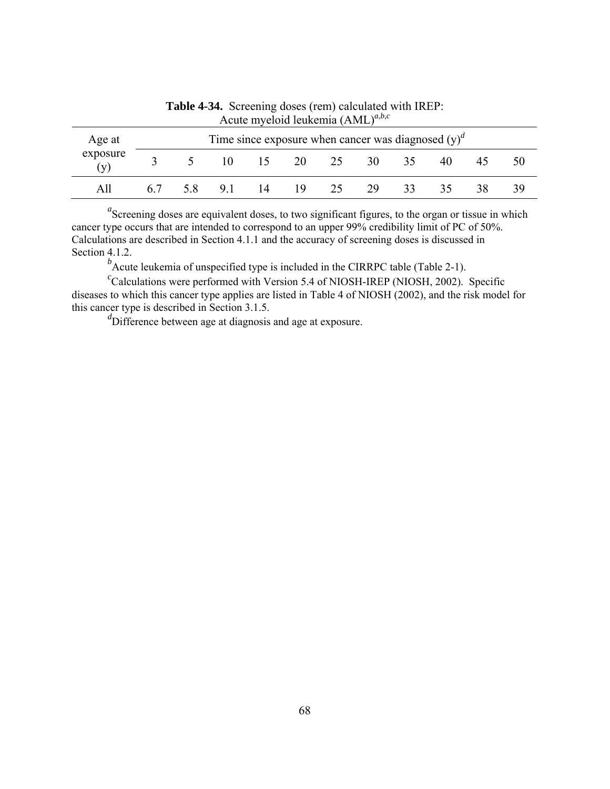| $1$ wave in , event retailed in the $\mu$ |    |                                                       |    |    |     |    |      |    |    |    |    |  |  |
|-------------------------------------------|----|-------------------------------------------------------|----|----|-----|----|------|----|----|----|----|--|--|
| Age at                                    |    | Time since exposure when cancer was diagnosed $(y)^d$ |    |    |     |    |      |    |    |    |    |  |  |
| exposure<br>(v)                           |    |                                                       | 10 | 15 | 20  | 25 | 30 F | 35 | 40 | 45 | 50 |  |  |
| All                                       | 67 | 5.8                                                   | 91 | 14 | 19. | 25 | 29   | 33 |    | 38 | 39 |  |  |

**Table 4-34.** Screening doses (rem) calculated with IREP: Acute myeloid leukemia (AML)*<sup>a</sup>*,*b*,*<sup>c</sup>*

<sup>*b*</sup> Acute leukemia of unspecified type is included in the CIRRPC table (Table 2-1).

<sup>c</sup>Calculations were performed with Version 5.4 of NIOSH-IREP (NIOSH, 2002). Specific diseases to which this cancer type applies are listed in Table 4 of NIOSH (2002), and the risk model for this cancer type is described in Section 3.1.5.

*d* Difference between age at diagnosis and age at exposure.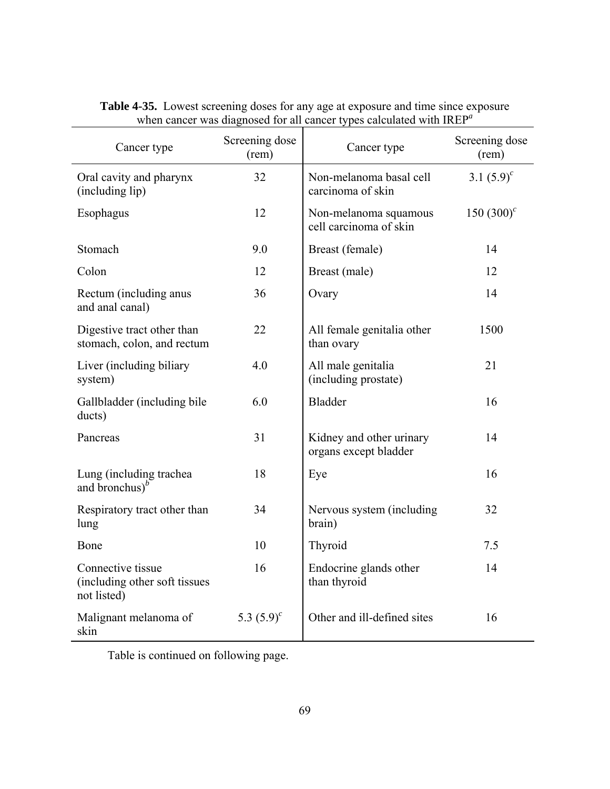| Cancer type                                                       | Screening dose<br>(rem) | Cancer type                                       | Screening dose<br>(rem) |  |
|-------------------------------------------------------------------|-------------------------|---------------------------------------------------|-------------------------|--|
| Oral cavity and pharynx<br>(including lip)                        | 32                      | Non-melanoma basal cell<br>carcinoma of skin      | 3.1 $(5.9)^c$           |  |
| Esophagus                                                         | 12                      | Non-melanoma squamous<br>cell carcinoma of skin   | 150 $(300)^c$           |  |
| Stomach                                                           | 9.0                     | Breast (female)                                   | 14                      |  |
| Colon                                                             | 12                      | Breast (male)                                     | 12                      |  |
| Rectum (including anus<br>and anal canal)                         | 36                      | Ovary                                             | 14                      |  |
| Digestive tract other than<br>stomach, colon, and rectum          | 22                      | All female genitalia other<br>than ovary          | 1500                    |  |
| Liver (including biliary<br>system)                               | 4.0                     | All male genitalia<br>(including prostate)        | 21                      |  |
| Gallbladder (including bile<br>ducts)                             | 6.0                     | <b>Bladder</b>                                    | 16                      |  |
| Pancreas                                                          | 31                      | Kidney and other urinary<br>organs except bladder | 14                      |  |
| Lung (including trachea<br>and bronchus $)^b$                     | 18                      | Eye                                               | 16                      |  |
| Respiratory tract other than<br>lung                              | 34                      | Nervous system (including<br>brain)               | 32                      |  |
| Bone                                                              | 10                      | Thyroid                                           | 7.5                     |  |
| Connective tissue<br>(including other soft tissues<br>not listed) | 16                      | Endocrine glands other<br>than thyroid            | 14                      |  |
| Malignant melanoma of<br>skin                                     | 5.3 $(5.9)^c$           | Other and ill-defined sites                       | 16                      |  |

## **Table 4-35.** Lowest screening doses for any age at exposure and time since exposure when cancer was diagnosed for all cancer types calculated with IREP*<sup>a</sup>*

Table is continued on following page.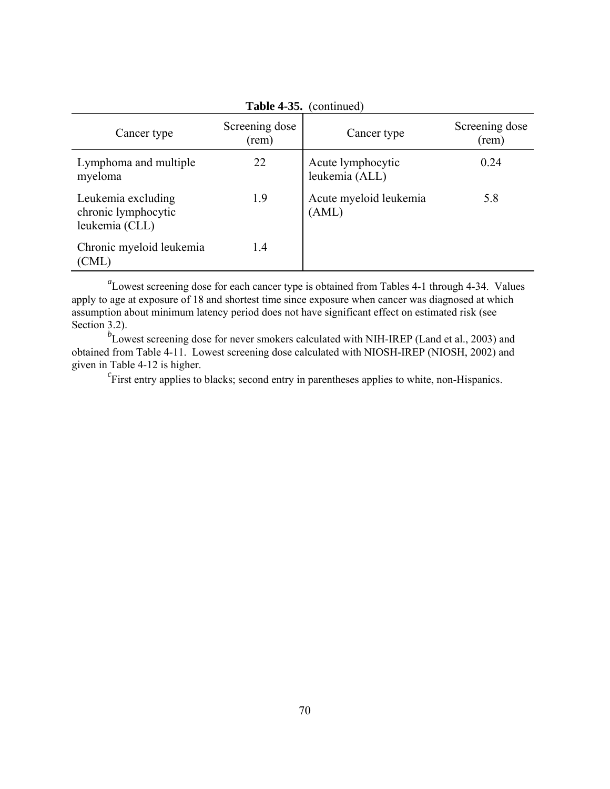| <b>Table 4-35.</b> (continued)                              |                         |                                     |                         |  |  |  |  |  |  |
|-------------------------------------------------------------|-------------------------|-------------------------------------|-------------------------|--|--|--|--|--|--|
| Cancer type                                                 | Screening dose<br>(rem) | Cancer type                         | Screening dose<br>(rem) |  |  |  |  |  |  |
| Lymphoma and multiple<br>myeloma                            | 22                      | Acute lymphocytic<br>leukemia (ALL) | 0.24                    |  |  |  |  |  |  |
| Leukemia excluding<br>chronic lymphocytic<br>leukemia (CLL) | 1.9                     | Acute myeloid leukemia<br>(AML)     | 5.8                     |  |  |  |  |  |  |
| Chronic myeloid leukemia<br>(CML)                           | 1.4                     |                                     |                         |  |  |  |  |  |  |

<sup>a</sup>Lowest screening dose for each cancer type is obtained from Tables 4-1 through 4-34. Values apply to age at exposure of 18 and shortest time since exposure when cancer was diagnosed at which assumption about minimum latency period does not have significant effect on estimated risk (see Section 3.2).

<sup>*b*</sup>Lowest screening dose for never smokers calculated with NIH-IREP (Land et al., 2003) and obtained from Table 4-11. Lowest screening dose calculated with NIOSH-IREP (NIOSH, 2002) and given in Table 4-12 is higher.

First entry applies to blacks; second entry in parentheses applies to white, non-Hispanics.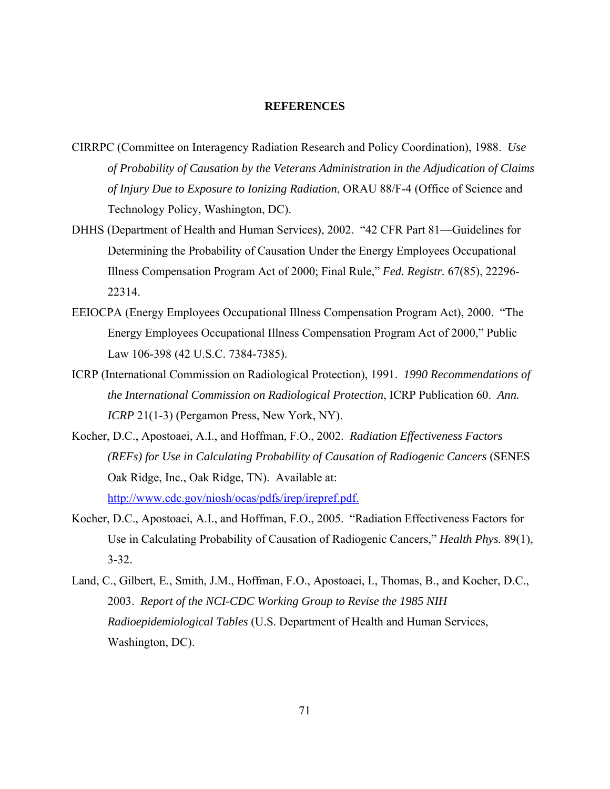#### **REFERENCES**

- CIRRPC (Committee on Interagency Radiation Research and Policy Coordination), 1988. *Use of Probability of Causation by the Veterans Administration in the Adjudication of Claims of Injury Due to Exposure to Ionizing Radiation*, ORAU 88/F-4 (Office of Science and Technology Policy, Washington, DC).
- DHHS (Department of Health and Human Services), 2002. "42 CFR Part 81—Guidelines for Determining the Probability of Causation Under the Energy Employees Occupational Illness Compensation Program Act of 2000; Final Rule," *Fed. Registr.* 67(85), 22296- 22314.
- EEIOCPA (Energy Employees Occupational Illness Compensation Program Act), 2000. "The Energy Employees Occupational Illness Compensation Program Act of 2000," Public Law 106-398 (42 U.S.C. 7384-7385).
- ICRP (International Commission on Radiological Protection), 1991. *1990 Recommendations of the International Commission on Radiological Protection*, ICRP Publication 60. *Ann. ICRP* 21(1-3) (Pergamon Press, New York, NY).
- Kocher, D.C., Apostoaei, A.I., and Hoffman, F.O., 2002. *Radiation Effectiveness Factors (REFs) for Use in Calculating Probability of Causation of Radiogenic Cancers* (SENES Oak Ridge, Inc., Oak Ridge, TN). Available at: <http://www.cdc.gov/niosh/ocas/pdfs/irep/irepref.pdf.>
- Kocher, D.C., Apostoaei, A.I., and Hoffman, F.O., 2005. "Radiation Effectiveness Factors for Use in Calculating Probability of Causation of Radiogenic Cancers," *Health Phys.* 89(1), 3-32.
- Land, C., Gilbert, E., Smith, J.M., Hoffman, F.O., Apostoaei, I., Thomas, B., and Kocher, D.C., 2003. *Report of the NCI-CDC Working Group to Revise the 1985 NIH Radioepidemiological Tables* (U.S. Department of Health and Human Services, Washington, DC).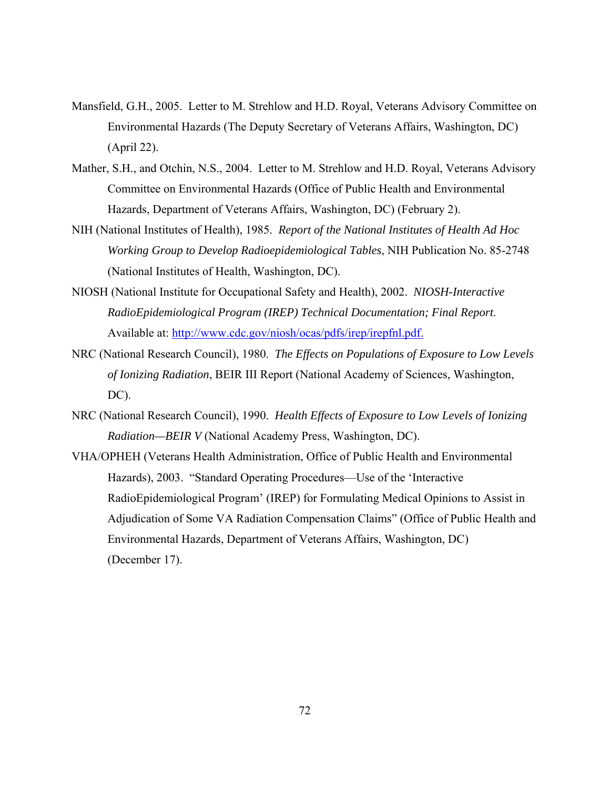- Mansfield, G.H., 2005. Letter to M. Strehlow and H.D. Royal, Veterans Advisory Committee on Environmental Hazards (The Deputy Secretary of Veterans Affairs, Washington, DC) (April 22).
- Mather, S.H., and Otchin, N.S., 2004. Letter to M. Strehlow and H.D. Royal, Veterans Advisory Committee on Environmental Hazards (Office of Public Health and Environmental Hazards, Department of Veterans Affairs, Washington, DC) (February 2).
- NIH (National Institutes of Health), 1985. *Report of the National Institutes of Health Ad Hoc Working Group to Develop Radioepidemiological Tables*, NIH Publication No. 85-2748 (National Institutes of Health, Washington, DC).
- NIOSH (National Institute for Occupational Safety and Health), 2002. *NIOSH-Interactive RadioEpidemiological Program (IREP) Technical Documentation; Final Report*. Available at: <http://www.cdc.gov/niosh/ocas/pdfs/irep/irepfnl.pdf.>
- NRC (National Research Council), 1980. *The Effects on Populations of Exposure to Low Levels of Ionizing Radiation*, BEIR III Report (National Academy of Sciences, Washington, DC).
- NRC (National Research Council), 1990. *Health Effects of Exposure to Low Levels of Ionizing Radiation—BEIR V* (National Academy Press, Washington, DC).
- VHA/OPHEH (Veterans Health Administration, Office of Public Health and Environmental Hazards), 2003. "Standard Operating Procedures—Use of the 'Interactive RadioEpidemiological Program' (IREP) for Formulating Medical Opinions to Assist in Adjudication of Some VA Radiation Compensation Claims" (Office of Public Health and Environmental Hazards, Department of Veterans Affairs, Washington, DC) (December 17).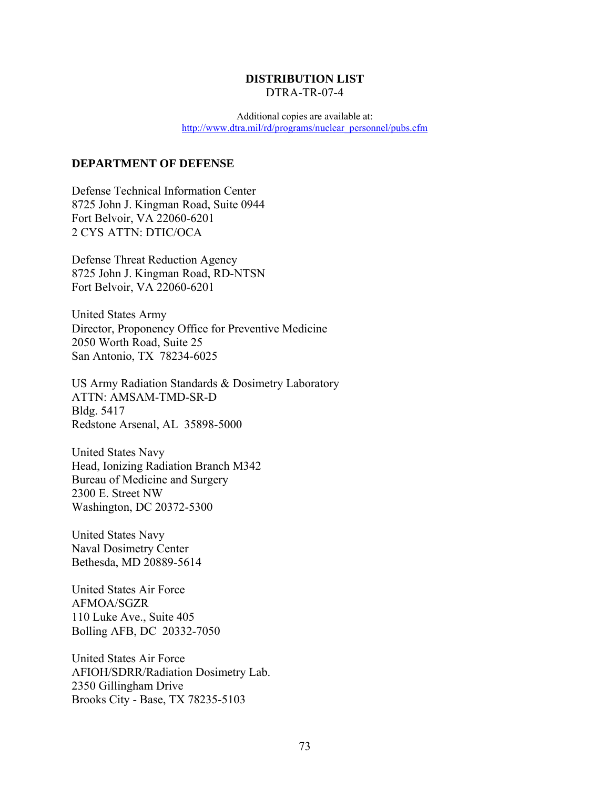### **DISTRIBUTION LIST**  DTRA-TR-07-4

Additional copies are available at: [http://www.dtra.mil/rd/programs/nuclear\\_personnel/pubs.cfm](http://www.dtra.mil/rd/programs/nuclear_personnel/pubs.cfm)

#### **DEPARTMENT OF DEFENSE**

Defense Technical Information Center 8725 John J. Kingman Road, Suite 0944 Fort Belvoir, VA 22060-6201 2 CYS ATTN: DTIC/OCA

Defense Threat Reduction Agency 8725 John J. Kingman Road, RD-NTSN Fort Belvoir, VA 22060-6201

United States Army Director, Proponency Office for Preventive Medicine 2050 Worth Road, Suite 25 San Antonio, TX 78234-6025

US Army Radiation Standards & Dosimetry Laboratory ATTN: AMSAM-TMD-SR-D Bldg. 5417 Redstone Arsenal, AL 35898-5000

United States Navy Head, Ionizing Radiation Branch M342 Bureau of Medicine and Surgery 2300 E. Street NW Washington, DC 20372-5300

United States Navy Naval Dosimetry Center Bethesda, MD 20889-5614

United States Air Force AFMOA/SGZR 110 Luke Ave., Suite 405 Bolling AFB, DC 20332-7050

United States Air Force AFIOH/SDRR/Radiation Dosimetry Lab. 2350 Gillingham Drive Brooks City - Base, TX 78235-5103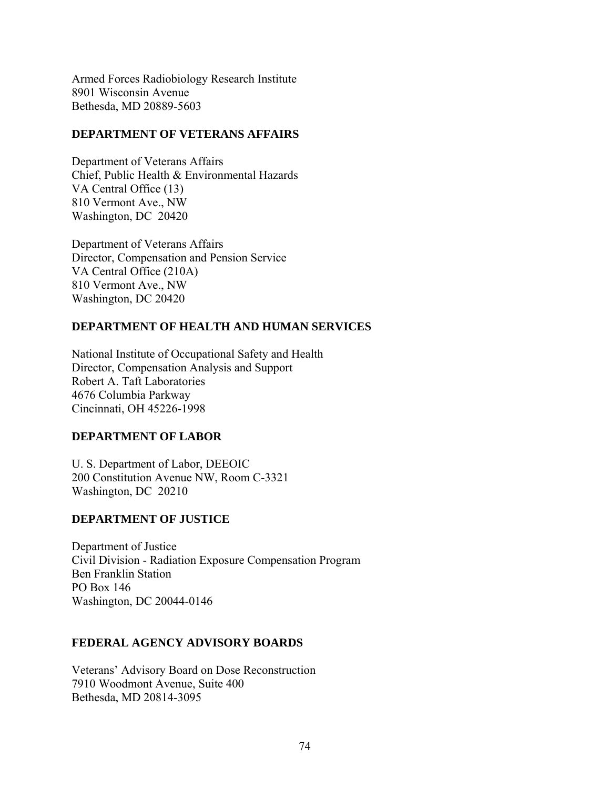Armed Forces Radiobiology Research Institute 8901 Wisconsin Avenue Bethesda, MD 20889-5603

### **DEPARTMENT OF VETERANS AFFAIRS**

Department of Veterans Affairs Chief, Public Health & Environmental Hazards VA Central Office (13) 810 Vermont Ave., NW Washington, DC 20420

Department of Veterans Affairs Director, Compensation and Pension Service VA Central Office (210A) 810 Vermont Ave., NW Washington, DC 20420

# **DEPARTMENT OF HEALTH AND HUMAN SERVICES**

National Institute of Occupational Safety and Health Director, Compensation Analysis and Support Robert A. Taft Laboratories 4676 Columbia Parkway Cincinnati, OH 45226-1998

## **DEPARTMENT OF LABOR**

U. S. Department of Labor, DEEOIC 200 Constitution Avenue NW, Room C-3321 Washington, DC 20210

## **DEPARTMENT OF JUSTICE**

Department of Justice Civil Division - Radiation Exposure Compensation Program Ben Franklin Station PO Box 146 Washington, DC 20044-0146

# **FEDERAL AGENCY ADVISORY BOARDS**

Veterans' Advisory Board on Dose Reconstruction 7910 Woodmont Avenue, Suite 400 Bethesda, MD 20814-3095